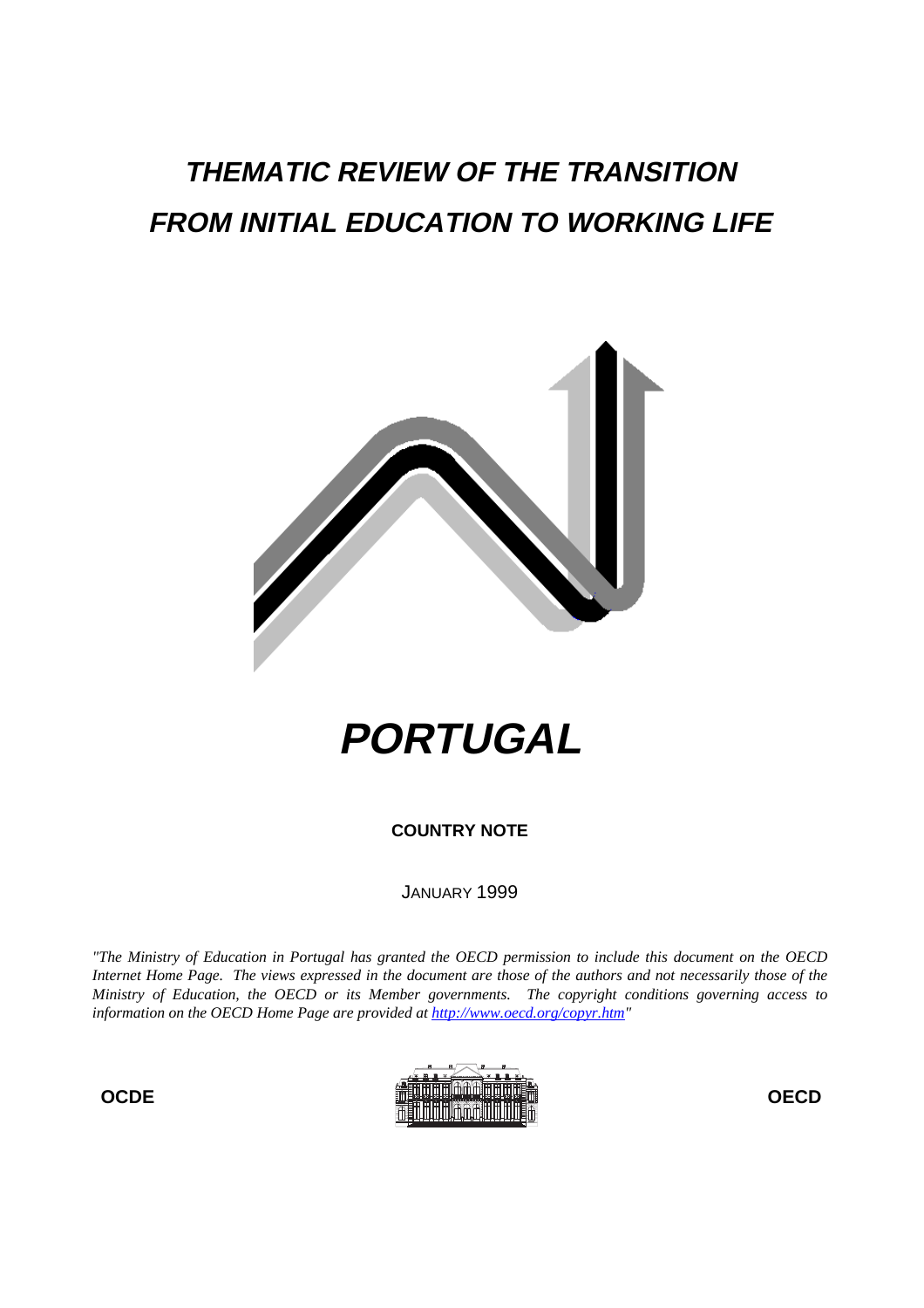## **THEMATIC REVIEW OF THE TRANSITION FROM INITIAL EDUCATION TO WORKING LIFE**



# **PORTUGAL**

**COUNTRY NOTE**

JANUARY 1999

*"The Ministry of Education in Portugal has granted the OECD permission to include this document on the OECD Internet Home Page. The views expressed in the document are those of the authors and not necessarily those of the Ministry of Education, the OECD or its Member governments. The copyright conditions governing access to information on the OECD Home Page are provided at http://www.oecd.org/copyr.htm"*

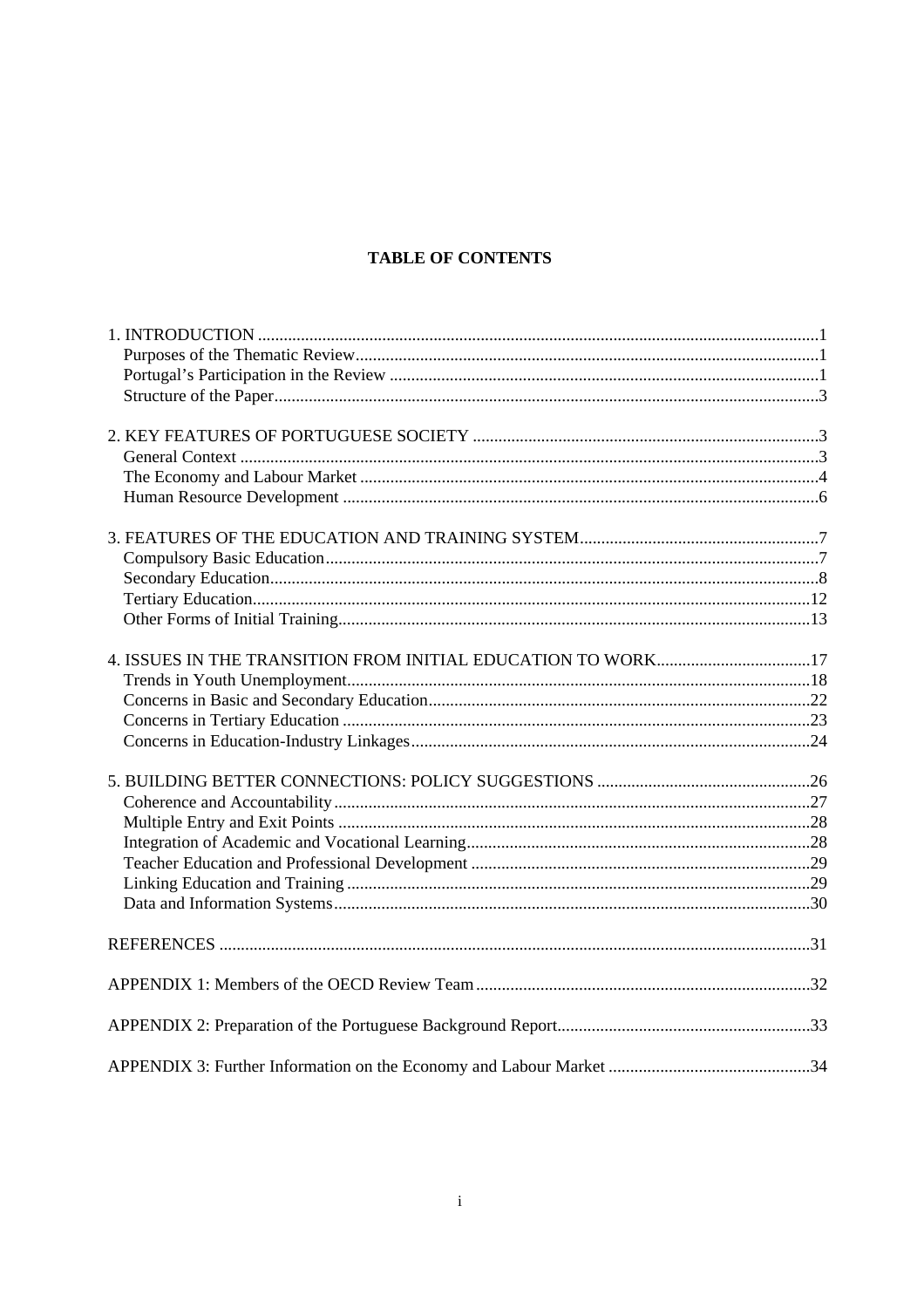## **TABLE OF CONTENTS**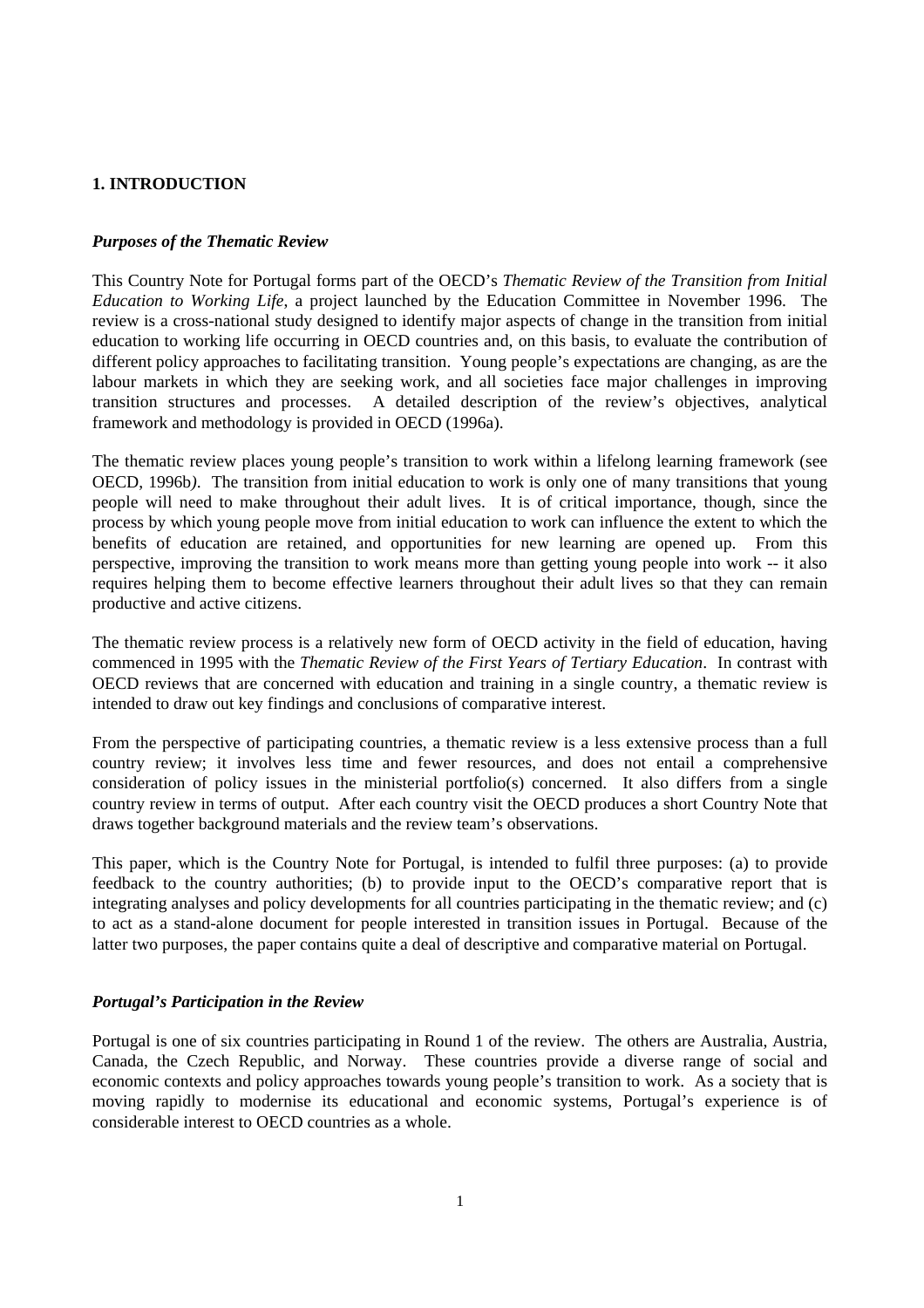## **1. INTRODUCTION**

#### *Purposes of the Thematic Review*

This Country Note for Portugal forms part of the OECD's *Thematic Review of the Transition from Initial Education to Working Life*, a project launched by the Education Committee in November 1996. The review is a cross-national study designed to identify major aspects of change in the transition from initial education to working life occurring in OECD countries and, on this basis, to evaluate the contribution of different policy approaches to facilitating transition. Young people's expectations are changing, as are the labour markets in which they are seeking work, and all societies face major challenges in improving transition structures and processes. A detailed description of the review's objectives, analytical framework and methodology is provided in OECD (1996a).

The thematic review places young people's transition to work within a lifelong learning framework (see OECD, 1996b*)*. The transition from initial education to work is only one of many transitions that young people will need to make throughout their adult lives. It is of critical importance, though, since the process by which young people move from initial education to work can influence the extent to which the benefits of education are retained, and opportunities for new learning are opened up. From this perspective, improving the transition to work means more than getting young people into work -- it also requires helping them to become effective learners throughout their adult lives so that they can remain productive and active citizens.

The thematic review process is a relatively new form of OECD activity in the field of education, having commenced in 1995 with the *Thematic Review of the First Years of Tertiary Education*. In contrast with OECD reviews that are concerned with education and training in a single country, a thematic review is intended to draw out key findings and conclusions of comparative interest.

From the perspective of participating countries, a thematic review is a less extensive process than a full country review; it involves less time and fewer resources, and does not entail a comprehensive consideration of policy issues in the ministerial portfolio(s) concerned. It also differs from a single country review in terms of output. After each country visit the OECD produces a short Country Note that draws together background materials and the review team's observations.

This paper, which is the Country Note for Portugal, is intended to fulfil three purposes: (a) to provide feedback to the country authorities; (b) to provide input to the OECD's comparative report that is integrating analyses and policy developments for all countries participating in the thematic review; and (c) to act as a stand-alone document for people interested in transition issues in Portugal. Because of the latter two purposes, the paper contains quite a deal of descriptive and comparative material on Portugal.

#### *Portugal's Participation in the Review*

Portugal is one of six countries participating in Round 1 of the review. The others are Australia, Austria, Canada, the Czech Republic, and Norway. These countries provide a diverse range of social and economic contexts and policy approaches towards young people's transition to work. As a society that is moving rapidly to modernise its educational and economic systems, Portugal's experience is of considerable interest to OECD countries as a whole.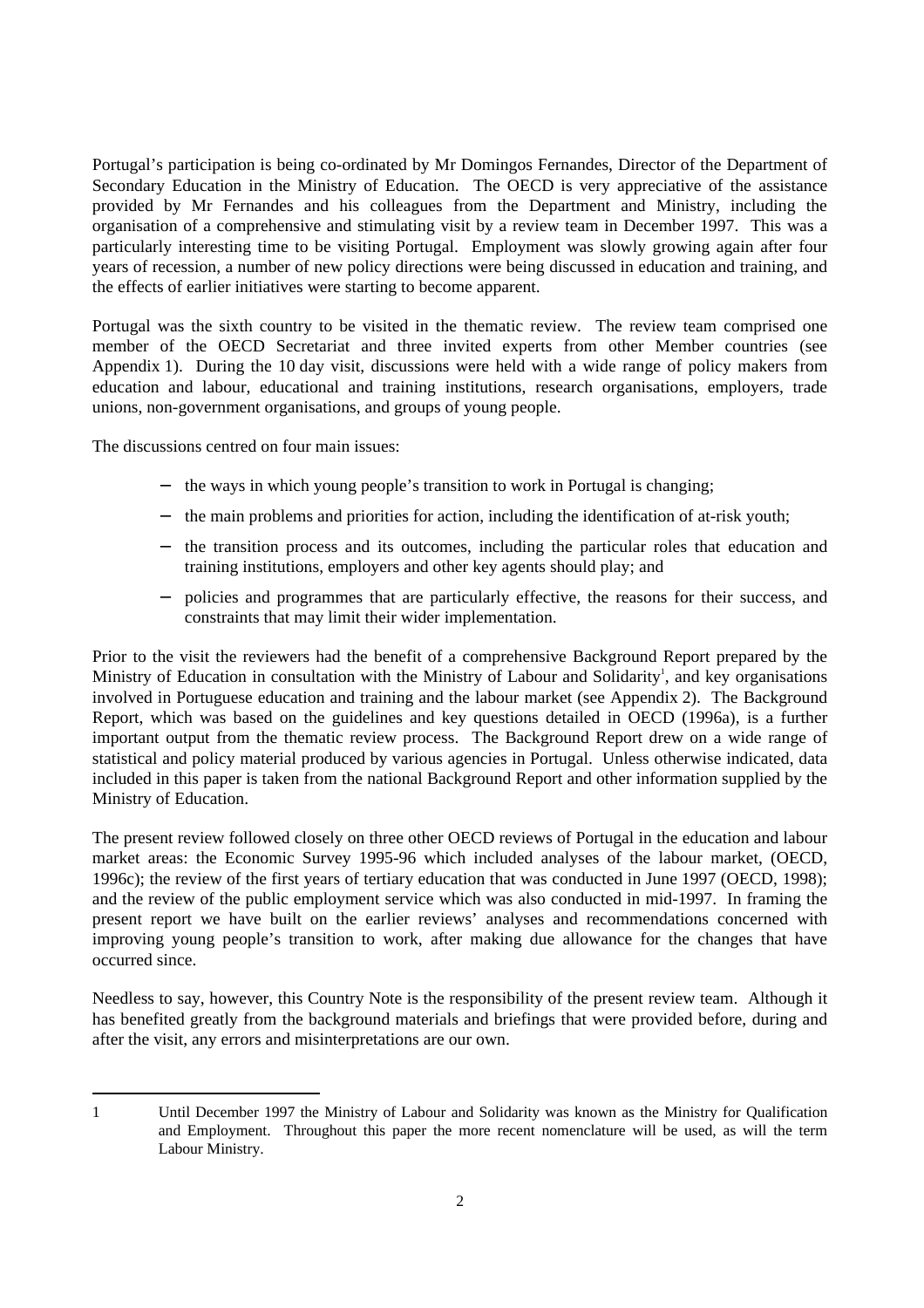Portugal's participation is being co-ordinated by Mr Domingos Fernandes, Director of the Department of Secondary Education in the Ministry of Education. The OECD is very appreciative of the assistance provided by Mr Fernandes and his colleagues from the Department and Ministry, including the organisation of a comprehensive and stimulating visit by a review team in December 1997. This was a particularly interesting time to be visiting Portugal. Employment was slowly growing again after four years of recession, a number of new policy directions were being discussed in education and training, and the effects of earlier initiatives were starting to become apparent.

Portugal was the sixth country to be visited in the thematic review. The review team comprised one member of the OECD Secretariat and three invited experts from other Member countries (see Appendix 1). During the 10 day visit, discussions were held with a wide range of policy makers from education and labour, educational and training institutions, research organisations, employers, trade unions, non-government organisations, and groups of young people.

The discussions centred on four main issues:

- − the ways in which young people's transition to work in Portugal is changing;
- − the main problems and priorities for action, including the identification of at-risk youth;
- − the transition process and its outcomes, including the particular roles that education and training institutions, employers and other key agents should play; and
- − policies and programmes that are particularly effective, the reasons for their success, and constraints that may limit their wider implementation.

Prior to the visit the reviewers had the benefit of a comprehensive Background Report prepared by the Ministry of Education in consultation with the Ministry of Labour and Solidarity<sup>1</sup>, and key organisations involved in Portuguese education and training and the labour market (see Appendix 2). The Background Report, which was based on the guidelines and key questions detailed in OECD (1996a), is a further important output from the thematic review process. The Background Report drew on a wide range of statistical and policy material produced by various agencies in Portugal. Unless otherwise indicated, data included in this paper is taken from the national Background Report and other information supplied by the Ministry of Education.

The present review followed closely on three other OECD reviews of Portugal in the education and labour market areas: the Economic Survey 1995-96 which included analyses of the labour market, (OECD, 1996c); the review of the first years of tertiary education that was conducted in June 1997 (OECD, 1998); and the review of the public employment service which was also conducted in mid-1997. In framing the present report we have built on the earlier reviews' analyses and recommendations concerned with improving young people's transition to work, after making due allowance for the changes that have occurred since.

Needless to say, however, this Country Note is the responsibility of the present review team. Although it has benefited greatly from the background materials and briefings that were provided before, during and after the visit, any errors and misinterpretations are our own.

<sup>1</sup> Until December 1997 the Ministry of Labour and Solidarity was known as the Ministry for Qualification and Employment. Throughout this paper the more recent nomenclature will be used, as will the term Labour Ministry.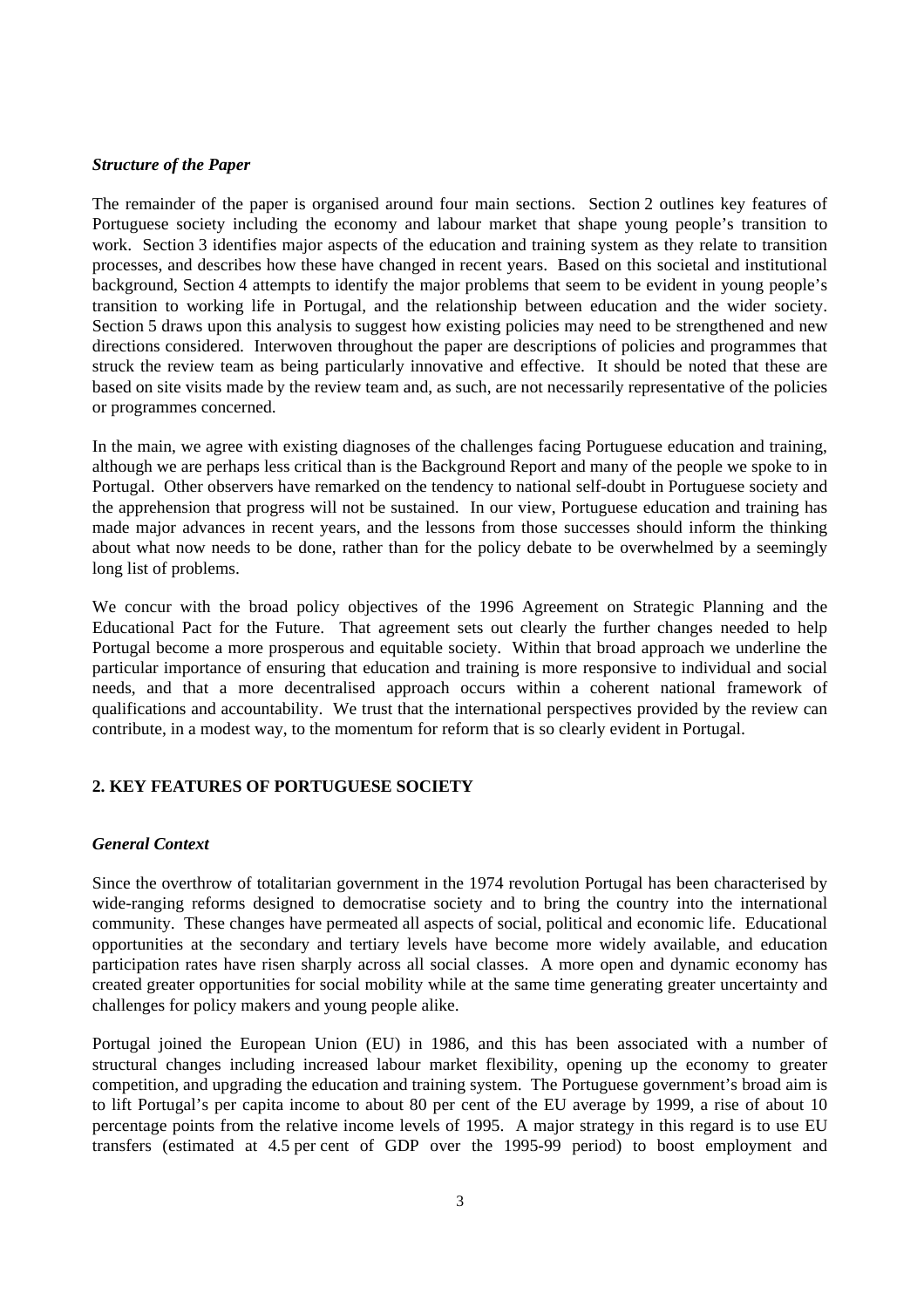#### *Structure of the Paper*

The remainder of the paper is organised around four main sections. Section 2 outlines key features of Portuguese society including the economy and labour market that shape young people's transition to work. Section 3 identifies major aspects of the education and training system as they relate to transition processes, and describes how these have changed in recent years. Based on this societal and institutional background, Section 4 attempts to identify the major problems that seem to be evident in young people's transition to working life in Portugal, and the relationship between education and the wider society. Section 5 draws upon this analysis to suggest how existing policies may need to be strengthened and new directions considered. Interwoven throughout the paper are descriptions of policies and programmes that struck the review team as being particularly innovative and effective. It should be noted that these are based on site visits made by the review team and, as such, are not necessarily representative of the policies or programmes concerned.

In the main, we agree with existing diagnoses of the challenges facing Portuguese education and training, although we are perhaps less critical than is the Background Report and many of the people we spoke to in Portugal. Other observers have remarked on the tendency to national self-doubt in Portuguese society and the apprehension that progress will not be sustained. In our view, Portuguese education and training has made major advances in recent years, and the lessons from those successes should inform the thinking about what now needs to be done, rather than for the policy debate to be overwhelmed by a seemingly long list of problems.

We concur with the broad policy objectives of the 1996 Agreement on Strategic Planning and the Educational Pact for the Future. That agreement sets out clearly the further changes needed to help Portugal become a more prosperous and equitable society. Within that broad approach we underline the particular importance of ensuring that education and training is more responsive to individual and social needs, and that a more decentralised approach occurs within a coherent national framework of qualifications and accountability. We trust that the international perspectives provided by the review can contribute, in a modest way, to the momentum for reform that is so clearly evident in Portugal.

## **2. KEY FEATURES OF PORTUGUESE SOCIETY**

## *General Context*

Since the overthrow of totalitarian government in the 1974 revolution Portugal has been characterised by wide-ranging reforms designed to democratise society and to bring the country into the international community. These changes have permeated all aspects of social, political and economic life. Educational opportunities at the secondary and tertiary levels have become more widely available, and education participation rates have risen sharply across all social classes. A more open and dynamic economy has created greater opportunities for social mobility while at the same time generating greater uncertainty and challenges for policy makers and young people alike.

Portugal joined the European Union (EU) in 1986, and this has been associated with a number of structural changes including increased labour market flexibility, opening up the economy to greater competition, and upgrading the education and training system. The Portuguese government's broad aim is to lift Portugal's per capita income to about 80 per cent of the EU average by 1999, a rise of about 10 percentage points from the relative income levels of 1995. A major strategy in this regard is to use EU transfers (estimated at 4.5 per cent of GDP over the 1995-99 period) to boost employment and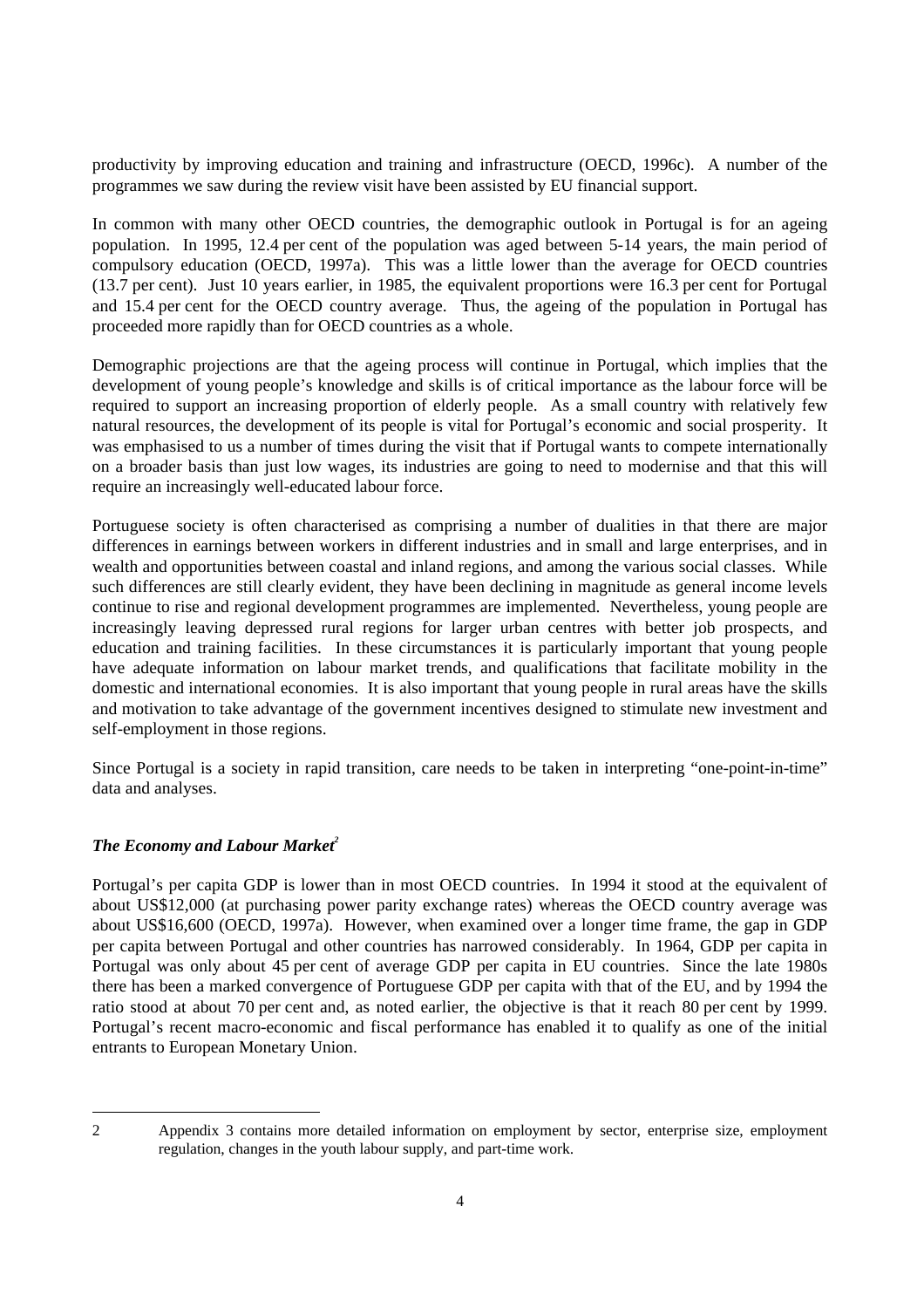productivity by improving education and training and infrastructure (OECD, 1996c). A number of the programmes we saw during the review visit have been assisted by EU financial support.

In common with many other OECD countries, the demographic outlook in Portugal is for an ageing population. In 1995, 12.4 per cent of the population was aged between 5-14 years, the main period of compulsory education (OECD, 1997a). This was a little lower than the average for OECD countries (13.7 per cent). Just 10 years earlier, in 1985, the equivalent proportions were 16.3 per cent for Portugal and 15.4 per cent for the OECD country average. Thus, the ageing of the population in Portugal has proceeded more rapidly than for OECD countries as a whole.

Demographic projections are that the ageing process will continue in Portugal, which implies that the development of young people's knowledge and skills is of critical importance as the labour force will be required to support an increasing proportion of elderly people. As a small country with relatively few natural resources, the development of its people is vital for Portugal's economic and social prosperity. It was emphasised to us a number of times during the visit that if Portugal wants to compete internationally on a broader basis than just low wages, its industries are going to need to modernise and that this will require an increasingly well-educated labour force.

Portuguese society is often characterised as comprising a number of dualities in that there are major differences in earnings between workers in different industries and in small and large enterprises, and in wealth and opportunities between coastal and inland regions, and among the various social classes. While such differences are still clearly evident, they have been declining in magnitude as general income levels continue to rise and regional development programmes are implemented. Nevertheless, young people are increasingly leaving depressed rural regions for larger urban centres with better job prospects, and education and training facilities. In these circumstances it is particularly important that young people have adequate information on labour market trends, and qualifications that facilitate mobility in the domestic and international economies. It is also important that young people in rural areas have the skills and motivation to take advantage of the government incentives designed to stimulate new investment and self-employment in those regions.

Since Portugal is a society in rapid transition, care needs to be taken in interpreting "one-point-in-time" data and analyses.

## *The Economy and Labour Market<sup>2</sup>*

Portugal's per capita GDP is lower than in most OECD countries. In 1994 it stood at the equivalent of about US\$12,000 (at purchasing power parity exchange rates) whereas the OECD country average was about US\$16,600 (OECD, 1997a). However, when examined over a longer time frame, the gap in GDP per capita between Portugal and other countries has narrowed considerably. In 1964, GDP per capita in Portugal was only about 45 per cent of average GDP per capita in EU countries. Since the late 1980s there has been a marked convergence of Portuguese GDP per capita with that of the EU, and by 1994 the ratio stood at about 70 per cent and, as noted earlier, the objective is that it reach 80 per cent by 1999. Portugal's recent macro-economic and fiscal performance has enabled it to qualify as one of the initial entrants to European Monetary Union.

<sup>2</sup> Appendix 3 contains more detailed information on employment by sector, enterprise size, employment regulation, changes in the youth labour supply, and part-time work.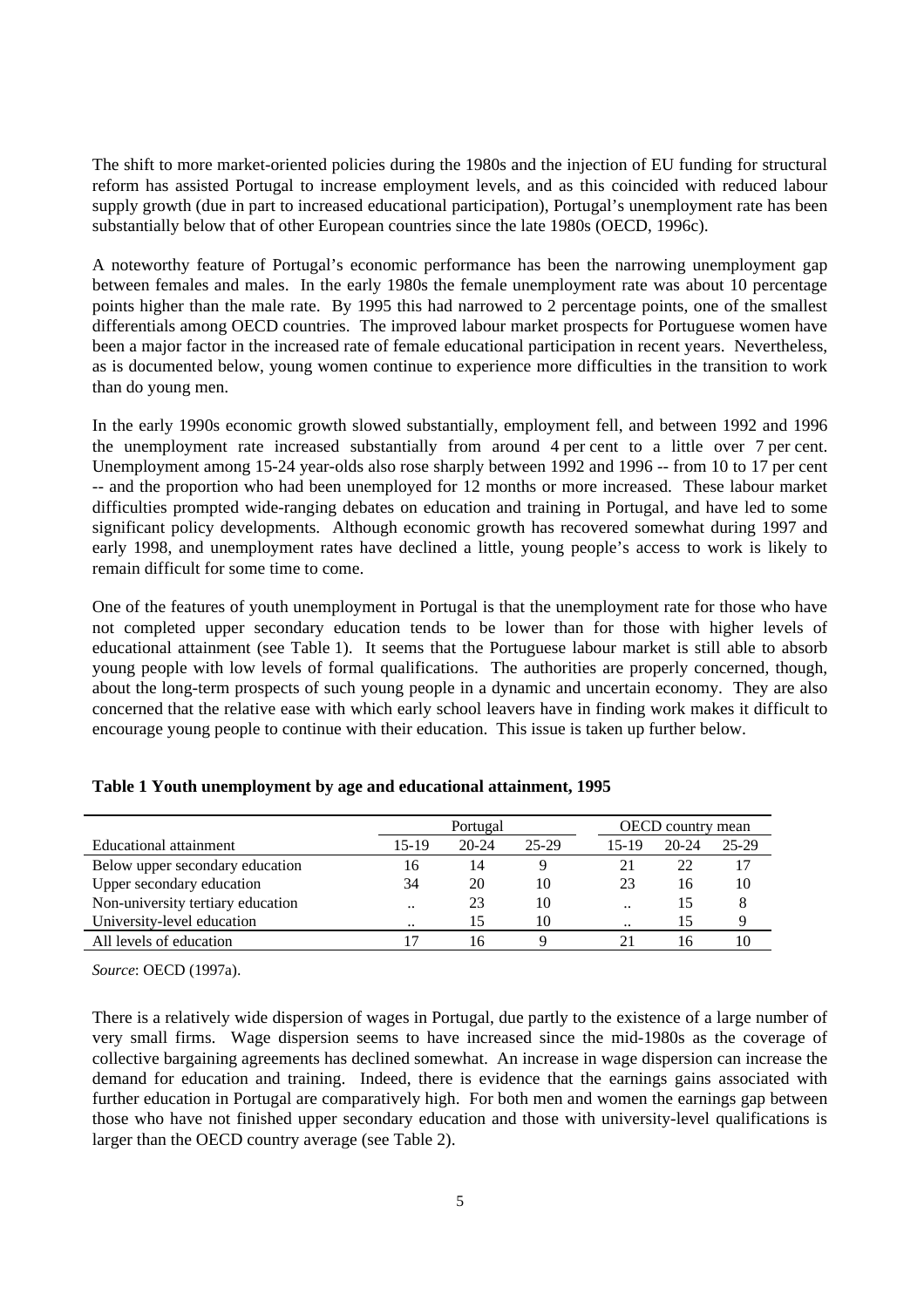The shift to more market-oriented policies during the 1980s and the injection of EU funding for structural reform has assisted Portugal to increase employment levels, and as this coincided with reduced labour supply growth (due in part to increased educational participation), Portugal's unemployment rate has been substantially below that of other European countries since the late 1980s (OECD, 1996c).

A noteworthy feature of Portugal's economic performance has been the narrowing unemployment gap between females and males. In the early 1980s the female unemployment rate was about 10 percentage points higher than the male rate. By 1995 this had narrowed to 2 percentage points, one of the smallest differentials among OECD countries. The improved labour market prospects for Portuguese women have been a major factor in the increased rate of female educational participation in recent years. Nevertheless, as is documented below, young women continue to experience more difficulties in the transition to work than do young men.

In the early 1990s economic growth slowed substantially, employment fell, and between 1992 and 1996 the unemployment rate increased substantially from around 4 per cent to a little over 7 per cent. Unemployment among 15-24 year-olds also rose sharply between 1992 and 1996 -- from 10 to 17 per cent -- and the proportion who had been unemployed for 12 months or more increased. These labour market difficulties prompted wide-ranging debates on education and training in Portugal, and have led to some significant policy developments. Although economic growth has recovered somewhat during 1997 and early 1998, and unemployment rates have declined a little, young people's access to work is likely to remain difficult for some time to come.

One of the features of youth unemployment in Portugal is that the unemployment rate for those who have not completed upper secondary education tends to be lower than for those with higher levels of educational attainment (see Table 1). It seems that the Portuguese labour market is still able to absorb young people with low levels of formal qualifications. The authorities are properly concerned, though, about the long-term prospects of such young people in a dynamic and uncertain economy. They are also concerned that the relative ease with which early school leavers have in finding work makes it difficult to encourage young people to continue with their education. This issue is taken up further below.

|                                   | Portugal             |       |       |           | <b>OECD</b> country mean |       |  |
|-----------------------------------|----------------------|-------|-------|-----------|--------------------------|-------|--|
| Educational attainment            | 15-19                | 20-24 | 25-29 | 15-19     | 20-24                    | 25-29 |  |
| Below upper secondary education   | 16                   | 14    |       |           | 22                       | 17    |  |
| Upper secondary education         | 34                   | 20    | 10    | 23        | 16                       | 10    |  |
| Non-university tertiary education | $\ddot{\phantom{0}}$ | 23    | 10    | $\ddotsc$ | 15                       | 8     |  |
| University-level education        | $\cdot$              | 15    | 10    |           | 15                       | 9     |  |
| All levels of education           |                      | 16    |       |           | ۱6                       |       |  |

| Table 1 Youth unemployment by age and educational attainment, 1995 |
|--------------------------------------------------------------------|
|--------------------------------------------------------------------|

*Source*: OECD (1997a).

There is a relatively wide dispersion of wages in Portugal, due partly to the existence of a large number of very small firms. Wage dispersion seems to have increased since the mid-1980s as the coverage of collective bargaining agreements has declined somewhat. An increase in wage dispersion can increase the demand for education and training. Indeed, there is evidence that the earnings gains associated with further education in Portugal are comparatively high. For both men and women the earnings gap between those who have not finished upper secondary education and those with university-level qualifications is larger than the OECD country average (see Table 2).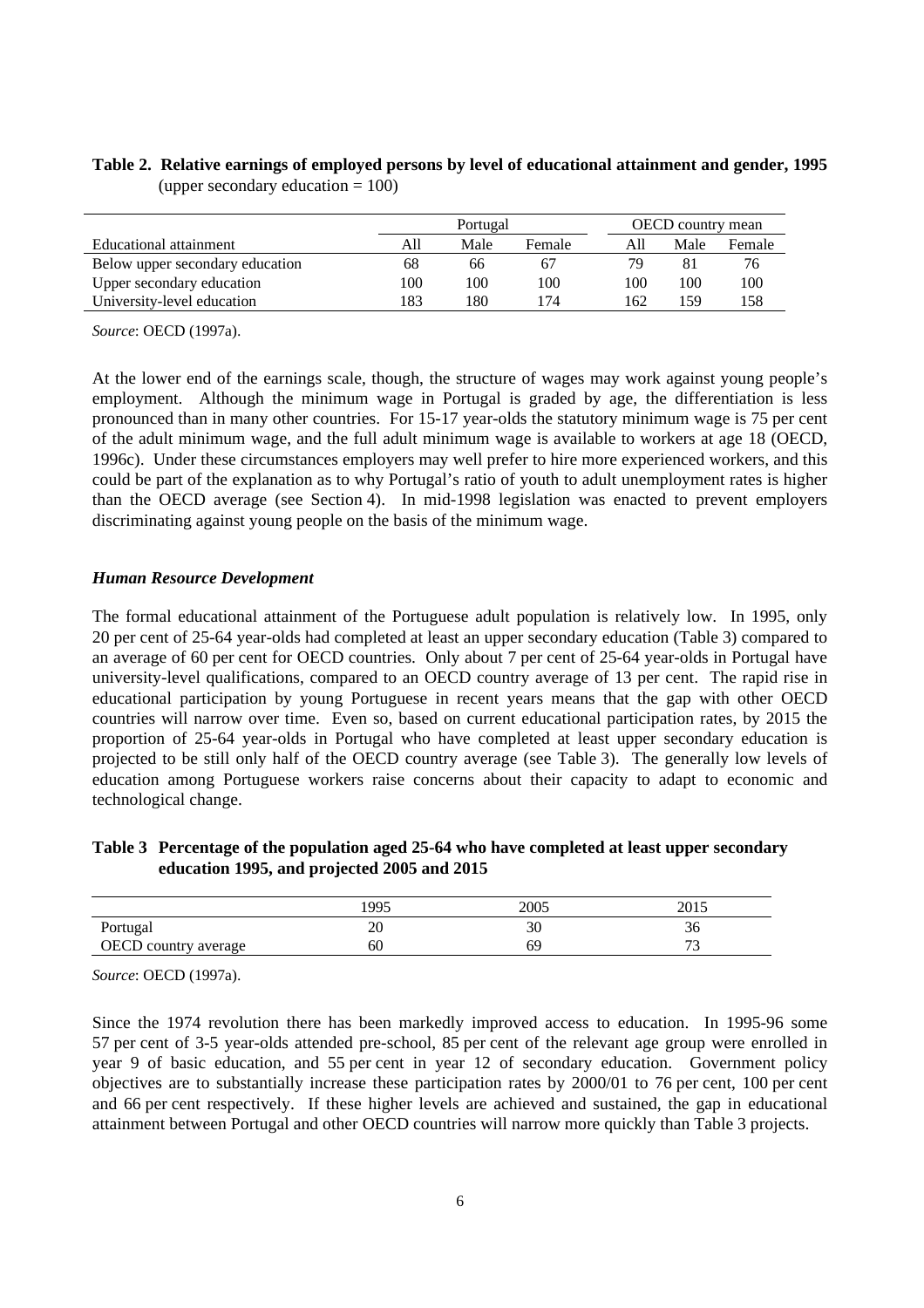## **Table 2. Relative earnings of employed persons by level of educational attainment and gender, 1995** (upper secondary education  $= 100$ )

|                                 | Portugal |      |        | <b>OECD</b> country mean |      |        |  |
|---------------------------------|----------|------|--------|--------------------------|------|--------|--|
| Educational attainment          | All      | Male | Female | A11                      | Male | Female |  |
| Below upper secondary education | 68       | 66   | 67     | 79                       |      |        |  |
| Upper secondary education       | 100      | 100  | 100    | 100                      | 100  | 100    |  |
| University-level education      | 183      | 180  | 74     | 162                      | 159  | .58    |  |

*Source*: OECD (1997a).

At the lower end of the earnings scale, though, the structure of wages may work against young people's employment. Although the minimum wage in Portugal is graded by age, the differentiation is less pronounced than in many other countries. For 15-17 year-olds the statutory minimum wage is 75 per cent of the adult minimum wage, and the full adult minimum wage is available to workers at age 18 (OECD, 1996c). Under these circumstances employers may well prefer to hire more experienced workers, and this could be part of the explanation as to why Portugal's ratio of youth to adult unemployment rates is higher than the OECD average (see Section 4). In mid-1998 legislation was enacted to prevent employers discriminating against young people on the basis of the minimum wage.

#### *Human Resource Development*

The formal educational attainment of the Portuguese adult population is relatively low. In 1995, only 20 per cent of 25-64 year-olds had completed at least an upper secondary education (Table 3) compared to an average of 60 per cent for OECD countries. Only about 7 per cent of 25-64 year-olds in Portugal have university-level qualifications, compared to an OECD country average of 13 per cent. The rapid rise in educational participation by young Portuguese in recent years means that the gap with other OECD countries will narrow over time. Even so, based on current educational participation rates, by 2015 the proportion of 25-64 year-olds in Portugal who have completed at least upper secondary education is projected to be still only half of the OECD country average (see Table 3). The generally low levels of education among Portuguese workers raise concerns about their capacity to adapt to economic and technological change.

## **Table 3 Percentage of the population aged 25-64 who have completed at least upper secondary education 1995, and projected 2005 and 2015**

|                      | 1995                 | 2005 | 2015<br>$201-$ |
|----------------------|----------------------|------|----------------|
| Portugal             | $\overline{f}$<br>ZU | 30   | 30             |
| OECD country average | OU                   | 69   | ~~<br>-        |

*Source*: OECD (1997a).

Since the 1974 revolution there has been markedly improved access to education. In 1995-96 some 57 per cent of 3-5 year-olds attended pre-school, 85 per cent of the relevant age group were enrolled in year 9 of basic education, and 55 per cent in year 12 of secondary education. Government policy objectives are to substantially increase these participation rates by 2000/01 to 76 per cent, 100 per cent and 66 per cent respectively. If these higher levels are achieved and sustained, the gap in educational attainment between Portugal and other OECD countries will narrow more quickly than Table 3 projects.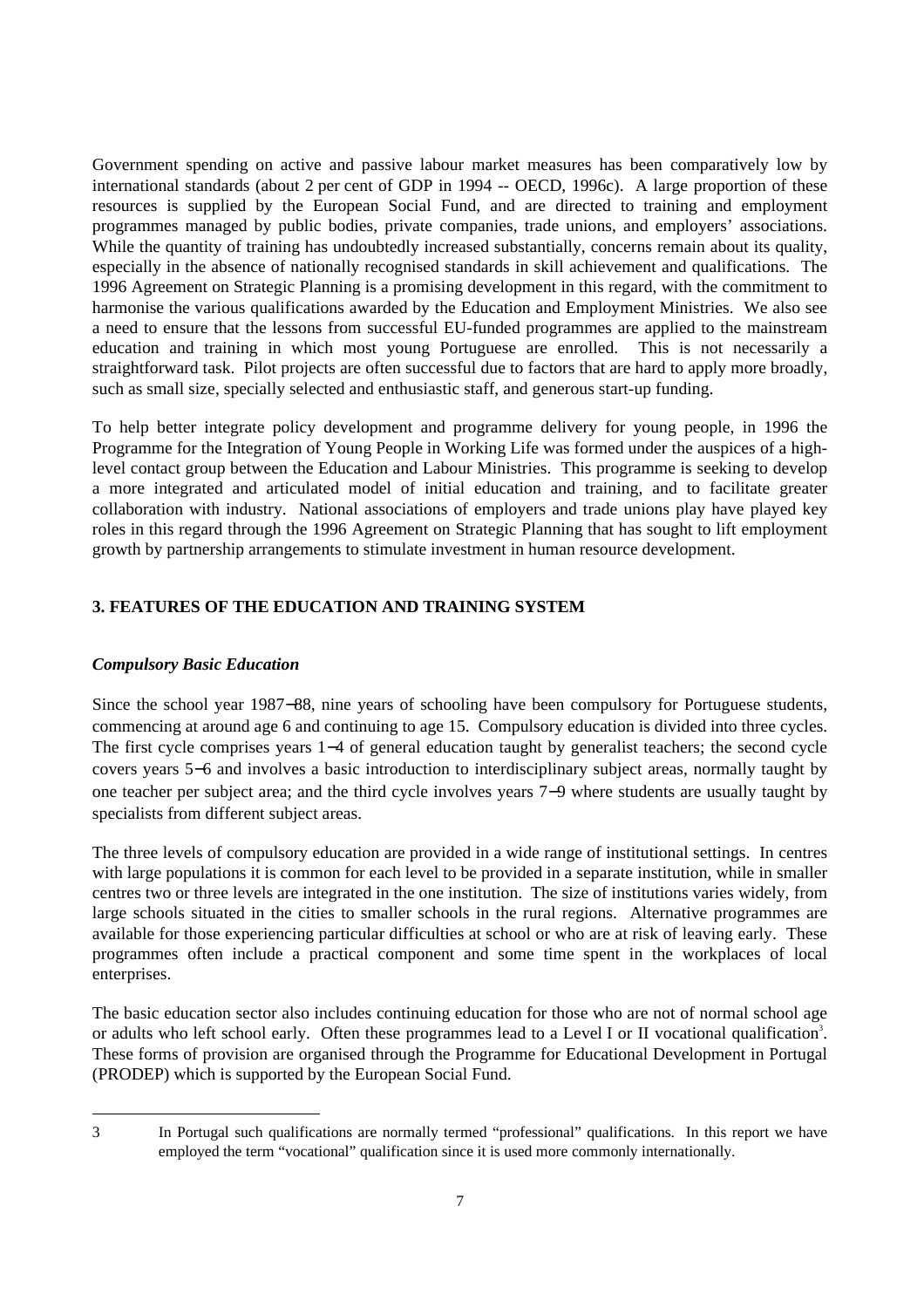Government spending on active and passive labour market measures has been comparatively low by international standards (about 2 per cent of GDP in 1994 -- OECD, 1996c). A large proportion of these resources is supplied by the European Social Fund, and are directed to training and employment programmes managed by public bodies, private companies, trade unions, and employers' associations. While the quantity of training has undoubtedly increased substantially, concerns remain about its quality, especially in the absence of nationally recognised standards in skill achievement and qualifications. The 1996 Agreement on Strategic Planning is a promising development in this regard, with the commitment to harmonise the various qualifications awarded by the Education and Employment Ministries. We also see a need to ensure that the lessons from successful EU-funded programmes are applied to the mainstream education and training in which most young Portuguese are enrolled. This is not necessarily a straightforward task. Pilot projects are often successful due to factors that are hard to apply more broadly, such as small size, specially selected and enthusiastic staff, and generous start-up funding.

To help better integrate policy development and programme delivery for young people, in 1996 the Programme for the Integration of Young People in Working Life was formed under the auspices of a highlevel contact group between the Education and Labour Ministries. This programme is seeking to develop a more integrated and articulated model of initial education and training, and to facilitate greater collaboration with industry. National associations of employers and trade unions play have played key roles in this regard through the 1996 Agreement on Strategic Planning that has sought to lift employment growth by partnership arrangements to stimulate investment in human resource development.

## **3. FEATURES OF THE EDUCATION AND TRAINING SYSTEM**

## *Compulsory Basic Education*

Since the school year 1987−88, nine years of schooling have been compulsory for Portuguese students, commencing at around age 6 and continuing to age 15. Compulsory education is divided into three cycles. The first cycle comprises years 1−4 of general education taught by generalist teachers; the second cycle covers years 5−6 and involves a basic introduction to interdisciplinary subject areas, normally taught by one teacher per subject area; and the third cycle involves years 7−9 where students are usually taught by specialists from different subject areas.

The three levels of compulsory education are provided in a wide range of institutional settings. In centres with large populations it is common for each level to be provided in a separate institution, while in smaller centres two or three levels are integrated in the one institution. The size of institutions varies widely, from large schools situated in the cities to smaller schools in the rural regions. Alternative programmes are available for those experiencing particular difficulties at school or who are at risk of leaving early. These programmes often include a practical component and some time spent in the workplaces of local enterprises.

The basic education sector also includes continuing education for those who are not of normal school age or adults who left school early. Often these programmes lead to a Level I or II vocational qualification<sup>3</sup>. These forms of provision are organised through the Programme for Educational Development in Portugal (PRODEP) which is supported by the European Social Fund.

<sup>3</sup> In Portugal such qualifications are normally termed "professional" qualifications. In this report we have employed the term "vocational" qualification since it is used more commonly internationally.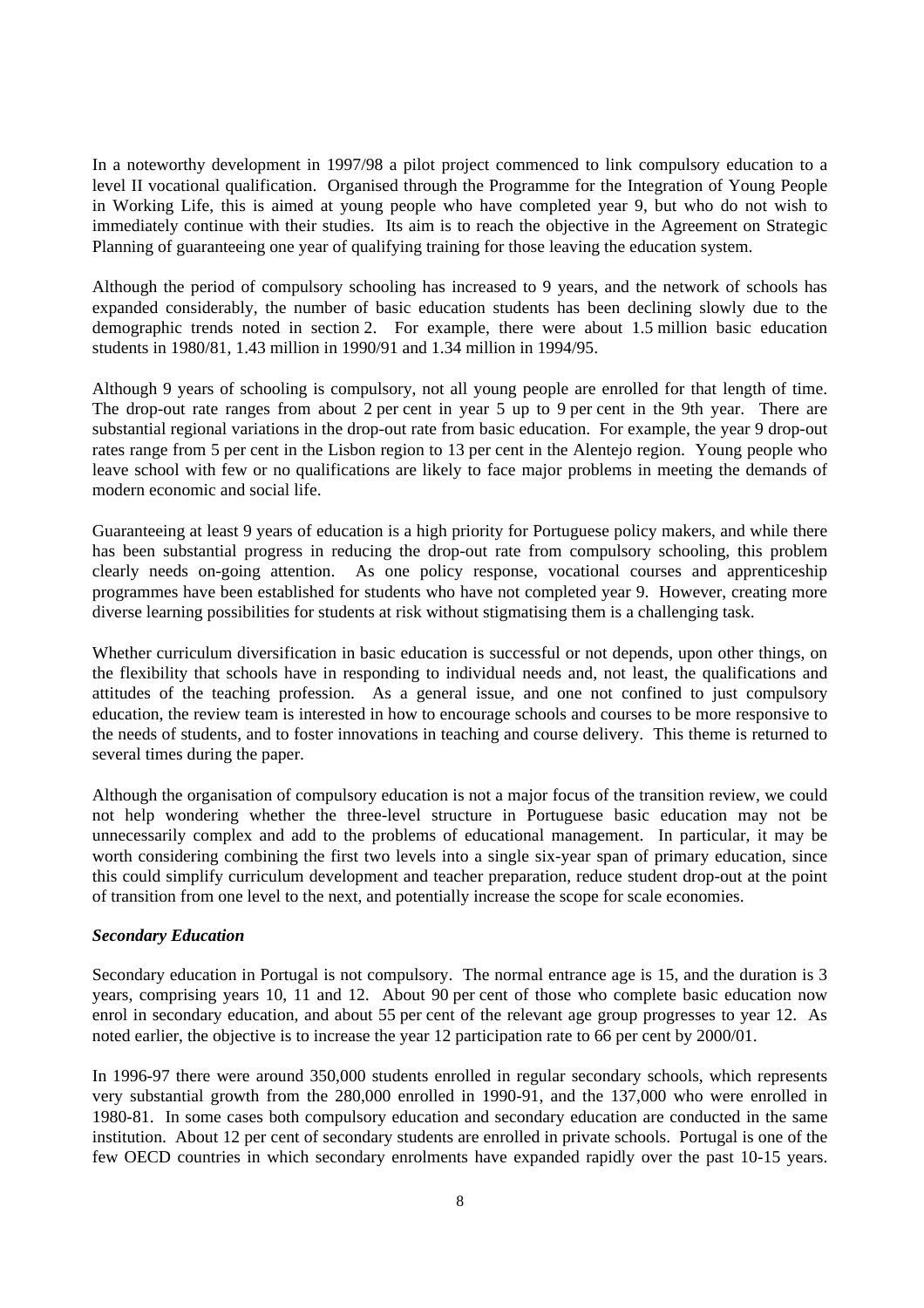In a noteworthy development in 1997/98 a pilot project commenced to link compulsory education to a level II vocational qualification. Organised through the Programme for the Integration of Young People in Working Life, this is aimed at young people who have completed year 9, but who do not wish to immediately continue with their studies. Its aim is to reach the objective in the Agreement on Strategic Planning of guaranteeing one year of qualifying training for those leaving the education system.

Although the period of compulsory schooling has increased to 9 years, and the network of schools has expanded considerably, the number of basic education students has been declining slowly due to the demographic trends noted in section 2. For example, there were about 1.5 million basic education students in 1980/81, 1.43 million in 1990/91 and 1.34 million in 1994/95.

Although 9 years of schooling is compulsory, not all young people are enrolled for that length of time. The drop-out rate ranges from about 2 per cent in year 5 up to 9 per cent in the 9th year. There are substantial regional variations in the drop-out rate from basic education. For example, the year 9 drop-out rates range from 5 per cent in the Lisbon region to 13 per cent in the Alentejo region. Young people who leave school with few or no qualifications are likely to face major problems in meeting the demands of modern economic and social life.

Guaranteeing at least 9 years of education is a high priority for Portuguese policy makers, and while there has been substantial progress in reducing the drop-out rate from compulsory schooling, this problem clearly needs on-going attention. As one policy response, vocational courses and apprenticeship programmes have been established for students who have not completed year 9. However, creating more diverse learning possibilities for students at risk without stigmatising them is a challenging task.

Whether curriculum diversification in basic education is successful or not depends, upon other things, on the flexibility that schools have in responding to individual needs and, not least, the qualifications and attitudes of the teaching profession. As a general issue, and one not confined to just compulsory education, the review team is interested in how to encourage schools and courses to be more responsive to the needs of students, and to foster innovations in teaching and course delivery. This theme is returned to several times during the paper.

Although the organisation of compulsory education is not a major focus of the transition review, we could not help wondering whether the three-level structure in Portuguese basic education may not be unnecessarily complex and add to the problems of educational management. In particular, it may be worth considering combining the first two levels into a single six-year span of primary education, since this could simplify curriculum development and teacher preparation, reduce student drop-out at the point of transition from one level to the next, and potentially increase the scope for scale economies.

#### *Secondary Education*

Secondary education in Portugal is not compulsory. The normal entrance age is 15, and the duration is 3 years, comprising years 10, 11 and 12. About 90 per cent of those who complete basic education now enrol in secondary education, and about 55 per cent of the relevant age group progresses to year 12. As noted earlier, the objective is to increase the year 12 participation rate to 66 per cent by 2000/01.

In 1996-97 there were around 350,000 students enrolled in regular secondary schools, which represents very substantial growth from the 280,000 enrolled in 1990-91, and the 137,000 who were enrolled in 1980-81. In some cases both compulsory education and secondary education are conducted in the same institution. About 12 per cent of secondary students are enrolled in private schools. Portugal is one of the few OECD countries in which secondary enrolments have expanded rapidly over the past 10-15 years.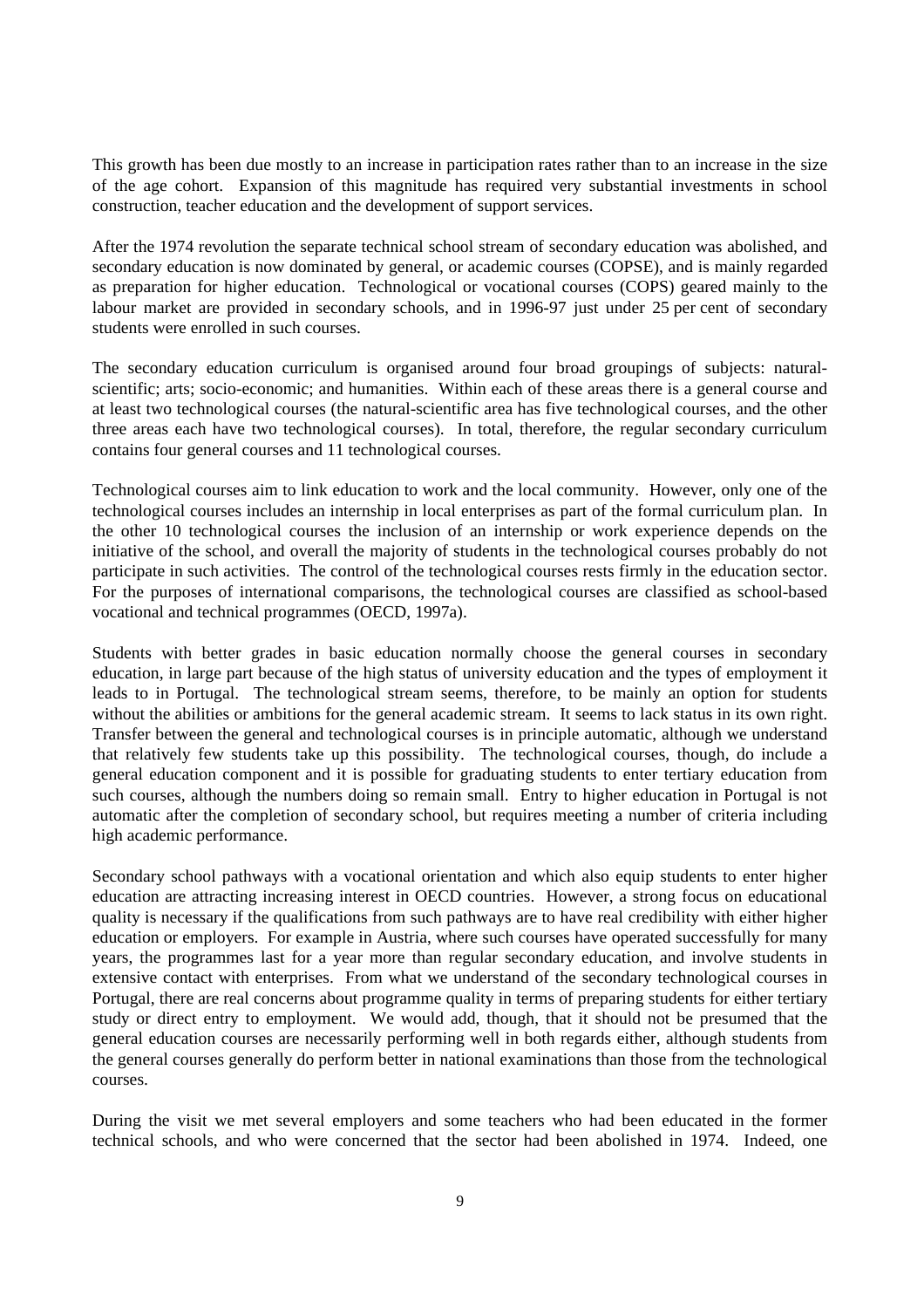This growth has been due mostly to an increase in participation rates rather than to an increase in the size of the age cohort. Expansion of this magnitude has required very substantial investments in school construction, teacher education and the development of support services.

After the 1974 revolution the separate technical school stream of secondary education was abolished, and secondary education is now dominated by general, or academic courses (COPSE), and is mainly regarded as preparation for higher education. Technological or vocational courses (COPS) geared mainly to the labour market are provided in secondary schools, and in 1996-97 just under 25 per cent of secondary students were enrolled in such courses.

The secondary education curriculum is organised around four broad groupings of subjects: naturalscientific; arts; socio-economic; and humanities. Within each of these areas there is a general course and at least two technological courses (the natural-scientific area has five technological courses, and the other three areas each have two technological courses). In total, therefore, the regular secondary curriculum contains four general courses and 11 technological courses.

Technological courses aim to link education to work and the local community. However, only one of the technological courses includes an internship in local enterprises as part of the formal curriculum plan. In the other 10 technological courses the inclusion of an internship or work experience depends on the initiative of the school, and overall the majority of students in the technological courses probably do not participate in such activities. The control of the technological courses rests firmly in the education sector. For the purposes of international comparisons, the technological courses are classified as school-based vocational and technical programmes (OECD, 1997a).

Students with better grades in basic education normally choose the general courses in secondary education, in large part because of the high status of university education and the types of employment it leads to in Portugal. The technological stream seems, therefore, to be mainly an option for students without the abilities or ambitions for the general academic stream. It seems to lack status in its own right. Transfer between the general and technological courses is in principle automatic, although we understand that relatively few students take up this possibility. The technological courses, though, do include a general education component and it is possible for graduating students to enter tertiary education from such courses, although the numbers doing so remain small. Entry to higher education in Portugal is not automatic after the completion of secondary school, but requires meeting a number of criteria including high academic performance.

Secondary school pathways with a vocational orientation and which also equip students to enter higher education are attracting increasing interest in OECD countries. However, a strong focus on educational quality is necessary if the qualifications from such pathways are to have real credibility with either higher education or employers. For example in Austria, where such courses have operated successfully for many years, the programmes last for a year more than regular secondary education, and involve students in extensive contact with enterprises. From what we understand of the secondary technological courses in Portugal, there are real concerns about programme quality in terms of preparing students for either tertiary study or direct entry to employment. We would add, though, that it should not be presumed that the general education courses are necessarily performing well in both regards either, although students from the general courses generally do perform better in national examinations than those from the technological courses.

During the visit we met several employers and some teachers who had been educated in the former technical schools, and who were concerned that the sector had been abolished in 1974. Indeed, one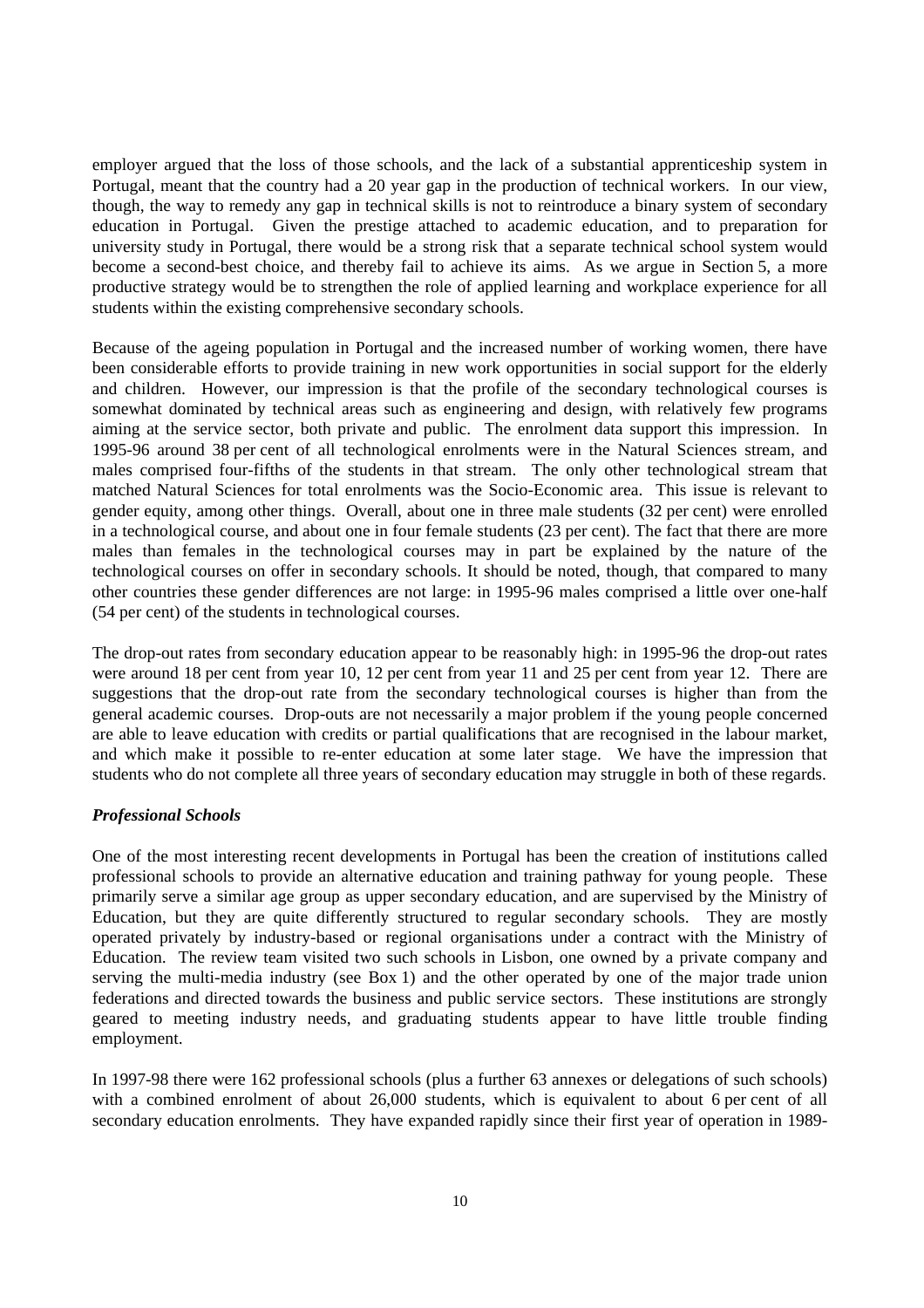employer argued that the loss of those schools, and the lack of a substantial apprenticeship system in Portugal, meant that the country had a 20 year gap in the production of technical workers. In our view, though, the way to remedy any gap in technical skills is not to reintroduce a binary system of secondary education in Portugal. Given the prestige attached to academic education, and to preparation for university study in Portugal, there would be a strong risk that a separate technical school system would become a second-best choice, and thereby fail to achieve its aims. As we argue in Section 5, a more productive strategy would be to strengthen the role of applied learning and workplace experience for all students within the existing comprehensive secondary schools.

Because of the ageing population in Portugal and the increased number of working women, there have been considerable efforts to provide training in new work opportunities in social support for the elderly and children. However, our impression is that the profile of the secondary technological courses is somewhat dominated by technical areas such as engineering and design, with relatively few programs aiming at the service sector, both private and public. The enrolment data support this impression. In 1995-96 around 38 per cent of all technological enrolments were in the Natural Sciences stream, and males comprised four-fifths of the students in that stream. The only other technological stream that matched Natural Sciences for total enrolments was the Socio-Economic area. This issue is relevant to gender equity, among other things. Overall, about one in three male students (32 per cent) were enrolled in a technological course, and about one in four female students (23 per cent). The fact that there are more males than females in the technological courses may in part be explained by the nature of the technological courses on offer in secondary schools. It should be noted, though, that compared to many other countries these gender differences are not large: in 1995-96 males comprised a little over one-half (54 per cent) of the students in technological courses.

The drop-out rates from secondary education appear to be reasonably high: in 1995-96 the drop-out rates were around 18 per cent from year 10, 12 per cent from year 11 and 25 per cent from year 12. There are suggestions that the drop-out rate from the secondary technological courses is higher than from the general academic courses. Drop-outs are not necessarily a major problem if the young people concerned are able to leave education with credits or partial qualifications that are recognised in the labour market, and which make it possible to re-enter education at some later stage. We have the impression that students who do not complete all three years of secondary education may struggle in both of these regards.

#### *Professional Schools*

One of the most interesting recent developments in Portugal has been the creation of institutions called professional schools to provide an alternative education and training pathway for young people. These primarily serve a similar age group as upper secondary education, and are supervised by the Ministry of Education, but they are quite differently structured to regular secondary schools. They are mostly operated privately by industry-based or regional organisations under a contract with the Ministry of Education. The review team visited two such schools in Lisbon, one owned by a private company and serving the multi-media industry (see Box 1) and the other operated by one of the major trade union federations and directed towards the business and public service sectors. These institutions are strongly geared to meeting industry needs, and graduating students appear to have little trouble finding employment.

In 1997-98 there were 162 professional schools (plus a further 63 annexes or delegations of such schools) with a combined enrolment of about 26,000 students, which is equivalent to about 6 per cent of all secondary education enrolments. They have expanded rapidly since their first year of operation in 1989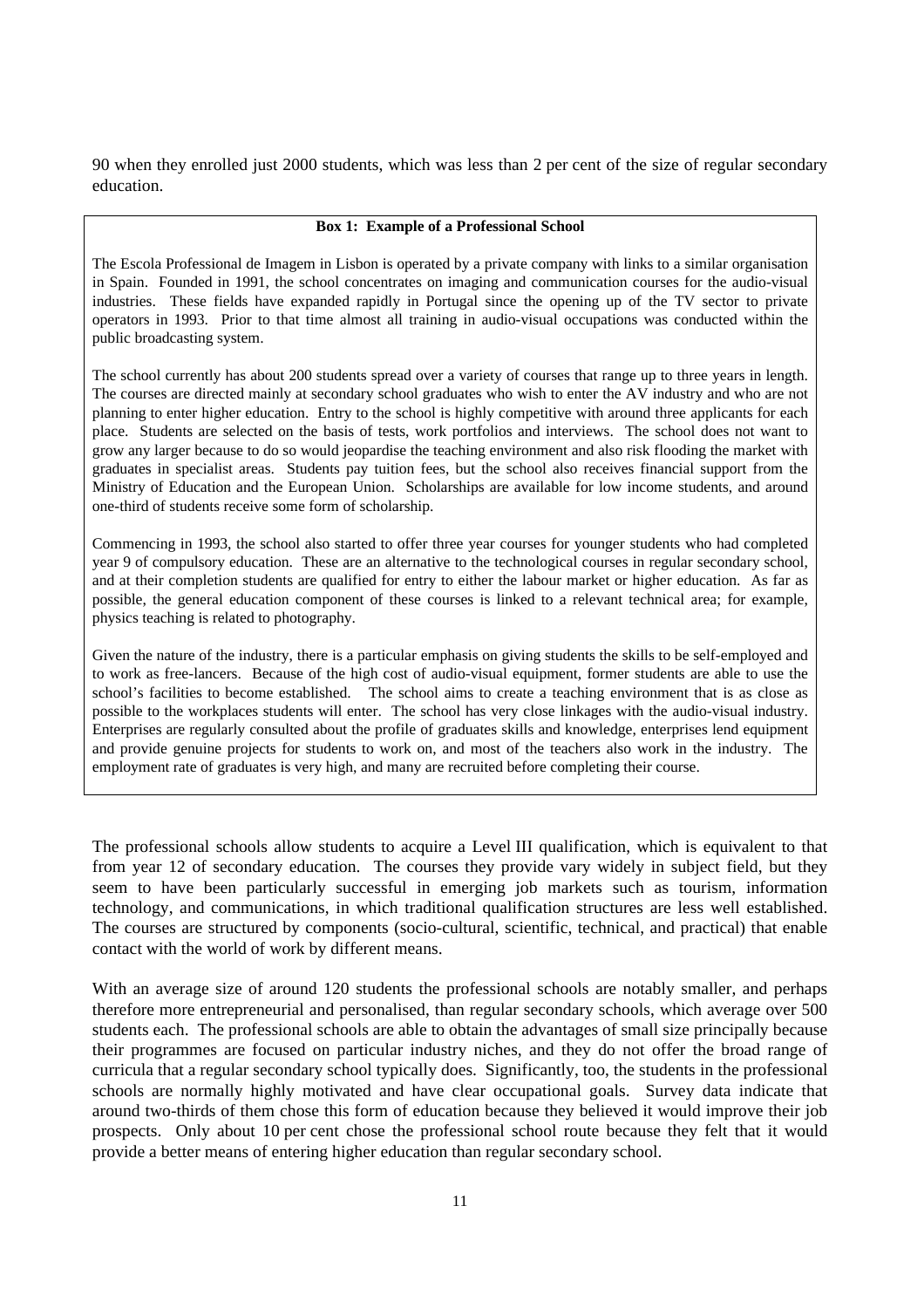90 when they enrolled just 2000 students, which was less than 2 per cent of the size of regular secondary education.

#### **Box 1: Example of a Professional School**

The Escola Professional de Imagem in Lisbon is operated by a private company with links to a similar organisation in Spain. Founded in 1991, the school concentrates on imaging and communication courses for the audio-visual industries. These fields have expanded rapidly in Portugal since the opening up of the TV sector to private operators in 1993. Prior to that time almost all training in audio-visual occupations was conducted within the public broadcasting system.

The school currently has about 200 students spread over a variety of courses that range up to three years in length. The courses are directed mainly at secondary school graduates who wish to enter the AV industry and who are not planning to enter higher education. Entry to the school is highly competitive with around three applicants for each place. Students are selected on the basis of tests, work portfolios and interviews. The school does not want to grow any larger because to do so would jeopardise the teaching environment and also risk flooding the market with graduates in specialist areas. Students pay tuition fees, but the school also receives financial support from the Ministry of Education and the European Union. Scholarships are available for low income students, and around one-third of students receive some form of scholarship.

Commencing in 1993, the school also started to offer three year courses for younger students who had completed year 9 of compulsory education. These are an alternative to the technological courses in regular secondary school, and at their completion students are qualified for entry to either the labour market or higher education. As far as possible, the general education component of these courses is linked to a relevant technical area; for example, physics teaching is related to photography.

Given the nature of the industry, there is a particular emphasis on giving students the skills to be self-employed and to work as free-lancers. Because of the high cost of audio-visual equipment, former students are able to use the school's facilities to become established. The school aims to create a teaching environment that is as close as possible to the workplaces students will enter. The school has very close linkages with the audio-visual industry. Enterprises are regularly consulted about the profile of graduates skills and knowledge, enterprises lend equipment and provide genuine projects for students to work on, and most of the teachers also work in the industry. The employment rate of graduates is very high, and many are recruited before completing their course.

The professional schools allow students to acquire a Level III qualification, which is equivalent to that from year 12 of secondary education. The courses they provide vary widely in subject field, but they seem to have been particularly successful in emerging job markets such as tourism, information technology, and communications, in which traditional qualification structures are less well established. The courses are structured by components (socio-cultural, scientific, technical, and practical) that enable contact with the world of work by different means.

With an average size of around 120 students the professional schools are notably smaller, and perhaps therefore more entrepreneurial and personalised, than regular secondary schools, which average over 500 students each. The professional schools are able to obtain the advantages of small size principally because their programmes are focused on particular industry niches, and they do not offer the broad range of curricula that a regular secondary school typically does. Significantly, too, the students in the professional schools are normally highly motivated and have clear occupational goals. Survey data indicate that around two-thirds of them chose this form of education because they believed it would improve their job prospects. Only about 10 per cent chose the professional school route because they felt that it would provide a better means of entering higher education than regular secondary school.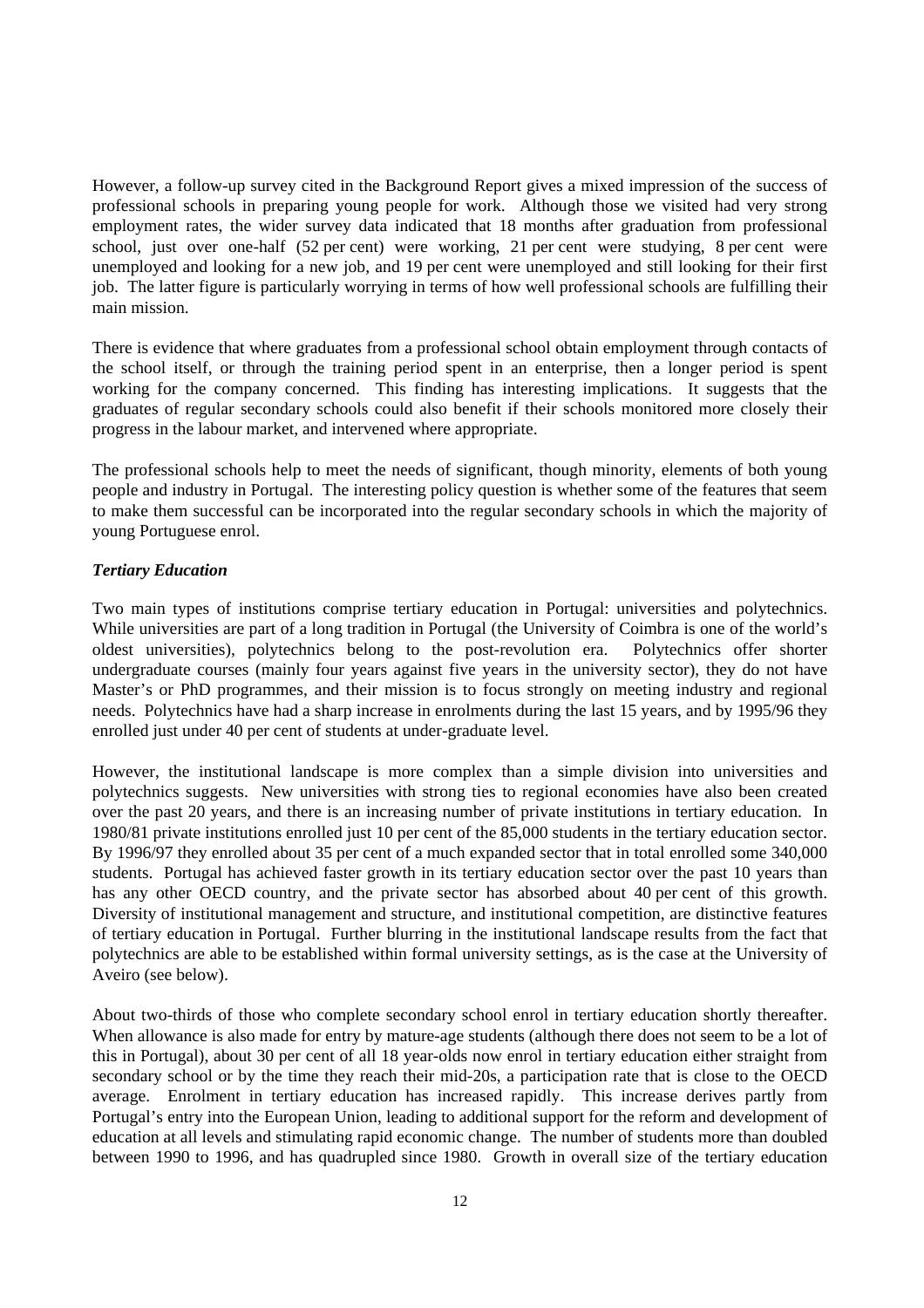However, a follow-up survey cited in the Background Report gives a mixed impression of the success of professional schools in preparing young people for work. Although those we visited had very strong employment rates, the wider survey data indicated that 18 months after graduation from professional school, just over one-half (52 per cent) were working, 21 per cent were studying, 8 per cent were unemployed and looking for a new job, and 19 per cent were unemployed and still looking for their first job. The latter figure is particularly worrying in terms of how well professional schools are fulfilling their main mission.

There is evidence that where graduates from a professional school obtain employment through contacts of the school itself, or through the training period spent in an enterprise, then a longer period is spent working for the company concerned. This finding has interesting implications. It suggests that the graduates of regular secondary schools could also benefit if their schools monitored more closely their progress in the labour market, and intervened where appropriate.

The professional schools help to meet the needs of significant, though minority, elements of both young people and industry in Portugal. The interesting policy question is whether some of the features that seem to make them successful can be incorporated into the regular secondary schools in which the majority of young Portuguese enrol.

## *Tertiary Education*

Two main types of institutions comprise tertiary education in Portugal: universities and polytechnics. While universities are part of a long tradition in Portugal (the University of Coimbra is one of the world's oldest universities), polytechnics belong to the post-revolution era. Polytechnics offer shorter undergraduate courses (mainly four years against five years in the university sector), they do not have Master's or PhD programmes, and their mission is to focus strongly on meeting industry and regional needs. Polytechnics have had a sharp increase in enrolments during the last 15 years, and by 1995/96 they enrolled just under 40 per cent of students at under-graduate level.

However, the institutional landscape is more complex than a simple division into universities and polytechnics suggests. New universities with strong ties to regional economies have also been created over the past 20 years, and there is an increasing number of private institutions in tertiary education. In 1980/81 private institutions enrolled just 10 per cent of the 85,000 students in the tertiary education sector. By 1996/97 they enrolled about 35 per cent of a much expanded sector that in total enrolled some 340,000 students. Portugal has achieved faster growth in its tertiary education sector over the past 10 years than has any other OECD country, and the private sector has absorbed about 40 per cent of this growth. Diversity of institutional management and structure, and institutional competition, are distinctive features of tertiary education in Portugal. Further blurring in the institutional landscape results from the fact that polytechnics are able to be established within formal university settings, as is the case at the University of Aveiro (see below).

About two-thirds of those who complete secondary school enrol in tertiary education shortly thereafter. When allowance is also made for entry by mature-age students (although there does not seem to be a lot of this in Portugal), about 30 per cent of all 18 year-olds now enrol in tertiary education either straight from secondary school or by the time they reach their mid-20s, a participation rate that is close to the OECD average. Enrolment in tertiary education has increased rapidly. This increase derives partly from Portugal's entry into the European Union, leading to additional support for the reform and development of education at all levels and stimulating rapid economic change. The number of students more than doubled between 1990 to 1996, and has quadrupled since 1980. Growth in overall size of the tertiary education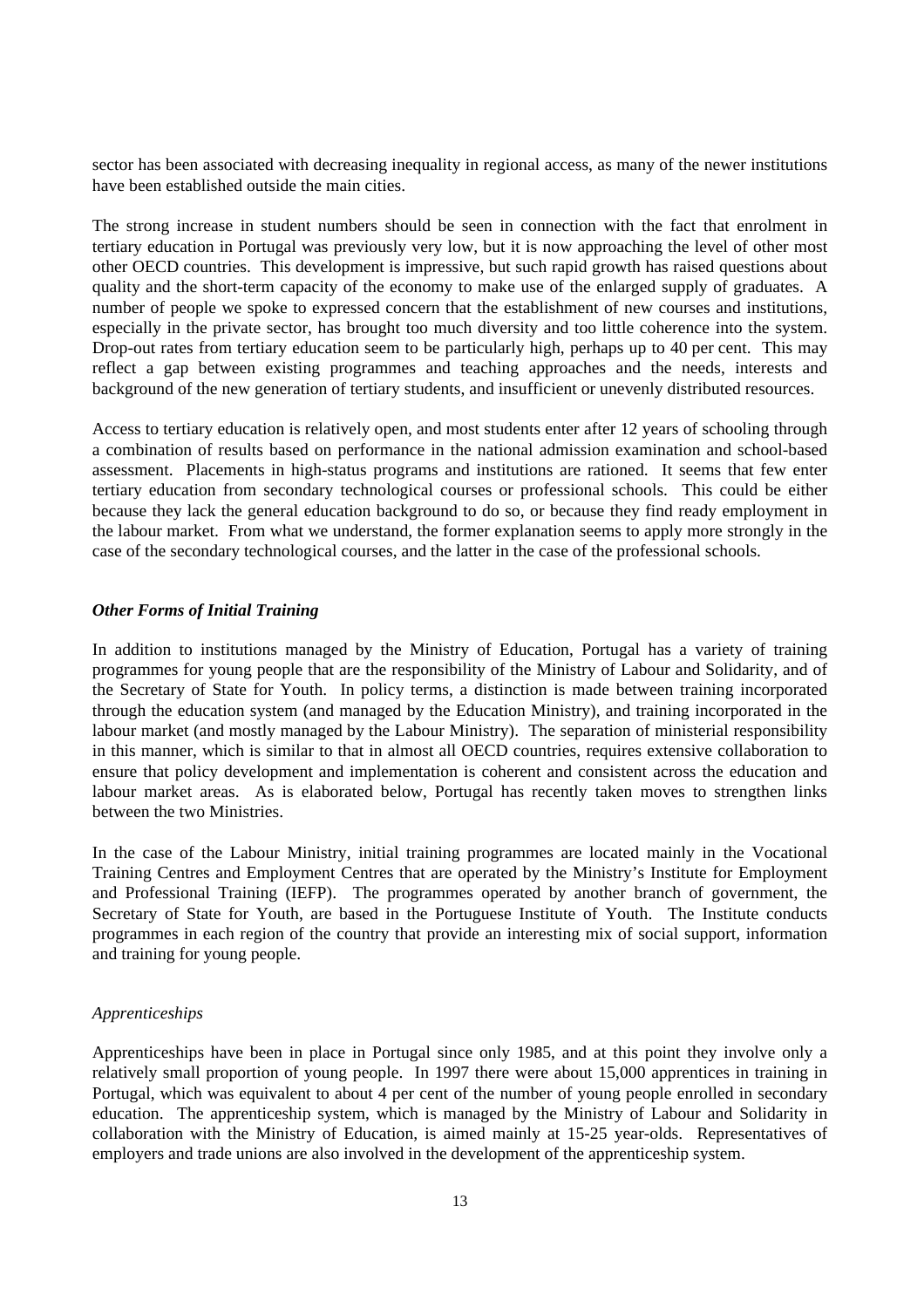sector has been associated with decreasing inequality in regional access, as many of the newer institutions have been established outside the main cities.

The strong increase in student numbers should be seen in connection with the fact that enrolment in tertiary education in Portugal was previously very low, but it is now approaching the level of other most other OECD countries. This development is impressive, but such rapid growth has raised questions about quality and the short-term capacity of the economy to make use of the enlarged supply of graduates. A number of people we spoke to expressed concern that the establishment of new courses and institutions, especially in the private sector, has brought too much diversity and too little coherence into the system. Drop-out rates from tertiary education seem to be particularly high, perhaps up to 40 per cent. This may reflect a gap between existing programmes and teaching approaches and the needs, interests and background of the new generation of tertiary students, and insufficient or unevenly distributed resources.

Access to tertiary education is relatively open, and most students enter after 12 years of schooling through a combination of results based on performance in the national admission examination and school-based assessment. Placements in high-status programs and institutions are rationed. It seems that few enter tertiary education from secondary technological courses or professional schools. This could be either because they lack the general education background to do so, or because they find ready employment in the labour market. From what we understand, the former explanation seems to apply more strongly in the case of the secondary technological courses, and the latter in the case of the professional schools.

#### *Other Forms of Initial Training*

In addition to institutions managed by the Ministry of Education, Portugal has a variety of training programmes for young people that are the responsibility of the Ministry of Labour and Solidarity, and of the Secretary of State for Youth. In policy terms, a distinction is made between training incorporated through the education system (and managed by the Education Ministry), and training incorporated in the labour market (and mostly managed by the Labour Ministry). The separation of ministerial responsibility in this manner, which is similar to that in almost all OECD countries, requires extensive collaboration to ensure that policy development and implementation is coherent and consistent across the education and labour market areas. As is elaborated below, Portugal has recently taken moves to strengthen links between the two Ministries.

In the case of the Labour Ministry, initial training programmes are located mainly in the Vocational Training Centres and Employment Centres that are operated by the Ministry's Institute for Employment and Professional Training (IEFP). The programmes operated by another branch of government, the Secretary of State for Youth, are based in the Portuguese Institute of Youth. The Institute conducts programmes in each region of the country that provide an interesting mix of social support, information and training for young people.

#### *Apprenticeships*

Apprenticeships have been in place in Portugal since only 1985, and at this point they involve only a relatively small proportion of young people. In 1997 there were about 15,000 apprentices in training in Portugal, which was equivalent to about 4 per cent of the number of young people enrolled in secondary education. The apprenticeship system, which is managed by the Ministry of Labour and Solidarity in collaboration with the Ministry of Education, is aimed mainly at 15-25 year-olds. Representatives of employers and trade unions are also involved in the development of the apprenticeship system.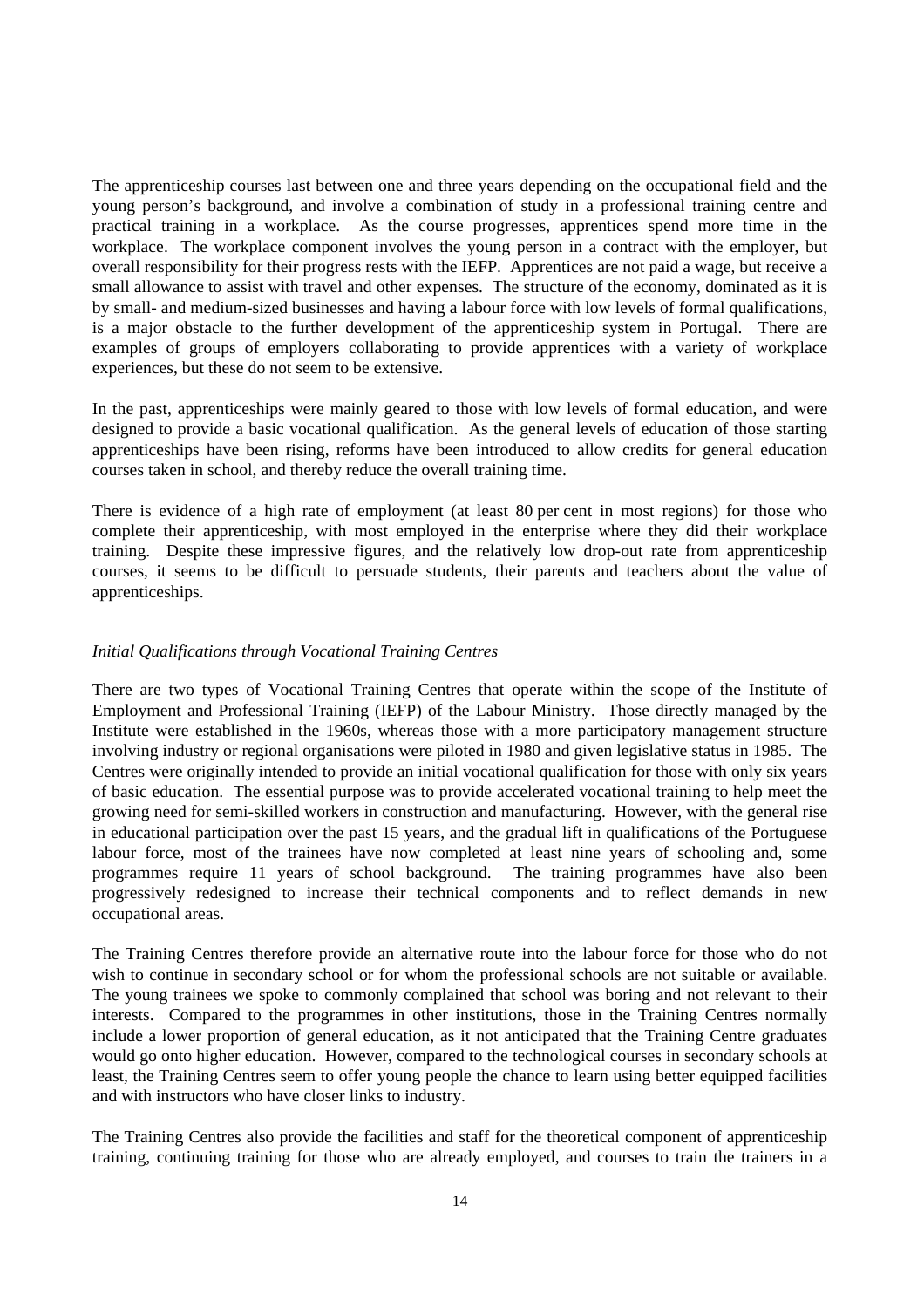The apprenticeship courses last between one and three years depending on the occupational field and the young person's background, and involve a combination of study in a professional training centre and practical training in a workplace. As the course progresses, apprentices spend more time in the workplace. The workplace component involves the young person in a contract with the employer, but overall responsibility for their progress rests with the IEFP. Apprentices are not paid a wage, but receive a small allowance to assist with travel and other expenses. The structure of the economy, dominated as it is by small- and medium-sized businesses and having a labour force with low levels of formal qualifications, is a major obstacle to the further development of the apprenticeship system in Portugal. There are examples of groups of employers collaborating to provide apprentices with a variety of workplace experiences, but these do not seem to be extensive.

In the past, apprenticeships were mainly geared to those with low levels of formal education, and were designed to provide a basic vocational qualification. As the general levels of education of those starting apprenticeships have been rising, reforms have been introduced to allow credits for general education courses taken in school, and thereby reduce the overall training time.

There is evidence of a high rate of employment (at least 80 per cent in most regions) for those who complete their apprenticeship, with most employed in the enterprise where they did their workplace training. Despite these impressive figures, and the relatively low drop-out rate from apprenticeship courses, it seems to be difficult to persuade students, their parents and teachers about the value of apprenticeships.

#### *Initial Qualifications through Vocational Training Centres*

There are two types of Vocational Training Centres that operate within the scope of the Institute of Employment and Professional Training (IEFP) of the Labour Ministry. Those directly managed by the Institute were established in the 1960s, whereas those with a more participatory management structure involving industry or regional organisations were piloted in 1980 and given legislative status in 1985. The Centres were originally intended to provide an initial vocational qualification for those with only six years of basic education. The essential purpose was to provide accelerated vocational training to help meet the growing need for semi-skilled workers in construction and manufacturing. However, with the general rise in educational participation over the past 15 years, and the gradual lift in qualifications of the Portuguese labour force, most of the trainees have now completed at least nine years of schooling and, some programmes require 11 years of school background. The training programmes have also been progressively redesigned to increase their technical components and to reflect demands in new occupational areas.

The Training Centres therefore provide an alternative route into the labour force for those who do not wish to continue in secondary school or for whom the professional schools are not suitable or available. The young trainees we spoke to commonly complained that school was boring and not relevant to their interests. Compared to the programmes in other institutions, those in the Training Centres normally include a lower proportion of general education, as it not anticipated that the Training Centre graduates would go onto higher education. However, compared to the technological courses in secondary schools at least, the Training Centres seem to offer young people the chance to learn using better equipped facilities and with instructors who have closer links to industry.

The Training Centres also provide the facilities and staff for the theoretical component of apprenticeship training, continuing training for those who are already employed, and courses to train the trainers in a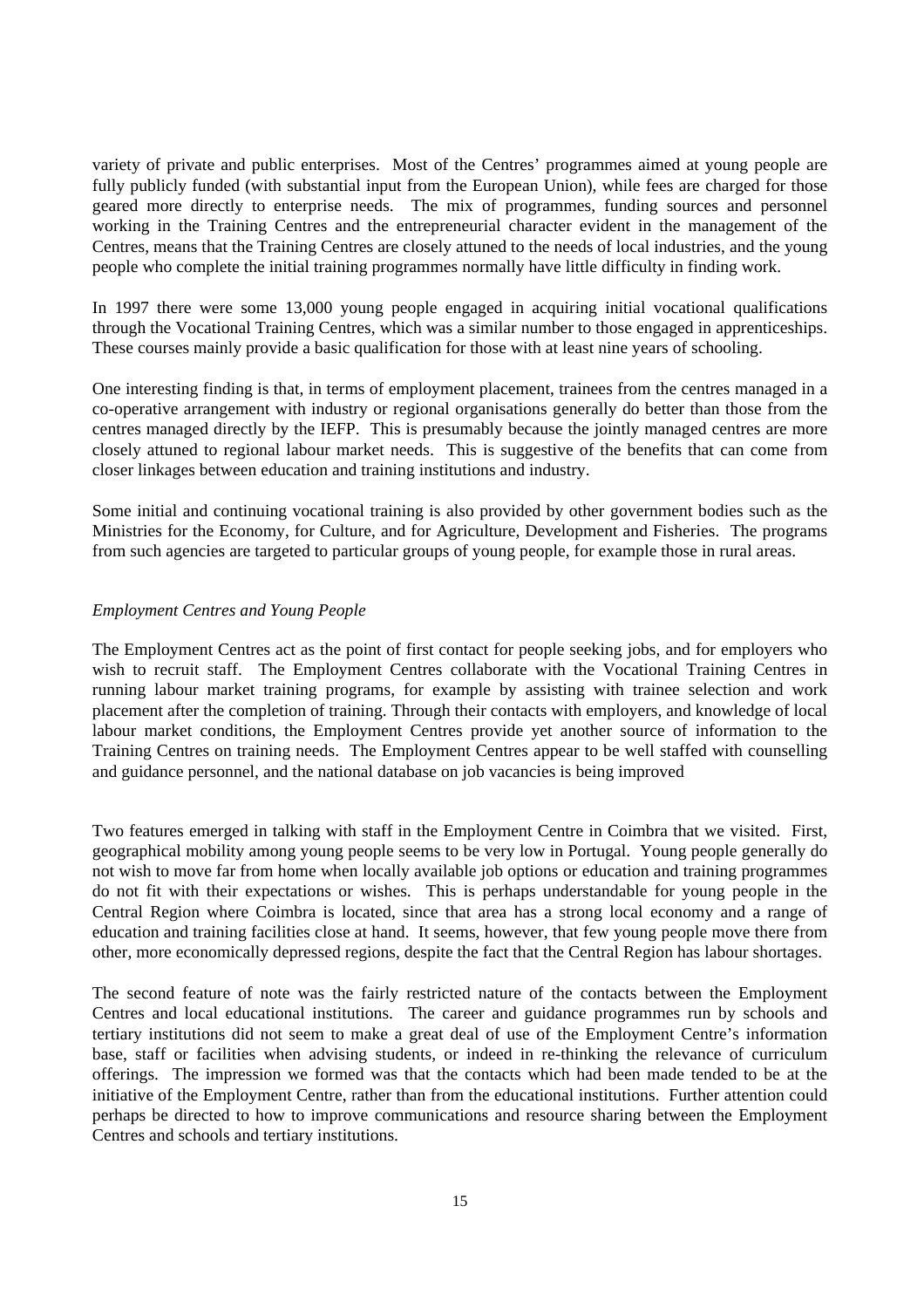variety of private and public enterprises. Most of the Centres' programmes aimed at young people are fully publicly funded (with substantial input from the European Union), while fees are charged for those geared more directly to enterprise needs. The mix of programmes, funding sources and personnel working in the Training Centres and the entrepreneurial character evident in the management of the Centres, means that the Training Centres are closely attuned to the needs of local industries, and the young people who complete the initial training programmes normally have little difficulty in finding work.

In 1997 there were some 13,000 young people engaged in acquiring initial vocational qualifications through the Vocational Training Centres, which was a similar number to those engaged in apprenticeships. These courses mainly provide a basic qualification for those with at least nine years of schooling.

One interesting finding is that, in terms of employment placement, trainees from the centres managed in a co-operative arrangement with industry or regional organisations generally do better than those from the centres managed directly by the IEFP. This is presumably because the jointly managed centres are more closely attuned to regional labour market needs. This is suggestive of the benefits that can come from closer linkages between education and training institutions and industry.

Some initial and continuing vocational training is also provided by other government bodies such as the Ministries for the Economy, for Culture, and for Agriculture, Development and Fisheries. The programs from such agencies are targeted to particular groups of young people, for example those in rural areas.

#### *Employment Centres and Young People*

The Employment Centres act as the point of first contact for people seeking jobs, and for employers who wish to recruit staff. The Employment Centres collaborate with the Vocational Training Centres in running labour market training programs, for example by assisting with trainee selection and work placement after the completion of training. Through their contacts with employers, and knowledge of local labour market conditions, the Employment Centres provide yet another source of information to the Training Centres on training needs. The Employment Centres appear to be well staffed with counselling and guidance personnel, and the national database on job vacancies is being improved

Two features emerged in talking with staff in the Employment Centre in Coimbra that we visited. First, geographical mobility among young people seems to be very low in Portugal. Young people generally do not wish to move far from home when locally available job options or education and training programmes do not fit with their expectations or wishes. This is perhaps understandable for young people in the Central Region where Coimbra is located, since that area has a strong local economy and a range of education and training facilities close at hand. It seems, however, that few young people move there from other, more economically depressed regions, despite the fact that the Central Region has labour shortages.

The second feature of note was the fairly restricted nature of the contacts between the Employment Centres and local educational institutions. The career and guidance programmes run by schools and tertiary institutions did not seem to make a great deal of use of the Employment Centre's information base, staff or facilities when advising students, or indeed in re-thinking the relevance of curriculum offerings. The impression we formed was that the contacts which had been made tended to be at the initiative of the Employment Centre, rather than from the educational institutions. Further attention could perhaps be directed to how to improve communications and resource sharing between the Employment Centres and schools and tertiary institutions.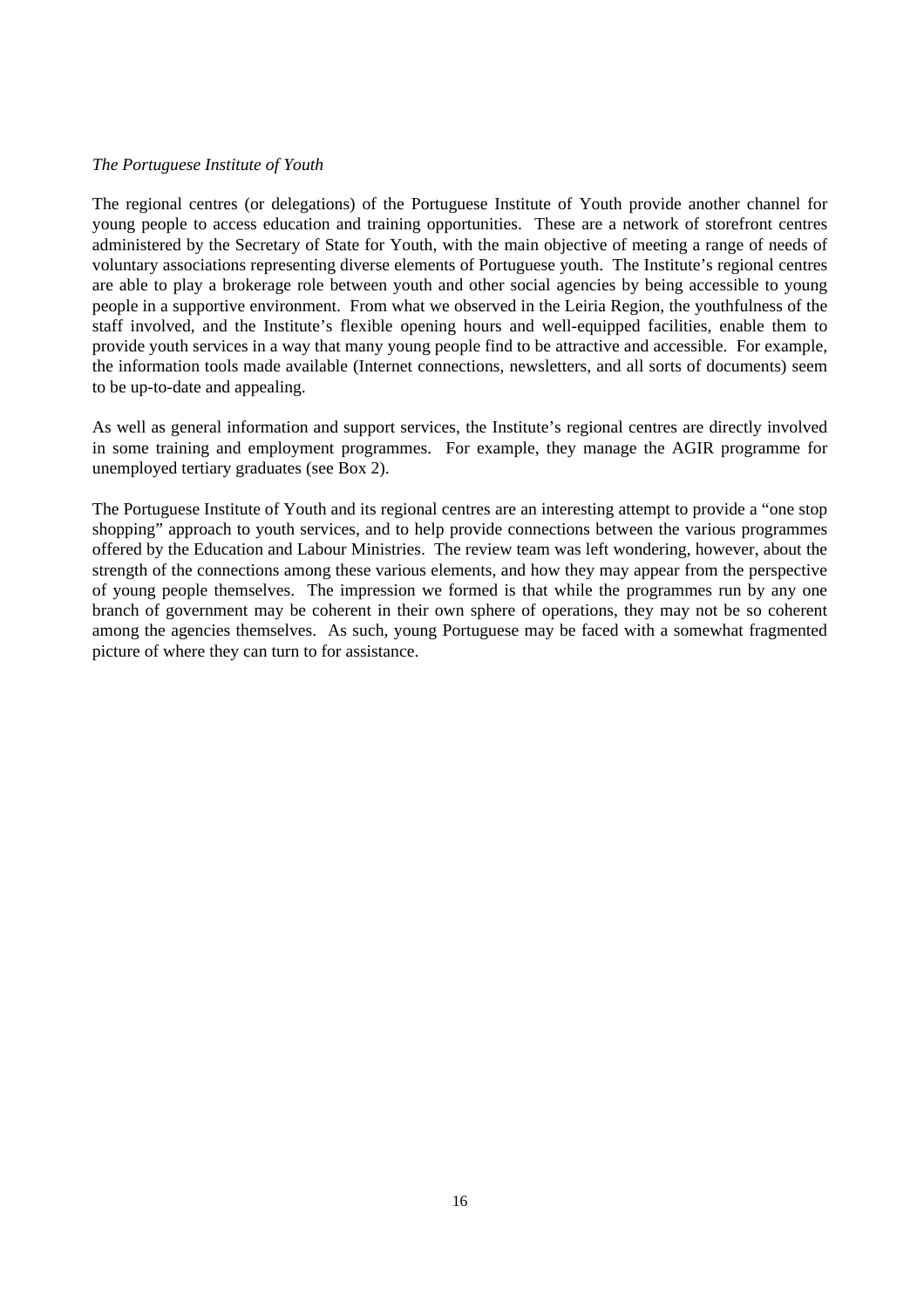#### *The Portuguese Institute of Youth*

The regional centres (or delegations) of the Portuguese Institute of Youth provide another channel for young people to access education and training opportunities. These are a network of storefront centres administered by the Secretary of State for Youth, with the main objective of meeting a range of needs of voluntary associations representing diverse elements of Portuguese youth. The Institute's regional centres are able to play a brokerage role between youth and other social agencies by being accessible to young people in a supportive environment. From what we observed in the Leiria Region, the youthfulness of the staff involved, and the Institute's flexible opening hours and well-equipped facilities, enable them to provide youth services in a way that many young people find to be attractive and accessible. For example, the information tools made available (Internet connections, newsletters, and all sorts of documents) seem to be up-to-date and appealing.

As well as general information and support services, the Institute's regional centres are directly involved in some training and employment programmes. For example, they manage the AGIR programme for unemployed tertiary graduates (see Box 2).

The Portuguese Institute of Youth and its regional centres are an interesting attempt to provide a "one stop shopping" approach to youth services, and to help provide connections between the various programmes offered by the Education and Labour Ministries. The review team was left wondering, however, about the strength of the connections among these various elements, and how they may appear from the perspective of young people themselves. The impression we formed is that while the programmes run by any one branch of government may be coherent in their own sphere of operations, they may not be so coherent among the agencies themselves. As such, young Portuguese may be faced with a somewhat fragmented picture of where they can turn to for assistance.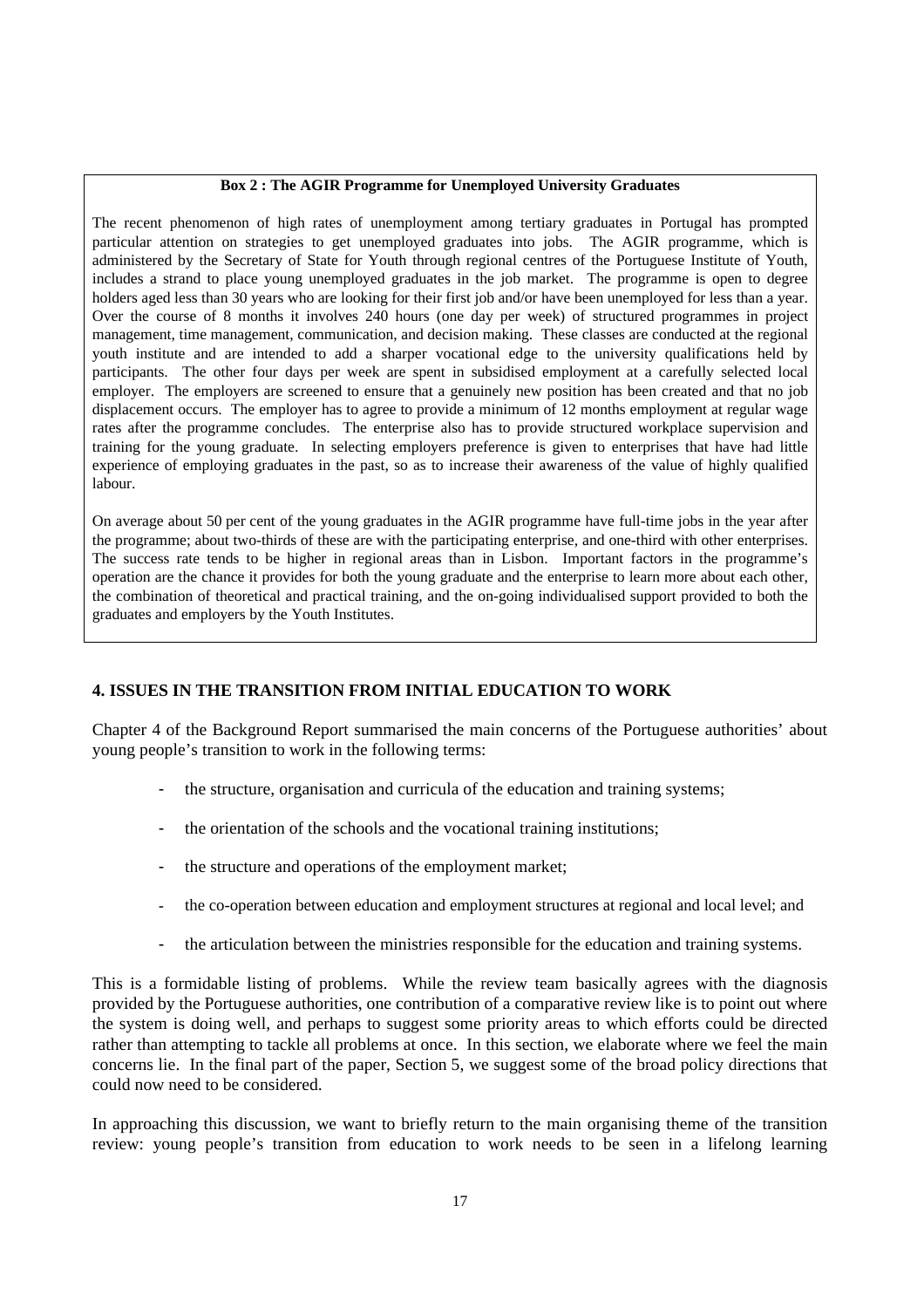#### **Box 2 : The AGIR Programme for Unemployed University Graduates**

The recent phenomenon of high rates of unemployment among tertiary graduates in Portugal has prompted particular attention on strategies to get unemployed graduates into jobs. The AGIR programme, which is administered by the Secretary of State for Youth through regional centres of the Portuguese Institute of Youth, includes a strand to place young unemployed graduates in the job market. The programme is open to degree holders aged less than 30 years who are looking for their first job and/or have been unemployed for less than a year. Over the course of 8 months it involves 240 hours (one day per week) of structured programmes in project management, time management, communication, and decision making. These classes are conducted at the regional youth institute and are intended to add a sharper vocational edge to the university qualifications held by participants. The other four days per week are spent in subsidised employment at a carefully selected local employer. The employers are screened to ensure that a genuinely new position has been created and that no job displacement occurs. The employer has to agree to provide a minimum of 12 months employment at regular wage rates after the programme concludes. The enterprise also has to provide structured workplace supervision and training for the young graduate. In selecting employers preference is given to enterprises that have had little experience of employing graduates in the past, so as to increase their awareness of the value of highly qualified labour.

On average about 50 per cent of the young graduates in the AGIR programme have full-time jobs in the year after the programme; about two-thirds of these are with the participating enterprise, and one-third with other enterprises. The success rate tends to be higher in regional areas than in Lisbon. Important factors in the programme's operation are the chance it provides for both the young graduate and the enterprise to learn more about each other, the combination of theoretical and practical training, and the on-going individualised support provided to both the graduates and employers by the Youth Institutes.

## **4. ISSUES IN THE TRANSITION FROM INITIAL EDUCATION TO WORK**

Chapter 4 of the Background Report summarised the main concerns of the Portuguese authorities' about young people's transition to work in the following terms:

- the structure, organisation and curricula of the education and training systems;
- the orientation of the schools and the vocational training institutions;
- the structure and operations of the employment market:
- the co-operation between education and employment structures at regional and local level; and
- the articulation between the ministries responsible for the education and training systems.

This is a formidable listing of problems. While the review team basically agrees with the diagnosis provided by the Portuguese authorities, one contribution of a comparative review like is to point out where the system is doing well, and perhaps to suggest some priority areas to which efforts could be directed rather than attempting to tackle all problems at once. In this section, we elaborate where we feel the main concerns lie. In the final part of the paper, Section 5, we suggest some of the broad policy directions that could now need to be considered.

In approaching this discussion, we want to briefly return to the main organising theme of the transition review: young people's transition from education to work needs to be seen in a lifelong learning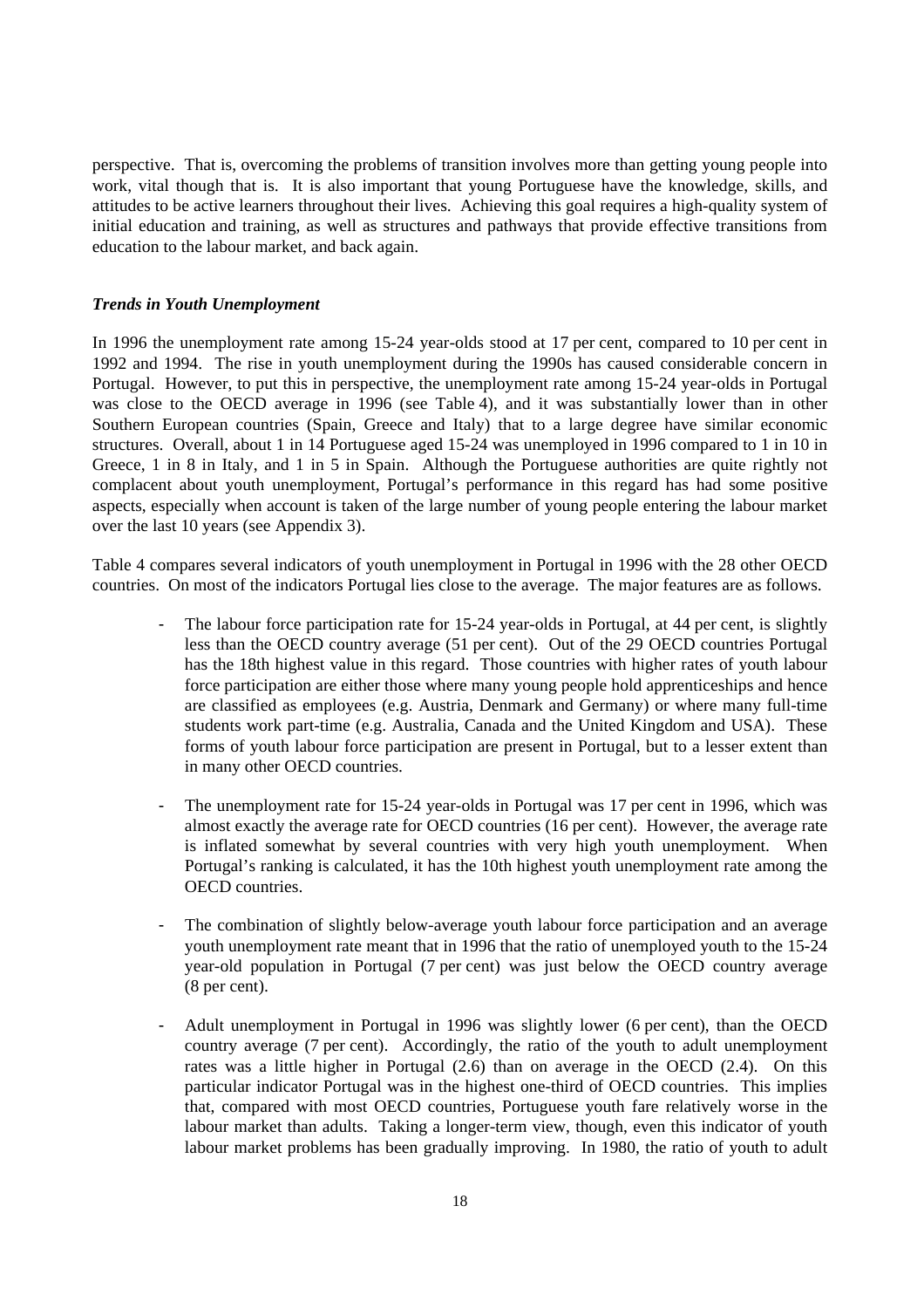perspective. That is, overcoming the problems of transition involves more than getting young people into work, vital though that is. It is also important that young Portuguese have the knowledge, skills, and attitudes to be active learners throughout their lives. Achieving this goal requires a high-quality system of initial education and training, as well as structures and pathways that provide effective transitions from education to the labour market, and back again.

#### *Trends in Youth Unemployment*

In 1996 the unemployment rate among 15-24 year-olds stood at 17 per cent, compared to 10 per cent in 1992 and 1994. The rise in youth unemployment during the 1990s has caused considerable concern in Portugal. However, to put this in perspective, the unemployment rate among 15-24 year-olds in Portugal was close to the OECD average in 1996 (see Table 4), and it was substantially lower than in other Southern European countries (Spain, Greece and Italy) that to a large degree have similar economic structures. Overall, about 1 in 14 Portuguese aged 15-24 was unemployed in 1996 compared to 1 in 10 in Greece, 1 in 8 in Italy, and 1 in 5 in Spain. Although the Portuguese authorities are quite rightly not complacent about youth unemployment, Portugal's performance in this regard has had some positive aspects, especially when account is taken of the large number of young people entering the labour market over the last 10 years (see Appendix 3).

Table 4 compares several indicators of youth unemployment in Portugal in 1996 with the 28 other OECD countries. On most of the indicators Portugal lies close to the average. The major features are as follows.

- The labour force participation rate for 15-24 year-olds in Portugal, at 44 per cent, is slightly less than the OECD country average (51 per cent). Out of the 29 OECD countries Portugal has the 18th highest value in this regard. Those countries with higher rates of youth labour force participation are either those where many young people hold apprenticeships and hence are classified as employees (e.g. Austria, Denmark and Germany) or where many full-time students work part-time (e.g. Australia, Canada and the United Kingdom and USA). These forms of youth labour force participation are present in Portugal, but to a lesser extent than in many other OECD countries.
- The unemployment rate for 15-24 year-olds in Portugal was 17 per cent in 1996, which was almost exactly the average rate for OECD countries (16 per cent). However, the average rate is inflated somewhat by several countries with very high youth unemployment. When Portugal's ranking is calculated, it has the 10th highest youth unemployment rate among the OECD countries.
- The combination of slightly below-average youth labour force participation and an average youth unemployment rate meant that in 1996 that the ratio of unemployed youth to the 15-24 year-old population in Portugal (7 per cent) was just below the OECD country average (8 per cent).
- Adult unemployment in Portugal in 1996 was slightly lower (6 per cent), than the OECD country average (7 per cent). Accordingly, the ratio of the youth to adult unemployment rates was a little higher in Portugal (2.6) than on average in the OECD (2.4). On this particular indicator Portugal was in the highest one-third of OECD countries. This implies that, compared with most OECD countries, Portuguese youth fare relatively worse in the labour market than adults. Taking a longer-term view, though, even this indicator of youth labour market problems has been gradually improving. In 1980, the ratio of youth to adult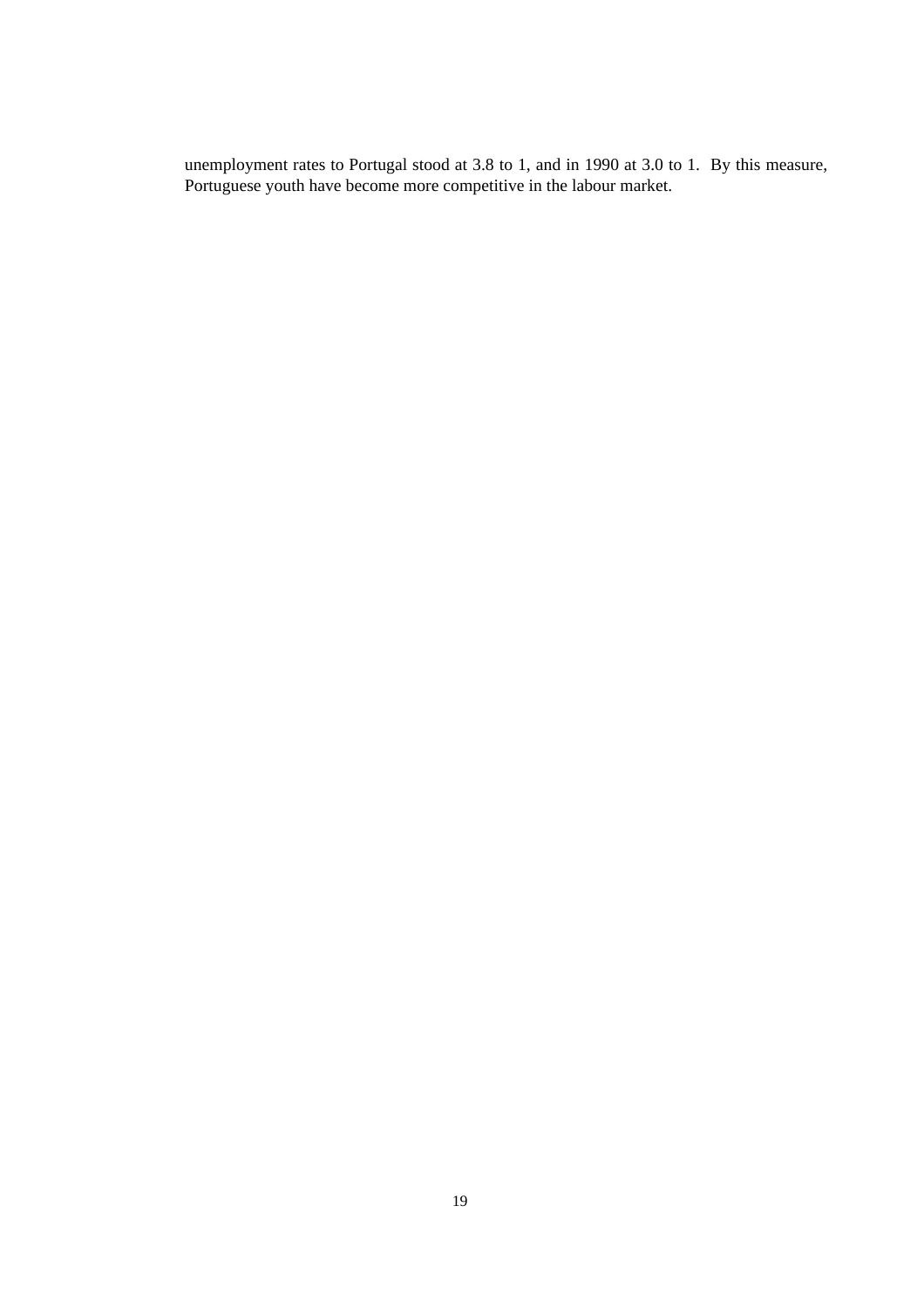unemployment rates to Portugal stood at 3.8 to 1, and in 1990 at 3.0 to 1. By this measure, Portuguese youth have become more competitive in the labour market.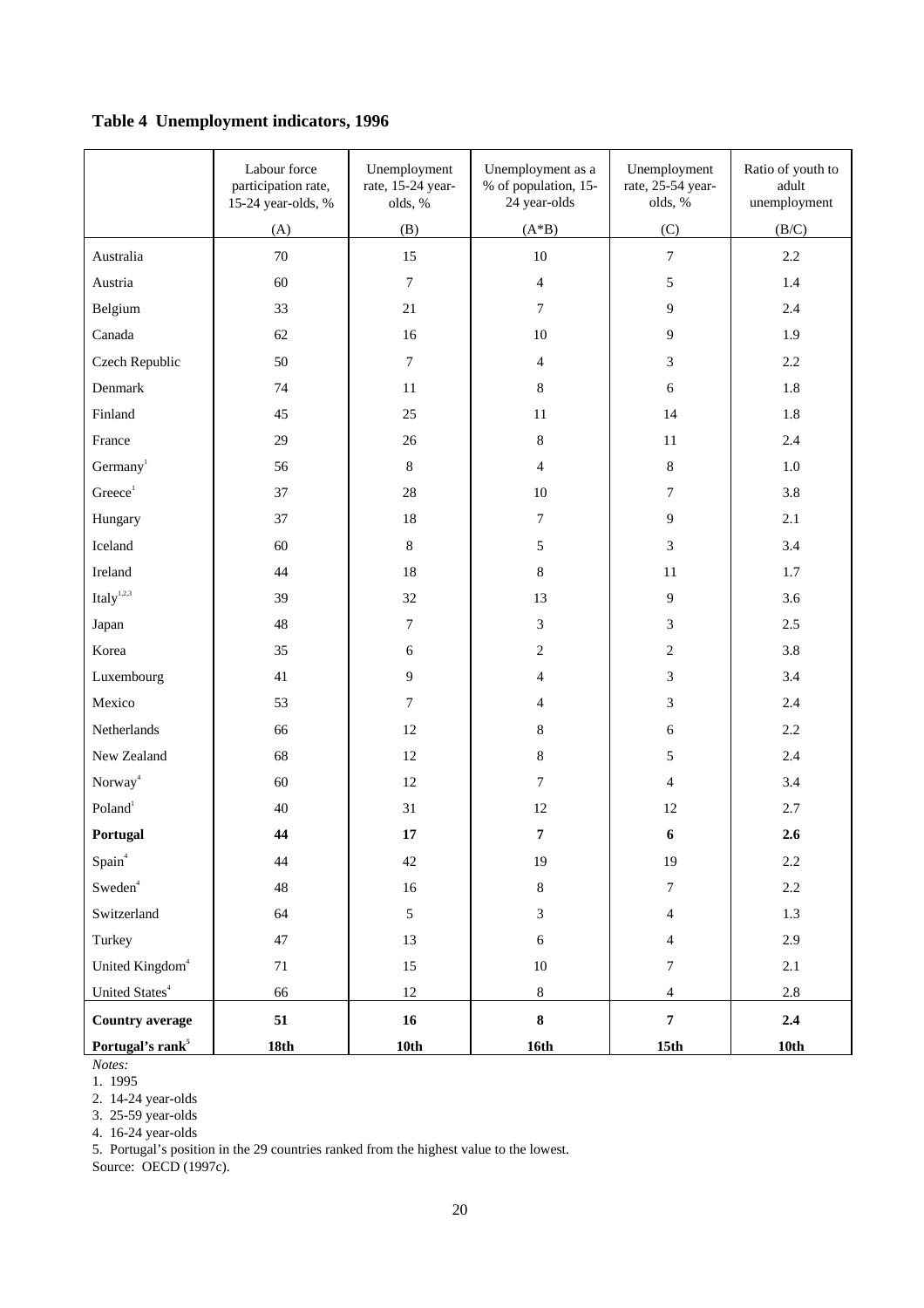## **Table 4 Unemployment indicators, 1996**

|                                    | Labour force<br>participation rate,<br>15-24 year-olds, % | Unemployment<br>rate, 15-24 year-<br>olds, % | Unemployment as a<br>% of population, 15-<br>24 year-olds | Unemployment<br>rate, 25-54 year-<br>olds, % | Ratio of youth to<br>adult<br>unemployment |
|------------------------------------|-----------------------------------------------------------|----------------------------------------------|-----------------------------------------------------------|----------------------------------------------|--------------------------------------------|
|                                    | (A)                                                       | (B)                                          | $(A*B)$                                                   | (C)                                          | (B/C)                                      |
| Australia                          | $70\,$                                                    | 15                                           | $10\,$                                                    | $\boldsymbol{7}$                             | 2.2                                        |
| Austria                            | 60                                                        | $\boldsymbol{7}$                             | $\overline{4}$                                            | 5                                            | 1.4                                        |
| Belgium                            | 33                                                        | 21                                           | $\tau$                                                    | 9                                            | 2.4                                        |
| Canada                             | 62                                                        | 16                                           | $10\,$                                                    | 9                                            | 1.9                                        |
| Czech Republic                     | 50                                                        | $\boldsymbol{7}$                             | 4                                                         | 3                                            | 2.2                                        |
| Denmark                            | 74                                                        | $11\,$                                       | $8\,$                                                     | 6                                            | 1.8                                        |
| Finland                            | 45                                                        | 25                                           | $11\,$                                                    | 14                                           | 1.8                                        |
| France                             | 29                                                        | 26                                           | $8\,$                                                     | 11                                           | 2.4                                        |
| Germany <sup>1</sup>               | 56                                                        | $\,8\,$                                      | $\overline{4}$                                            | $8\,$                                        | $1.0\,$                                    |
| Greeze <sup>1</sup>                | 37                                                        | $28\,$                                       | $10\,$                                                    | 7                                            | 3.8                                        |
| Hungary                            | 37                                                        | 18                                           | $\boldsymbol{7}$                                          | $\overline{9}$                               | 2.1                                        |
| Iceland                            | 60                                                        | $\,8\,$                                      | 5                                                         | 3                                            | 3.4                                        |
| Ireland                            | 44                                                        | 18                                           | $8\,$                                                     | 11                                           | 1.7                                        |
| Italy $^{1,2,3}$                   | 39                                                        | 32                                           | 13                                                        | 9                                            | 3.6                                        |
| Japan                              | 48                                                        | $\tau$                                       | 3                                                         | 3                                            | 2.5                                        |
| Korea                              | 35                                                        | 6                                            | $\overline{c}$                                            | $\overline{c}$                               | 3.8                                        |
| Luxembourg                         | 41                                                        | $\overline{9}$                               | 4                                                         | 3                                            | 3.4                                        |
| Mexico                             | 53                                                        | $\boldsymbol{7}$                             | $\overline{4}$                                            | 3                                            | 2.4                                        |
| Netherlands                        | 66                                                        | 12                                           | $8\,$                                                     | 6                                            | 2.2                                        |
| New Zealand                        | 68                                                        | 12                                           | $8\,$                                                     | 5                                            | 2.4                                        |
| Norway <sup>4</sup>                | 60                                                        | $12\,$                                       | $\tau$                                                    | $\overline{4}$                               | 3.4                                        |
| Poland <sup>1</sup>                | 40                                                        | 31                                           | 12                                                        | 12                                           | 2.7                                        |
| Portugal                           | 44                                                        | 17                                           | 7                                                         | 6                                            | 2.6                                        |
| Spain <sup>4</sup>                 | 44                                                        | 42                                           | 19                                                        | 19                                           | $2.2\,$                                    |
| $\operatorname{\mathsf{Sweden}}^4$ | 48                                                        | $16\,$                                       | $8\,$                                                     | $\overline{7}$                               | $2.2\,$                                    |
| Switzerland                        | 64                                                        | $5\phantom{.0}$                              | $\mathfrak{Z}$                                            | $\overline{4}$                               | 1.3                                        |
| Turkey                             | $47\,$                                                    | 13                                           | $\epsilon$                                                | $\overline{4}$                               | 2.9                                        |
| United Kingdom <sup>4</sup>        | 71                                                        | 15                                           | $10\,$                                                    | $\tau$                                       | 2.1                                        |
| United States <sup>4</sup>         | 66                                                        | $12\,$                                       | $8\,$                                                     | $\overline{4}$                               | 2.8                                        |
| <b>Country average</b>             | 51                                                        | 16                                           | $\bf{8}$                                                  | $\overline{7}$                               | 2.4                                        |
| Portugal's rank <sup>5</sup>       | 18th                                                      | 10th                                         | 16th                                                      | 15 <sup>th</sup>                             | 10th                                       |

*Notes:*

1. 1995

2. 14-24 year-olds

3. 25-59 year-olds

4. 16-24 year-olds

5. Portugal's position in the 29 countries ranked from the highest value to the lowest.

Source: OECD (1997c).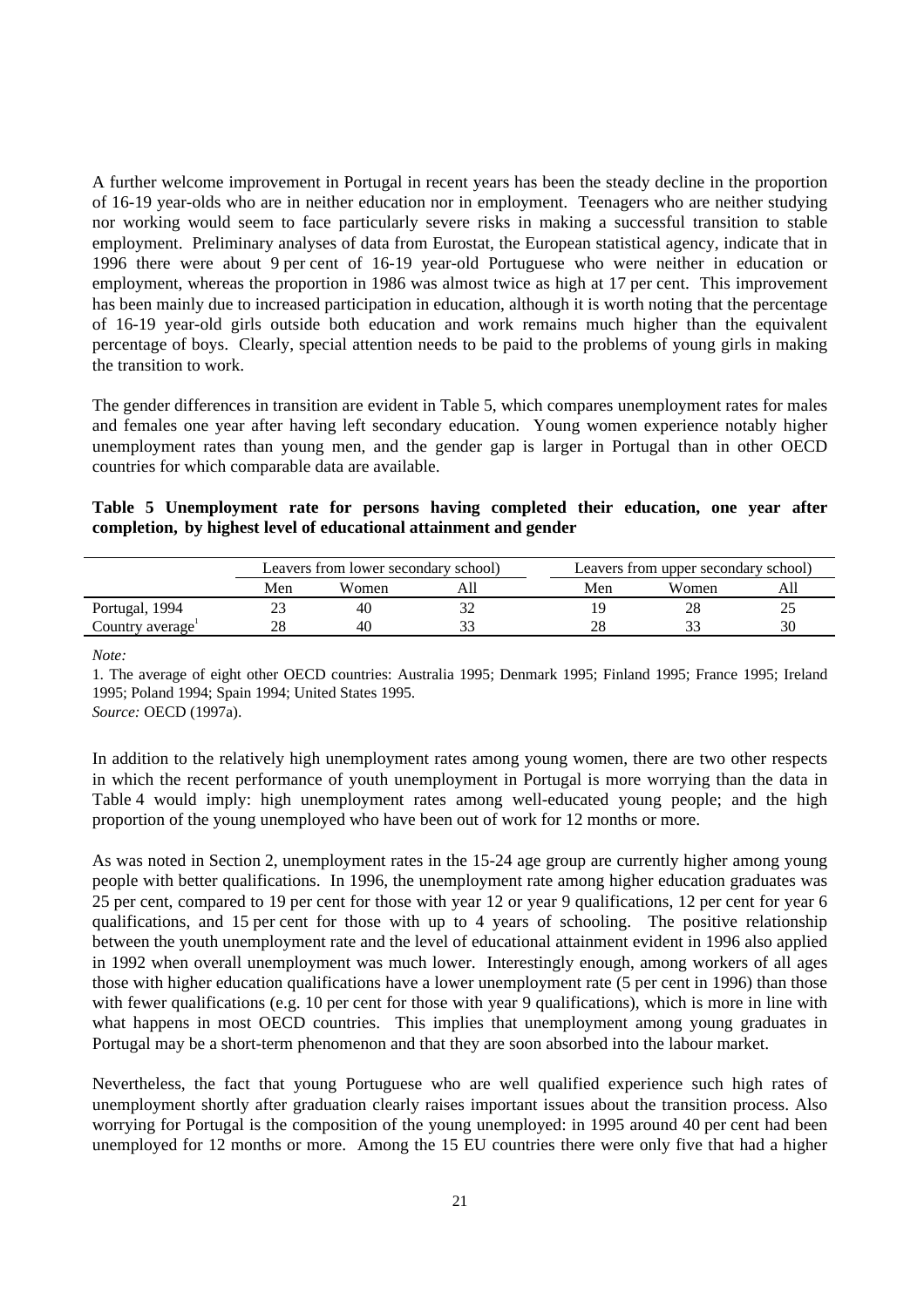A further welcome improvement in Portugal in recent years has been the steady decline in the proportion of 16-19 year-olds who are in neither education nor in employment. Teenagers who are neither studying nor working would seem to face particularly severe risks in making a successful transition to stable employment. Preliminary analyses of data from Eurostat, the European statistical agency, indicate that in 1996 there were about 9 per cent of 16-19 year-old Portuguese who were neither in education or employment, whereas the proportion in 1986 was almost twice as high at 17 per cent. This improvement has been mainly due to increased participation in education, although it is worth noting that the percentage of 16-19 year-old girls outside both education and work remains much higher than the equivalent percentage of boys. Clearly, special attention needs to be paid to the problems of young girls in making the transition to work.

The gender differences in transition are evident in Table 5, which compares unemployment rates for males and females one year after having left secondary education. Young women experience notably higher unemployment rates than young men, and the gender gap is larger in Portugal than in other OECD countries for which comparable data are available.

|  | Table 5 Unemployment rate for persons having completed their education, one year after |  |  |  |  |  |
|--|----------------------------------------------------------------------------------------|--|--|--|--|--|
|  | completion, by highest level of educational attainment and gender                      |  |  |  |  |  |

|                              |     | Leavers from lower secondary school) |     | Leavers from upper secondary school) |    |  |  |
|------------------------------|-----|--------------------------------------|-----|--------------------------------------|----|--|--|
|                              | Men | Women                                | Men | Women                                |    |  |  |
| Portugal, 1994               |     | 40                                   |     |                                      |    |  |  |
| Country average <sup>-</sup> |     |                                      | o   | $\sim$                               | 30 |  |  |

*Note:*

1. The average of eight other OECD countries: Australia 1995; Denmark 1995; Finland 1995; France 1995; Ireland 1995; Poland 1994; Spain 1994; United States 1995.

*Source:* OECD (1997a).

In addition to the relatively high unemployment rates among young women, there are two other respects in which the recent performance of youth unemployment in Portugal is more worrying than the data in Table 4 would imply: high unemployment rates among well-educated young people; and the high proportion of the young unemployed who have been out of work for 12 months or more.

As was noted in Section 2, unemployment rates in the 15-24 age group are currently higher among young people with better qualifications. In 1996, the unemployment rate among higher education graduates was 25 per cent, compared to 19 per cent for those with year 12 or year 9 qualifications, 12 per cent for year 6 qualifications, and 15 per cent for those with up to 4 years of schooling. The positive relationship between the youth unemployment rate and the level of educational attainment evident in 1996 also applied in 1992 when overall unemployment was much lower. Interestingly enough, among workers of all ages those with higher education qualifications have a lower unemployment rate (5 per cent in 1996) than those with fewer qualifications (e.g. 10 per cent for those with year 9 qualifications), which is more in line with what happens in most OECD countries. This implies that unemployment among young graduates in Portugal may be a short-term phenomenon and that they are soon absorbed into the labour market.

Nevertheless, the fact that young Portuguese who are well qualified experience such high rates of unemployment shortly after graduation clearly raises important issues about the transition process. Also worrying for Portugal is the composition of the young unemployed: in 1995 around 40 per cent had been unemployed for 12 months or more. Among the 15 EU countries there were only five that had a higher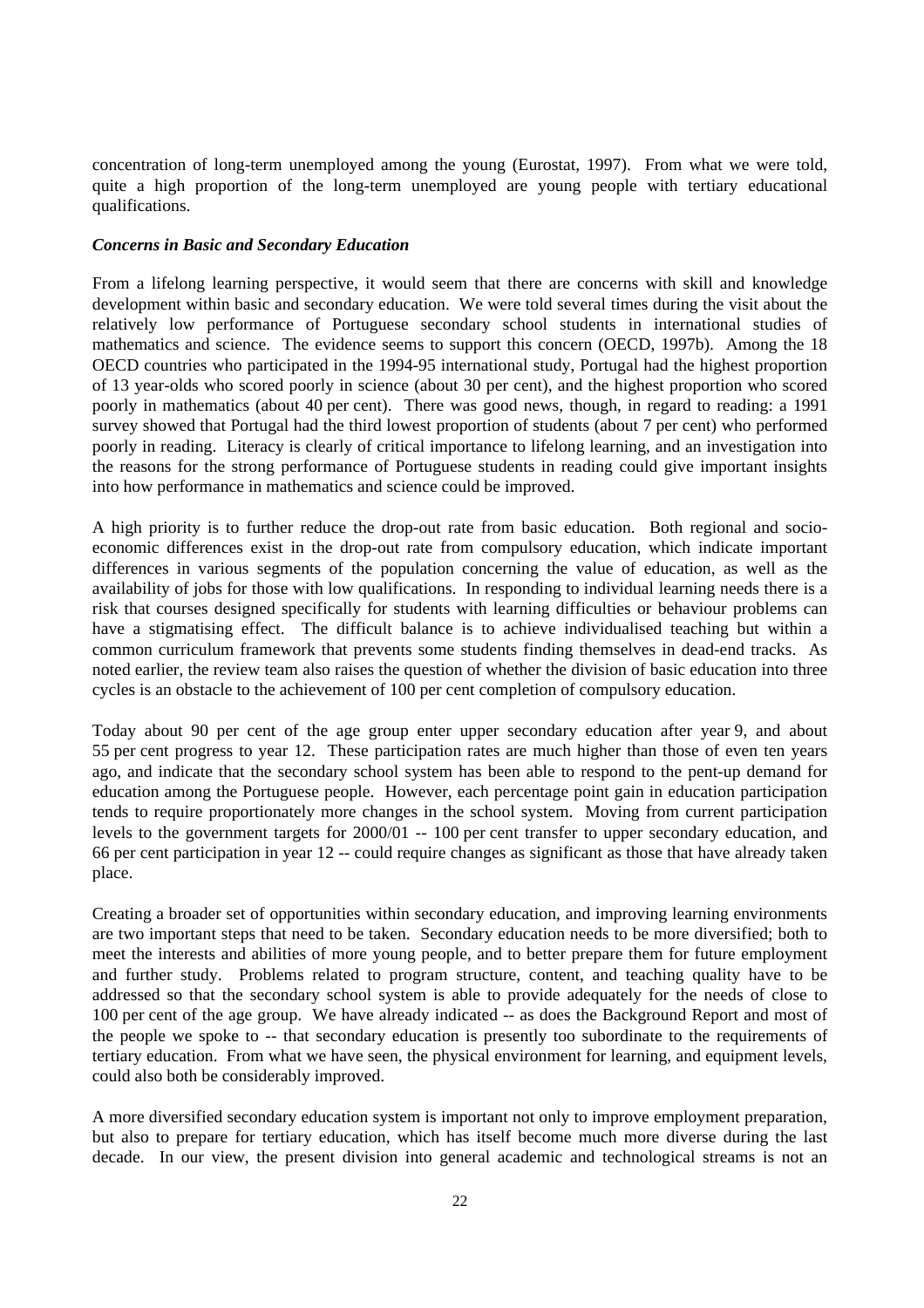concentration of long-term unemployed among the young (Eurostat, 1997). From what we were told, quite a high proportion of the long-term unemployed are young people with tertiary educational qualifications.

#### *Concerns in Basic and Secondary Education*

From a lifelong learning perspective, it would seem that there are concerns with skill and knowledge development within basic and secondary education. We were told several times during the visit about the relatively low performance of Portuguese secondary school students in international studies of mathematics and science. The evidence seems to support this concern (OECD, 1997b). Among the 18 OECD countries who participated in the 1994-95 international study, Portugal had the highest proportion of 13 year-olds who scored poorly in science (about 30 per cent), and the highest proportion who scored poorly in mathematics (about 40 per cent). There was good news, though, in regard to reading: a 1991 survey showed that Portugal had the third lowest proportion of students (about 7 per cent) who performed poorly in reading. Literacy is clearly of critical importance to lifelong learning, and an investigation into the reasons for the strong performance of Portuguese students in reading could give important insights into how performance in mathematics and science could be improved.

A high priority is to further reduce the drop-out rate from basic education. Both regional and socioeconomic differences exist in the drop-out rate from compulsory education, which indicate important differences in various segments of the population concerning the value of education, as well as the availability of jobs for those with low qualifications. In responding to individual learning needs there is a risk that courses designed specifically for students with learning difficulties or behaviour problems can have a stigmatising effect. The difficult balance is to achieve individualised teaching but within a common curriculum framework that prevents some students finding themselves in dead-end tracks. As noted earlier, the review team also raises the question of whether the division of basic education into three cycles is an obstacle to the achievement of 100 per cent completion of compulsory education.

Today about 90 per cent of the age group enter upper secondary education after year 9, and about 55 per cent progress to year 12. These participation rates are much higher than those of even ten years ago, and indicate that the secondary school system has been able to respond to the pent-up demand for education among the Portuguese people. However, each percentage point gain in education participation tends to require proportionately more changes in the school system. Moving from current participation levels to the government targets for 2000/01 -- 100 per cent transfer to upper secondary education, and 66 per cent participation in year 12 -- could require changes as significant as those that have already taken place.

Creating a broader set of opportunities within secondary education, and improving learning environments are two important steps that need to be taken. Secondary education needs to be more diversified; both to meet the interests and abilities of more young people, and to better prepare them for future employment and further study. Problems related to program structure, content, and teaching quality have to be addressed so that the secondary school system is able to provide adequately for the needs of close to 100 per cent of the age group. We have already indicated -- as does the Background Report and most of the people we spoke to -- that secondary education is presently too subordinate to the requirements of tertiary education. From what we have seen, the physical environment for learning, and equipment levels, could also both be considerably improved.

A more diversified secondary education system is important not only to improve employment preparation, but also to prepare for tertiary education, which has itself become much more diverse during the last decade. In our view, the present division into general academic and technological streams is not an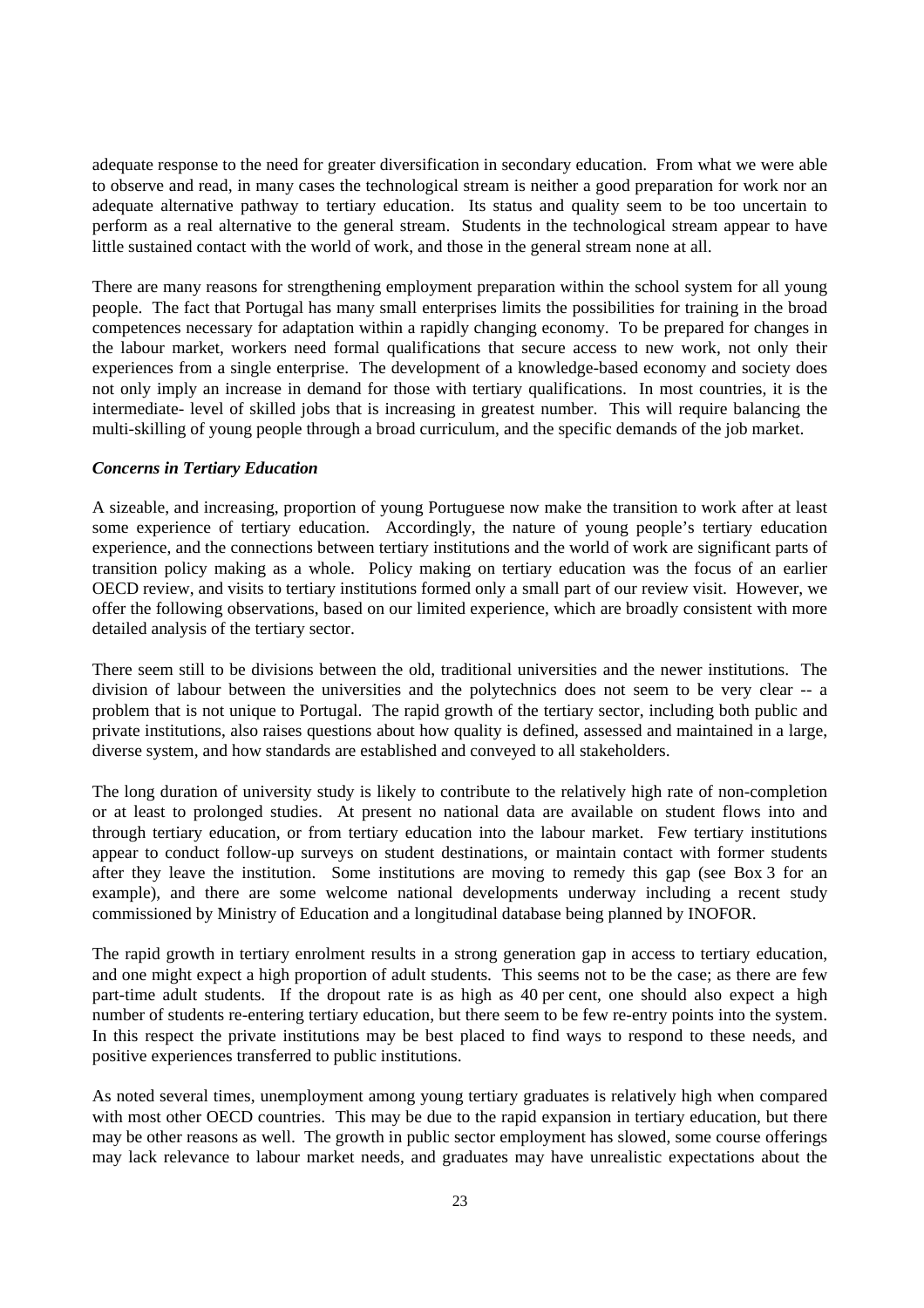adequate response to the need for greater diversification in secondary education. From what we were able to observe and read, in many cases the technological stream is neither a good preparation for work nor an adequate alternative pathway to tertiary education. Its status and quality seem to be too uncertain to perform as a real alternative to the general stream. Students in the technological stream appear to have little sustained contact with the world of work, and those in the general stream none at all.

There are many reasons for strengthening employment preparation within the school system for all young people. The fact that Portugal has many small enterprises limits the possibilities for training in the broad competences necessary for adaptation within a rapidly changing economy. To be prepared for changes in the labour market, workers need formal qualifications that secure access to new work, not only their experiences from a single enterprise. The development of a knowledge-based economy and society does not only imply an increase in demand for those with tertiary qualifications. In most countries, it is the intermediate- level of skilled jobs that is increasing in greatest number. This will require balancing the multi-skilling of young people through a broad curriculum, and the specific demands of the job market.

#### *Concerns in Tertiary Education*

A sizeable, and increasing, proportion of young Portuguese now make the transition to work after at least some experience of tertiary education. Accordingly, the nature of young people's tertiary education experience, and the connections between tertiary institutions and the world of work are significant parts of transition policy making as a whole. Policy making on tertiary education was the focus of an earlier OECD review, and visits to tertiary institutions formed only a small part of our review visit. However, we offer the following observations, based on our limited experience, which are broadly consistent with more detailed analysis of the tertiary sector.

There seem still to be divisions between the old, traditional universities and the newer institutions. The division of labour between the universities and the polytechnics does not seem to be very clear -- a problem that is not unique to Portugal. The rapid growth of the tertiary sector, including both public and private institutions, also raises questions about how quality is defined, assessed and maintained in a large, diverse system, and how standards are established and conveyed to all stakeholders.

The long duration of university study is likely to contribute to the relatively high rate of non-completion or at least to prolonged studies. At present no national data are available on student flows into and through tertiary education, or from tertiary education into the labour market. Few tertiary institutions appear to conduct follow-up surveys on student destinations, or maintain contact with former students after they leave the institution. Some institutions are moving to remedy this gap (see Box 3 for an example), and there are some welcome national developments underway including a recent study commissioned by Ministry of Education and a longitudinal database being planned by INOFOR.

The rapid growth in tertiary enrolment results in a strong generation gap in access to tertiary education, and one might expect a high proportion of adult students. This seems not to be the case; as there are few part-time adult students. If the dropout rate is as high as 40 per cent, one should also expect a high number of students re-entering tertiary education, but there seem to be few re-entry points into the system. In this respect the private institutions may be best placed to find ways to respond to these needs, and positive experiences transferred to public institutions.

As noted several times, unemployment among young tertiary graduates is relatively high when compared with most other OECD countries. This may be due to the rapid expansion in tertiary education, but there may be other reasons as well. The growth in public sector employment has slowed, some course offerings may lack relevance to labour market needs, and graduates may have unrealistic expectations about the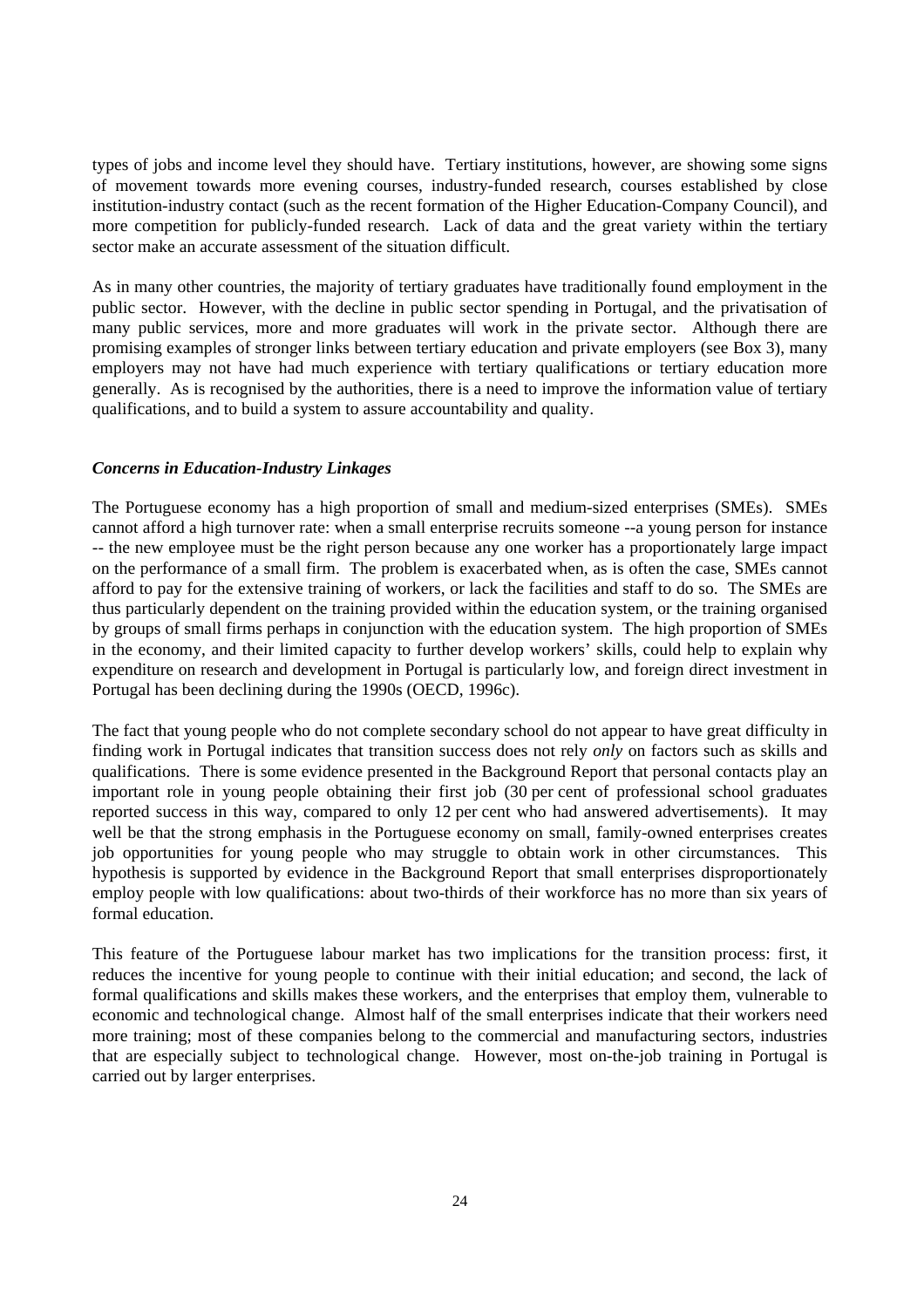types of jobs and income level they should have. Tertiary institutions, however, are showing some signs of movement towards more evening courses, industry-funded research, courses established by close institution-industry contact (such as the recent formation of the Higher Education-Company Council), and more competition for publicly-funded research. Lack of data and the great variety within the tertiary sector make an accurate assessment of the situation difficult.

As in many other countries, the majority of tertiary graduates have traditionally found employment in the public sector. However, with the decline in public sector spending in Portugal, and the privatisation of many public services, more and more graduates will work in the private sector. Although there are promising examples of stronger links between tertiary education and private employers (see Box 3), many employers may not have had much experience with tertiary qualifications or tertiary education more generally. As is recognised by the authorities, there is a need to improve the information value of tertiary qualifications, and to build a system to assure accountability and quality.

#### *Concerns in Education-Industry Linkages*

The Portuguese economy has a high proportion of small and medium-sized enterprises (SMEs). SMEs cannot afford a high turnover rate: when a small enterprise recruits someone --a young person for instance -- the new employee must be the right person because any one worker has a proportionately large impact on the performance of a small firm. The problem is exacerbated when, as is often the case, SMEs cannot afford to pay for the extensive training of workers, or lack the facilities and staff to do so. The SMEs are thus particularly dependent on the training provided within the education system, or the training organised by groups of small firms perhaps in conjunction with the education system. The high proportion of SMEs in the economy, and their limited capacity to further develop workers' skills, could help to explain why expenditure on research and development in Portugal is particularly low, and foreign direct investment in Portugal has been declining during the 1990s (OECD, 1996c).

The fact that young people who do not complete secondary school do not appear to have great difficulty in finding work in Portugal indicates that transition success does not rely *only* on factors such as skills and qualifications. There is some evidence presented in the Background Report that personal contacts play an important role in young people obtaining their first job (30 per cent of professional school graduates reported success in this way, compared to only 12 per cent who had answered advertisements). It may well be that the strong emphasis in the Portuguese economy on small, family-owned enterprises creates job opportunities for young people who may struggle to obtain work in other circumstances. This hypothesis is supported by evidence in the Background Report that small enterprises disproportionately employ people with low qualifications: about two-thirds of their workforce has no more than six years of formal education.

This feature of the Portuguese labour market has two implications for the transition process: first, it reduces the incentive for young people to continue with their initial education; and second, the lack of formal qualifications and skills makes these workers, and the enterprises that employ them, vulnerable to economic and technological change. Almost half of the small enterprises indicate that their workers need more training; most of these companies belong to the commercial and manufacturing sectors, industries that are especially subject to technological change. However, most on-the-job training in Portugal is carried out by larger enterprises.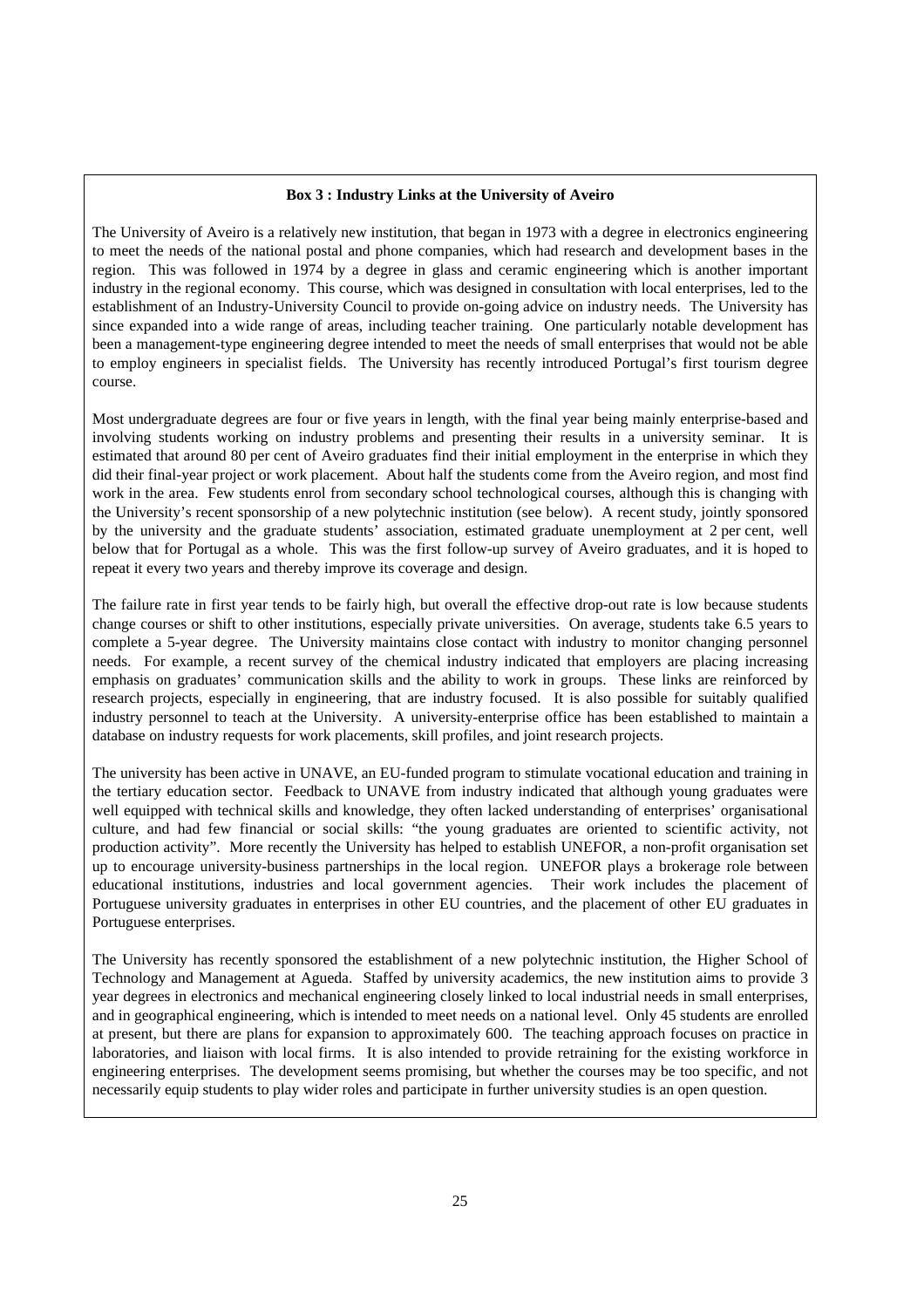#### **Box 3 : Industry Links at the University of Aveiro**

The University of Aveiro is a relatively new institution, that began in 1973 with a degree in electronics engineering to meet the needs of the national postal and phone companies, which had research and development bases in the region. This was followed in 1974 by a degree in glass and ceramic engineering which is another important industry in the regional economy. This course, which was designed in consultation with local enterprises, led to the establishment of an Industry-University Council to provide on-going advice on industry needs. The University has since expanded into a wide range of areas, including teacher training. One particularly notable development has been a management-type engineering degree intended to meet the needs of small enterprises that would not be able to employ engineers in specialist fields. The University has recently introduced Portugal's first tourism degree course.

Most undergraduate degrees are four or five years in length, with the final year being mainly enterprise-based and involving students working on industry problems and presenting their results in a university seminar. It is estimated that around 80 per cent of Aveiro graduates find their initial employment in the enterprise in which they did their final-year project or work placement. About half the students come from the Aveiro region, and most find work in the area. Few students enrol from secondary school technological courses, although this is changing with the University's recent sponsorship of a new polytechnic institution (see below). A recent study, jointly sponsored by the university and the graduate students' association, estimated graduate unemployment at 2 per cent, well below that for Portugal as a whole. This was the first follow-up survey of Aveiro graduates, and it is hoped to repeat it every two years and thereby improve its coverage and design.

The failure rate in first year tends to be fairly high, but overall the effective drop-out rate is low because students change courses or shift to other institutions, especially private universities. On average, students take 6.5 years to complete a 5-year degree. The University maintains close contact with industry to monitor changing personnel needs. For example, a recent survey of the chemical industry indicated that employers are placing increasing emphasis on graduates' communication skills and the ability to work in groups. These links are reinforced by research projects, especially in engineering, that are industry focused. It is also possible for suitably qualified industry personnel to teach at the University. A university-enterprise office has been established to maintain a database on industry requests for work placements, skill profiles, and joint research projects.

The university has been active in UNAVE, an EU-funded program to stimulate vocational education and training in the tertiary education sector. Feedback to UNAVE from industry indicated that although young graduates were well equipped with technical skills and knowledge, they often lacked understanding of enterprises' organisational culture, and had few financial or social skills: "the young graduates are oriented to scientific activity, not production activity". More recently the University has helped to establish UNEFOR, a non-profit organisation set up to encourage university-business partnerships in the local region. UNEFOR plays a brokerage role between educational institutions, industries and local government agencies. Their work includes the placement of Portuguese university graduates in enterprises in other EU countries, and the placement of other EU graduates in Portuguese enterprises.

The University has recently sponsored the establishment of a new polytechnic institution, the Higher School of Technology and Management at Agueda. Staffed by university academics, the new institution aims to provide 3 year degrees in electronics and mechanical engineering closely linked to local industrial needs in small enterprises, and in geographical engineering, which is intended to meet needs on a national level. Only 45 students are enrolled at present, but there are plans for expansion to approximately 600. The teaching approach focuses on practice in laboratories, and liaison with local firms. It is also intended to provide retraining for the existing workforce in engineering enterprises. The development seems promising, but whether the courses may be too specific, and not necessarily equip students to play wider roles and participate in further university studies is an open question.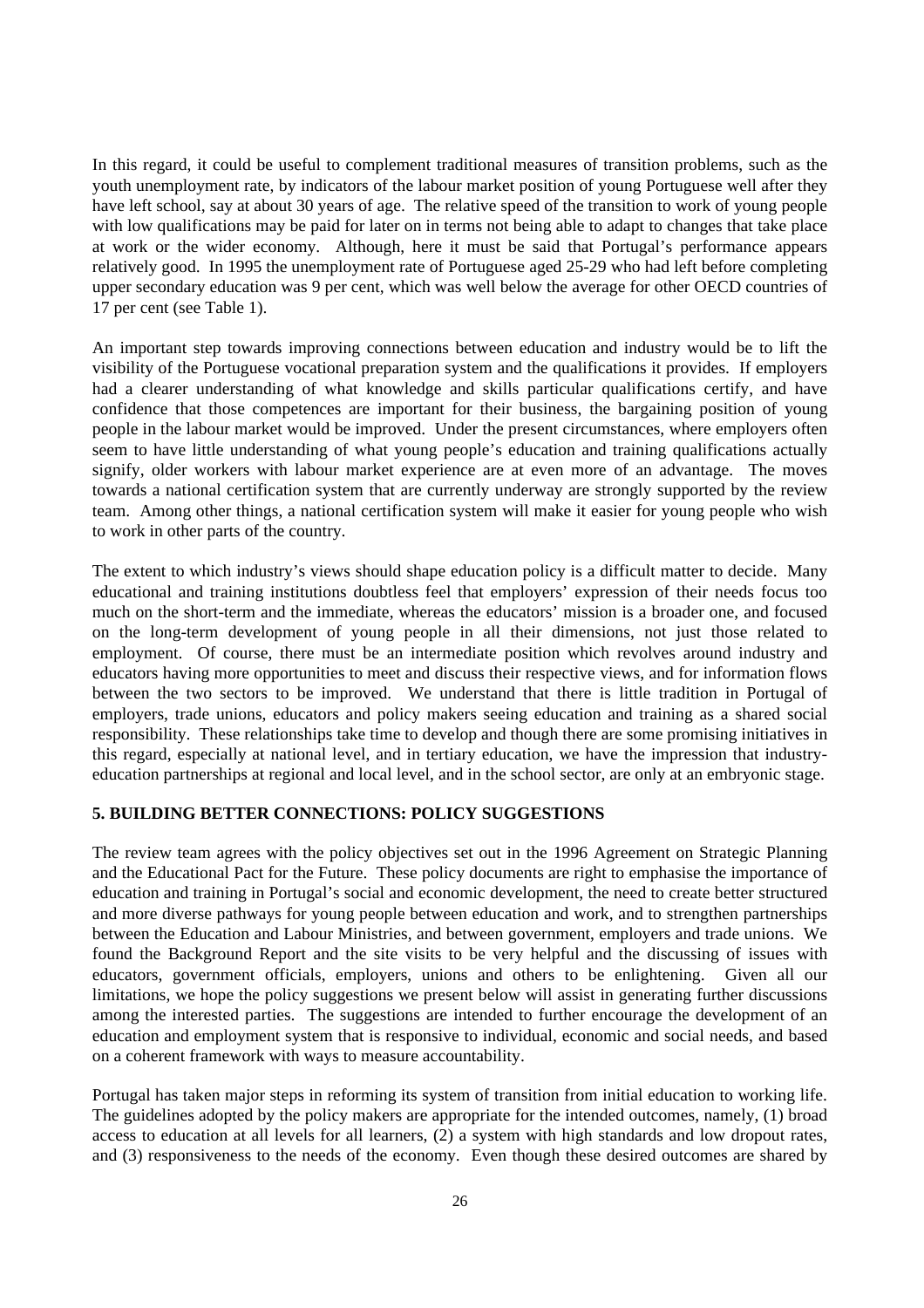In this regard, it could be useful to complement traditional measures of transition problems, such as the youth unemployment rate, by indicators of the labour market position of young Portuguese well after they have left school, say at about 30 years of age. The relative speed of the transition to work of young people with low qualifications may be paid for later on in terms not being able to adapt to changes that take place at work or the wider economy. Although, here it must be said that Portugal's performance appears relatively good. In 1995 the unemployment rate of Portuguese aged 25-29 who had left before completing upper secondary education was 9 per cent, which was well below the average for other OECD countries of 17 per cent (see Table 1).

An important step towards improving connections between education and industry would be to lift the visibility of the Portuguese vocational preparation system and the qualifications it provides. If employers had a clearer understanding of what knowledge and skills particular qualifications certify, and have confidence that those competences are important for their business, the bargaining position of young people in the labour market would be improved. Under the present circumstances, where employers often seem to have little understanding of what young people's education and training qualifications actually signify, older workers with labour market experience are at even more of an advantage. The moves towards a national certification system that are currently underway are strongly supported by the review team. Among other things, a national certification system will make it easier for young people who wish to work in other parts of the country.

The extent to which industry's views should shape education policy is a difficult matter to decide. Many educational and training institutions doubtless feel that employers' expression of their needs focus too much on the short-term and the immediate, whereas the educators' mission is a broader one, and focused on the long-term development of young people in all their dimensions, not just those related to employment. Of course, there must be an intermediate position which revolves around industry and educators having more opportunities to meet and discuss their respective views, and for information flows between the two sectors to be improved. We understand that there is little tradition in Portugal of employers, trade unions, educators and policy makers seeing education and training as a shared social responsibility. These relationships take time to develop and though there are some promising initiatives in this regard, especially at national level, and in tertiary education, we have the impression that industryeducation partnerships at regional and local level, and in the school sector, are only at an embryonic stage.

## **5. BUILDING BETTER CONNECTIONS: POLICY SUGGESTIONS**

The review team agrees with the policy objectives set out in the 1996 Agreement on Strategic Planning and the Educational Pact for the Future. These policy documents are right to emphasise the importance of education and training in Portugal's social and economic development, the need to create better structured and more diverse pathways for young people between education and work, and to strengthen partnerships between the Education and Labour Ministries, and between government, employers and trade unions. We found the Background Report and the site visits to be very helpful and the discussing of issues with educators, government officials, employers, unions and others to be enlightening. Given all our limitations, we hope the policy suggestions we present below will assist in generating further discussions among the interested parties. The suggestions are intended to further encourage the development of an education and employment system that is responsive to individual, economic and social needs, and based on a coherent framework with ways to measure accountability.

Portugal has taken major steps in reforming its system of transition from initial education to working life. The guidelines adopted by the policy makers are appropriate for the intended outcomes, namely, (1) broad access to education at all levels for all learners, (2) a system with high standards and low dropout rates, and (3) responsiveness to the needs of the economy. Even though these desired outcomes are shared by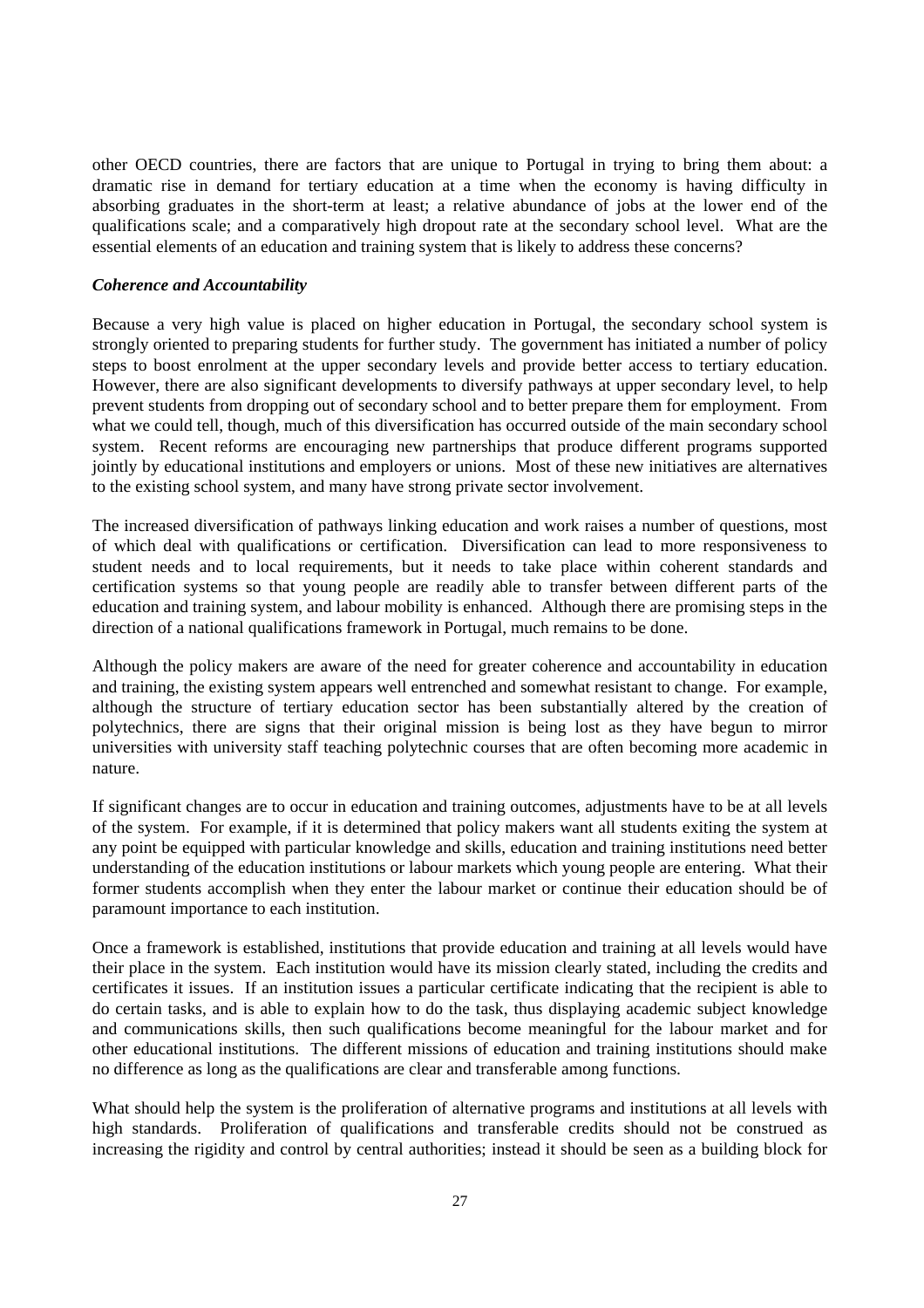other OECD countries, there are factors that are unique to Portugal in trying to bring them about: a dramatic rise in demand for tertiary education at a time when the economy is having difficulty in absorbing graduates in the short-term at least; a relative abundance of jobs at the lower end of the qualifications scale; and a comparatively high dropout rate at the secondary school level. What are the essential elements of an education and training system that is likely to address these concerns?

#### *Coherence and Accountability*

Because a very high value is placed on higher education in Portugal, the secondary school system is strongly oriented to preparing students for further study. The government has initiated a number of policy steps to boost enrolment at the upper secondary levels and provide better access to tertiary education. However, there are also significant developments to diversify pathways at upper secondary level, to help prevent students from dropping out of secondary school and to better prepare them for employment. From what we could tell, though, much of this diversification has occurred outside of the main secondary school system. Recent reforms are encouraging new partnerships that produce different programs supported jointly by educational institutions and employers or unions. Most of these new initiatives are alternatives to the existing school system, and many have strong private sector involvement.

The increased diversification of pathways linking education and work raises a number of questions, most of which deal with qualifications or certification. Diversification can lead to more responsiveness to student needs and to local requirements, but it needs to take place within coherent standards and certification systems so that young people are readily able to transfer between different parts of the education and training system, and labour mobility is enhanced. Although there are promising steps in the direction of a national qualifications framework in Portugal, much remains to be done.

Although the policy makers are aware of the need for greater coherence and accountability in education and training, the existing system appears well entrenched and somewhat resistant to change. For example, although the structure of tertiary education sector has been substantially altered by the creation of polytechnics, there are signs that their original mission is being lost as they have begun to mirror universities with university staff teaching polytechnic courses that are often becoming more academic in nature.

If significant changes are to occur in education and training outcomes, adjustments have to be at all levels of the system. For example, if it is determined that policy makers want all students exiting the system at any point be equipped with particular knowledge and skills, education and training institutions need better understanding of the education institutions or labour markets which young people are entering. What their former students accomplish when they enter the labour market or continue their education should be of paramount importance to each institution.

Once a framework is established, institutions that provide education and training at all levels would have their place in the system. Each institution would have its mission clearly stated, including the credits and certificates it issues. If an institution issues a particular certificate indicating that the recipient is able to do certain tasks, and is able to explain how to do the task, thus displaying academic subject knowledge and communications skills, then such qualifications become meaningful for the labour market and for other educational institutions. The different missions of education and training institutions should make no difference as long as the qualifications are clear and transferable among functions.

What should help the system is the proliferation of alternative programs and institutions at all levels with high standards. Proliferation of qualifications and transferable credits should not be construed as increasing the rigidity and control by central authorities; instead it should be seen as a building block for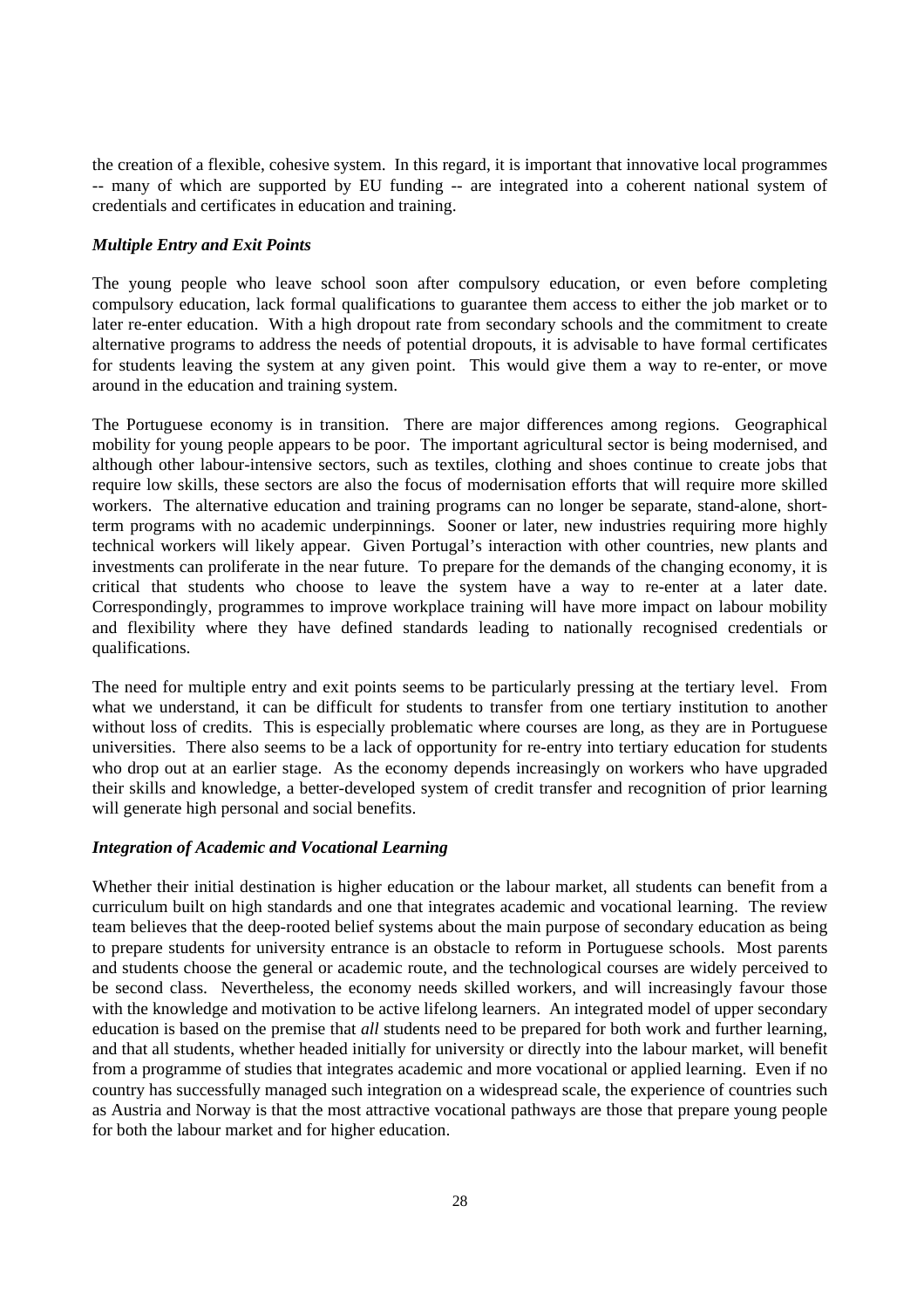the creation of a flexible, cohesive system. In this regard, it is important that innovative local programmes -- many of which are supported by EU funding -- are integrated into a coherent national system of credentials and certificates in education and training.

#### *Multiple Entry and Exit Points*

The young people who leave school soon after compulsory education, or even before completing compulsory education, lack formal qualifications to guarantee them access to either the job market or to later re-enter education. With a high dropout rate from secondary schools and the commitment to create alternative programs to address the needs of potential dropouts, it is advisable to have formal certificates for students leaving the system at any given point. This would give them a way to re-enter, or move around in the education and training system.

The Portuguese economy is in transition. There are major differences among regions. Geographical mobility for young people appears to be poor. The important agricultural sector is being modernised, and although other labour-intensive sectors, such as textiles, clothing and shoes continue to create jobs that require low skills, these sectors are also the focus of modernisation efforts that will require more skilled workers. The alternative education and training programs can no longer be separate, stand-alone, shortterm programs with no academic underpinnings. Sooner or later, new industries requiring more highly technical workers will likely appear. Given Portugal's interaction with other countries, new plants and investments can proliferate in the near future. To prepare for the demands of the changing economy, it is critical that students who choose to leave the system have a way to re-enter at a later date. Correspondingly, programmes to improve workplace training will have more impact on labour mobility and flexibility where they have defined standards leading to nationally recognised credentials or qualifications.

The need for multiple entry and exit points seems to be particularly pressing at the tertiary level. From what we understand, it can be difficult for students to transfer from one tertiary institution to another without loss of credits. This is especially problematic where courses are long, as they are in Portuguese universities. There also seems to be a lack of opportunity for re-entry into tertiary education for students who drop out at an earlier stage. As the economy depends increasingly on workers who have upgraded their skills and knowledge, a better-developed system of credit transfer and recognition of prior learning will generate high personal and social benefits.

#### *Integration of Academic and Vocational Learning*

Whether their initial destination is higher education or the labour market, all students can benefit from a curriculum built on high standards and one that integrates academic and vocational learning. The review team believes that the deep-rooted belief systems about the main purpose of secondary education as being to prepare students for university entrance is an obstacle to reform in Portuguese schools. Most parents and students choose the general or academic route, and the technological courses are widely perceived to be second class. Nevertheless, the economy needs skilled workers, and will increasingly favour those with the knowledge and motivation to be active lifelong learners. An integrated model of upper secondary education is based on the premise that *all* students need to be prepared for both work and further learning, and that all students, whether headed initially for university or directly into the labour market, will benefit from a programme of studies that integrates academic and more vocational or applied learning. Even if no country has successfully managed such integration on a widespread scale, the experience of countries such as Austria and Norway is that the most attractive vocational pathways are those that prepare young people for both the labour market and for higher education.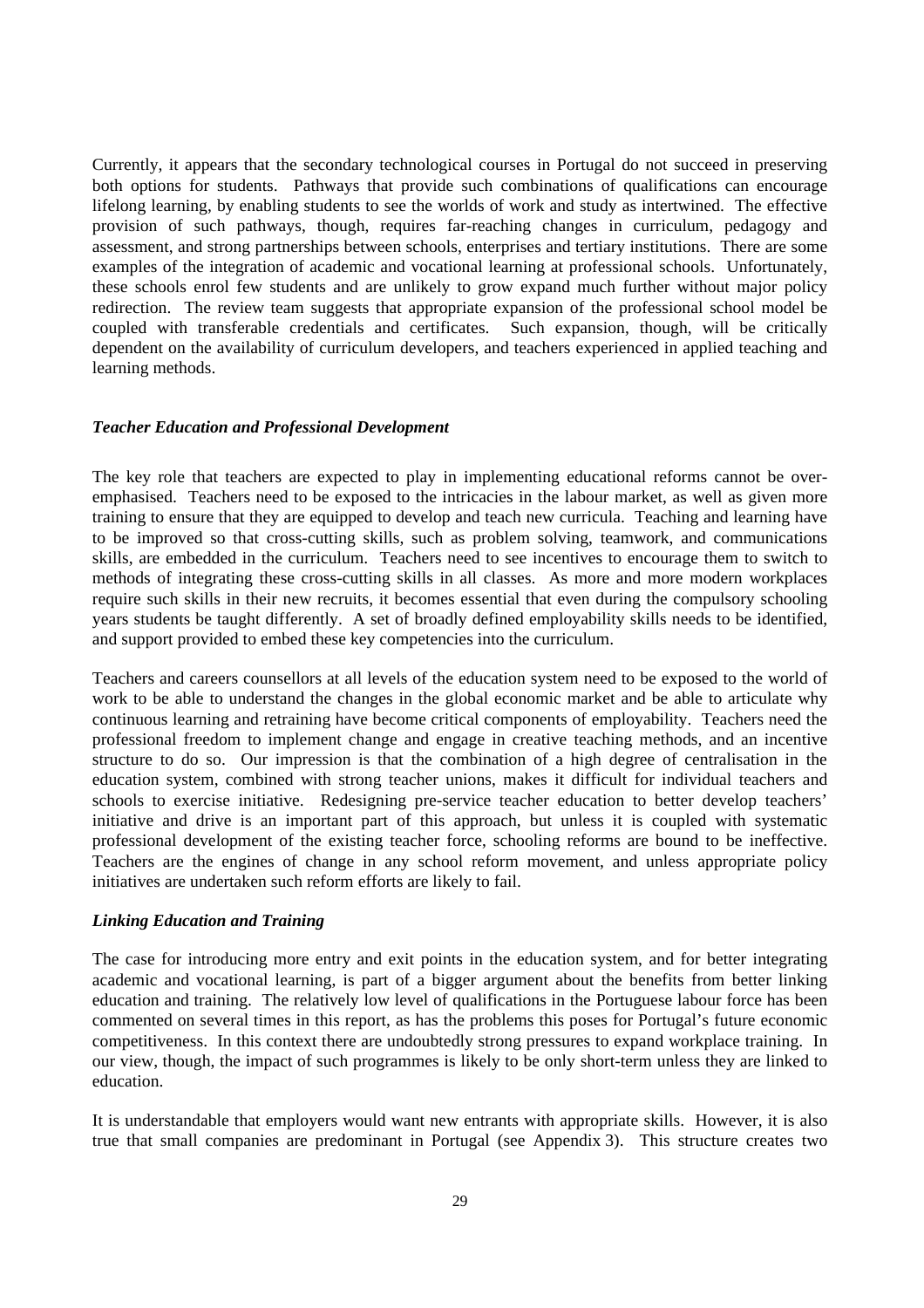Currently, it appears that the secondary technological courses in Portugal do not succeed in preserving both options for students. Pathways that provide such combinations of qualifications can encourage lifelong learning, by enabling students to see the worlds of work and study as intertwined. The effective provision of such pathways, though, requires far-reaching changes in curriculum, pedagogy and assessment, and strong partnerships between schools, enterprises and tertiary institutions. There are some examples of the integration of academic and vocational learning at professional schools. Unfortunately, these schools enrol few students and are unlikely to grow expand much further without major policy redirection. The review team suggests that appropriate expansion of the professional school model be coupled with transferable credentials and certificates. Such expansion, though, will be critically dependent on the availability of curriculum developers, and teachers experienced in applied teaching and learning methods.

#### *Teacher Education and Professional Development*

The key role that teachers are expected to play in implementing educational reforms cannot be overemphasised. Teachers need to be exposed to the intricacies in the labour market, as well as given more training to ensure that they are equipped to develop and teach new curricula. Teaching and learning have to be improved so that cross-cutting skills, such as problem solving, teamwork, and communications skills, are embedded in the curriculum. Teachers need to see incentives to encourage them to switch to methods of integrating these cross-cutting skills in all classes. As more and more modern workplaces require such skills in their new recruits, it becomes essential that even during the compulsory schooling years students be taught differently. A set of broadly defined employability skills needs to be identified, and support provided to embed these key competencies into the curriculum.

Teachers and careers counsellors at all levels of the education system need to be exposed to the world of work to be able to understand the changes in the global economic market and be able to articulate why continuous learning and retraining have become critical components of employability. Teachers need the professional freedom to implement change and engage in creative teaching methods, and an incentive structure to do so. Our impression is that the combination of a high degree of centralisation in the education system, combined with strong teacher unions, makes it difficult for individual teachers and schools to exercise initiative. Redesigning pre-service teacher education to better develop teachers' initiative and drive is an important part of this approach, but unless it is coupled with systematic professional development of the existing teacher force, schooling reforms are bound to be ineffective. Teachers are the engines of change in any school reform movement, and unless appropriate policy initiatives are undertaken such reform efforts are likely to fail.

#### *Linking Education and Training*

The case for introducing more entry and exit points in the education system, and for better integrating academic and vocational learning, is part of a bigger argument about the benefits from better linking education and training. The relatively low level of qualifications in the Portuguese labour force has been commented on several times in this report, as has the problems this poses for Portugal's future economic competitiveness. In this context there are undoubtedly strong pressures to expand workplace training. In our view, though, the impact of such programmes is likely to be only short-term unless they are linked to education.

It is understandable that employers would want new entrants with appropriate skills. However, it is also true that small companies are predominant in Portugal (see Appendix 3). This structure creates two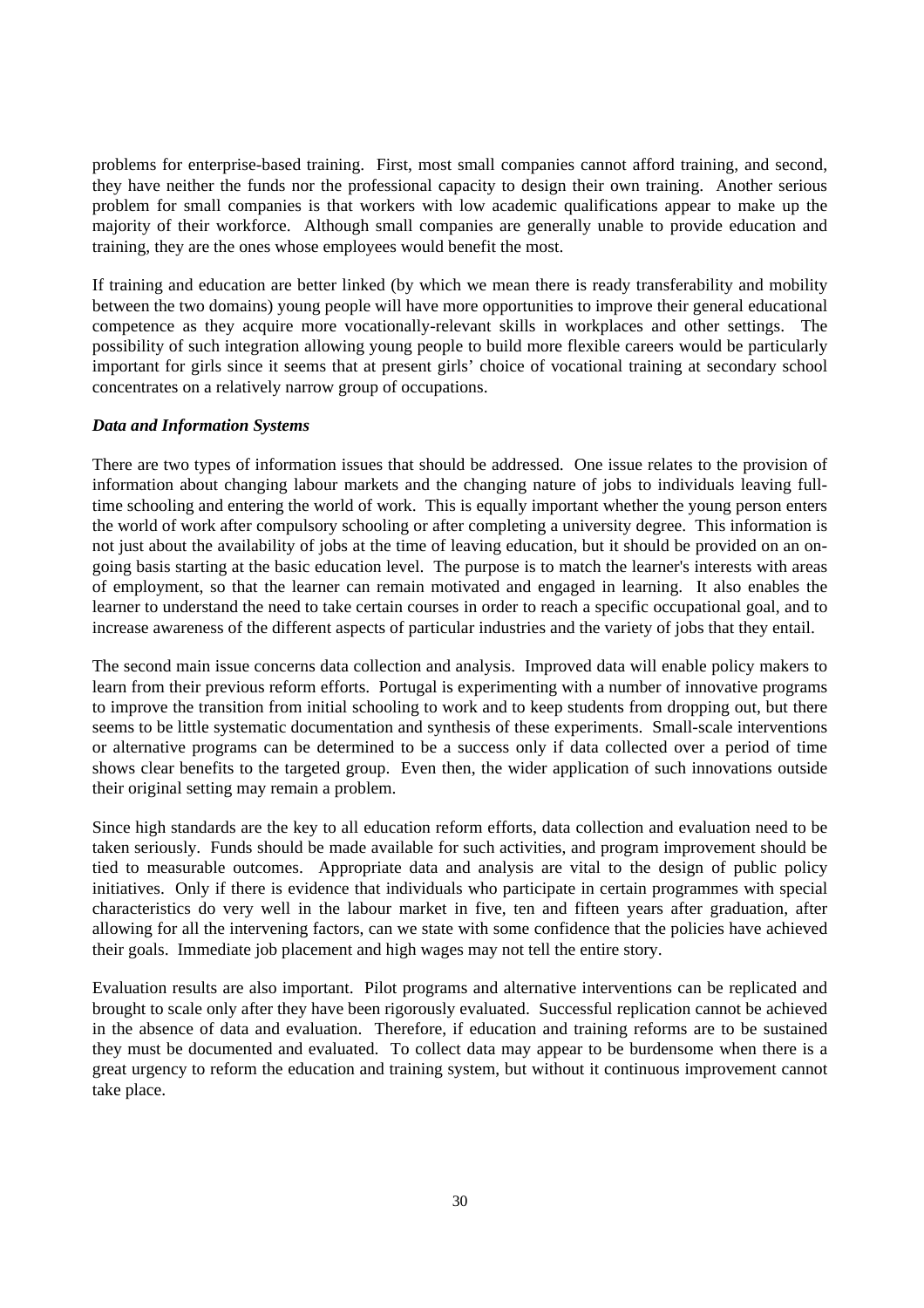problems for enterprise-based training. First, most small companies cannot afford training, and second, they have neither the funds nor the professional capacity to design their own training. Another serious problem for small companies is that workers with low academic qualifications appear to make up the majority of their workforce. Although small companies are generally unable to provide education and training, they are the ones whose employees would benefit the most.

If training and education are better linked (by which we mean there is ready transferability and mobility between the two domains) young people will have more opportunities to improve their general educational competence as they acquire more vocationally-relevant skills in workplaces and other settings. The possibility of such integration allowing young people to build more flexible careers would be particularly important for girls since it seems that at present girls' choice of vocational training at secondary school concentrates on a relatively narrow group of occupations.

#### *Data and Information Systems*

There are two types of information issues that should be addressed. One issue relates to the provision of information about changing labour markets and the changing nature of jobs to individuals leaving fulltime schooling and entering the world of work. This is equally important whether the young person enters the world of work after compulsory schooling or after completing a university degree. This information is not just about the availability of jobs at the time of leaving education, but it should be provided on an ongoing basis starting at the basic education level. The purpose is to match the learner's interests with areas of employment, so that the learner can remain motivated and engaged in learning. It also enables the learner to understand the need to take certain courses in order to reach a specific occupational goal, and to increase awareness of the different aspects of particular industries and the variety of jobs that they entail.

The second main issue concerns data collection and analysis. Improved data will enable policy makers to learn from their previous reform efforts. Portugal is experimenting with a number of innovative programs to improve the transition from initial schooling to work and to keep students from dropping out, but there seems to be little systematic documentation and synthesis of these experiments. Small-scale interventions or alternative programs can be determined to be a success only if data collected over a period of time shows clear benefits to the targeted group. Even then, the wider application of such innovations outside their original setting may remain a problem.

Since high standards are the key to all education reform efforts, data collection and evaluation need to be taken seriously. Funds should be made available for such activities, and program improvement should be tied to measurable outcomes. Appropriate data and analysis are vital to the design of public policy initiatives. Only if there is evidence that individuals who participate in certain programmes with special characteristics do very well in the labour market in five, ten and fifteen years after graduation, after allowing for all the intervening factors, can we state with some confidence that the policies have achieved their goals. Immediate job placement and high wages may not tell the entire story.

Evaluation results are also important. Pilot programs and alternative interventions can be replicated and brought to scale only after they have been rigorously evaluated. Successful replication cannot be achieved in the absence of data and evaluation. Therefore, if education and training reforms are to be sustained they must be documented and evaluated. To collect data may appear to be burdensome when there is a great urgency to reform the education and training system, but without it continuous improvement cannot take place.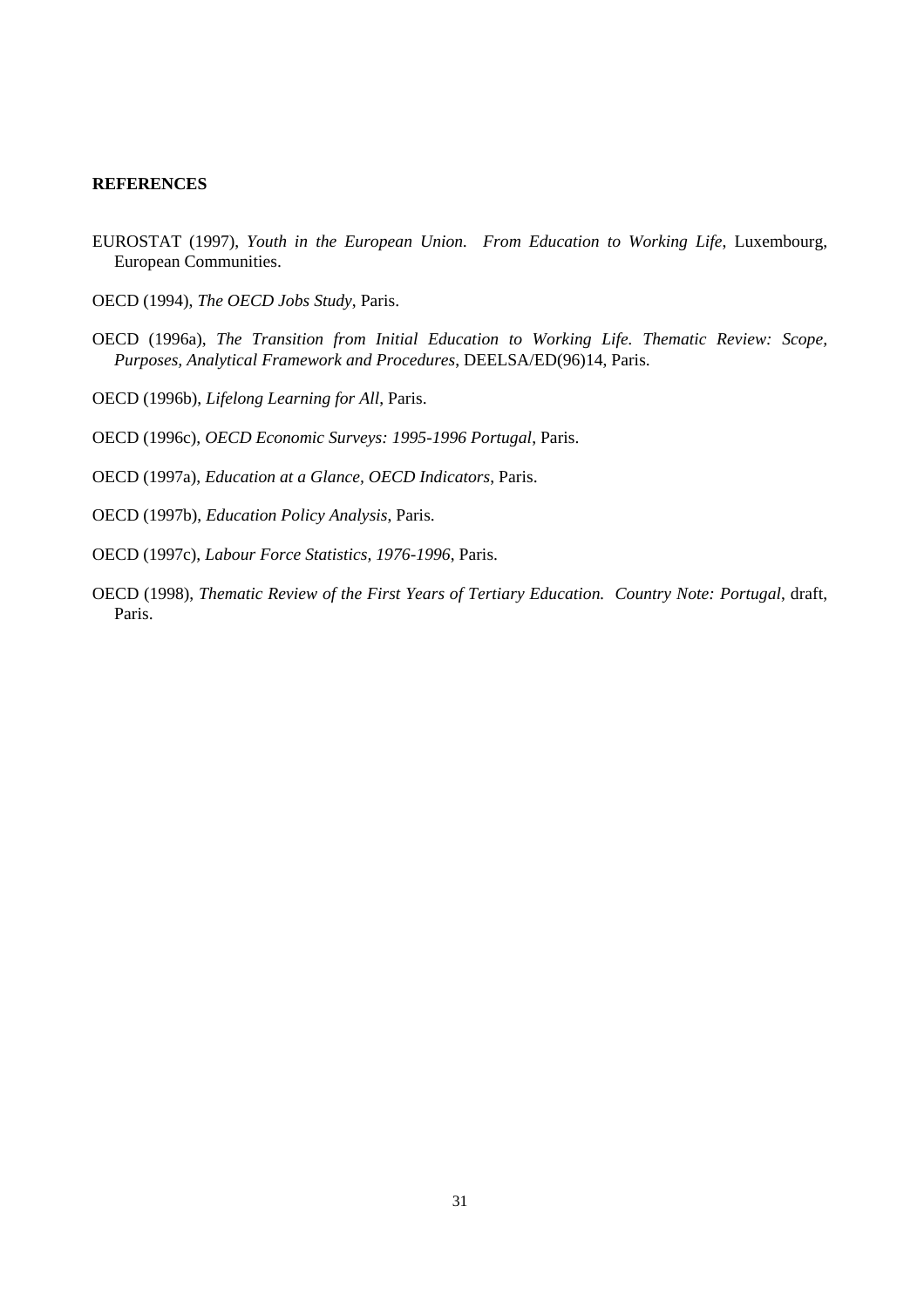## **REFERENCES**

- EUROSTAT (1997), *Youth in the European Union. From Education to Working Life*, Luxembourg, European Communities.
- OECD (1994), *The OECD Jobs Study*, Paris.
- OECD (1996a), *The Transition from Initial Education to Working Life. Thematic Review: Scope, Purposes, Analytical Framework and Procedures*, DEELSA/ED(96)14, Paris.
- OECD (1996b), *Lifelong Learning for All*, Paris.
- OECD (1996c), *OECD Economic Surveys: 1995-1996 Portugal*, Paris.
- OECD (1997a), *Education at a Glance, OECD Indicators*, Paris.
- OECD (1997b), *Education Policy Analysis*, Paris.
- OECD (1997c), *Labour Force Statistics, 1976-1996*, Paris.
- OECD (1998), *Thematic Review of the First Years of Tertiary Education. Country Note: Portugal*, draft, Paris.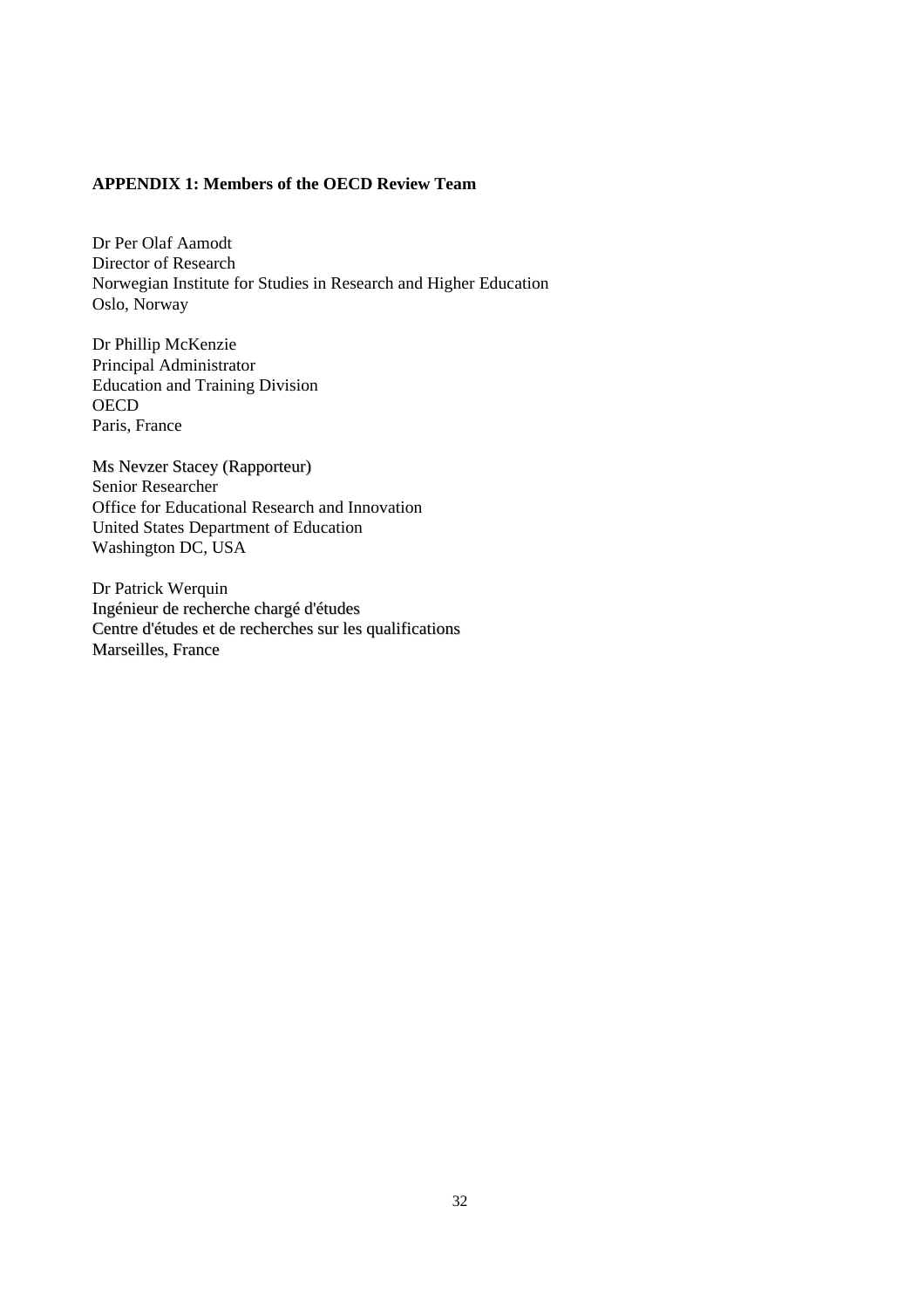## **APPENDIX 1: Members of the OECD Review Team**

Dr Per Olaf Aamodt Director of Research Norwegian Institute for Studies in Research and Higher Education Oslo, Norway

Dr Phillip McKenzie Principal Administrator Education and Training Division **OECD** Paris, France

Ms Nevzer Stacey (Rapporteur) Senior Researcher Office for Educational Research and Innovation United States Department of Education Washington DC, USA

Dr Patrick Werquin Ingénieur de recherche chargé d'études Centre d'études et de recherches sur les qualifications Marseilles, France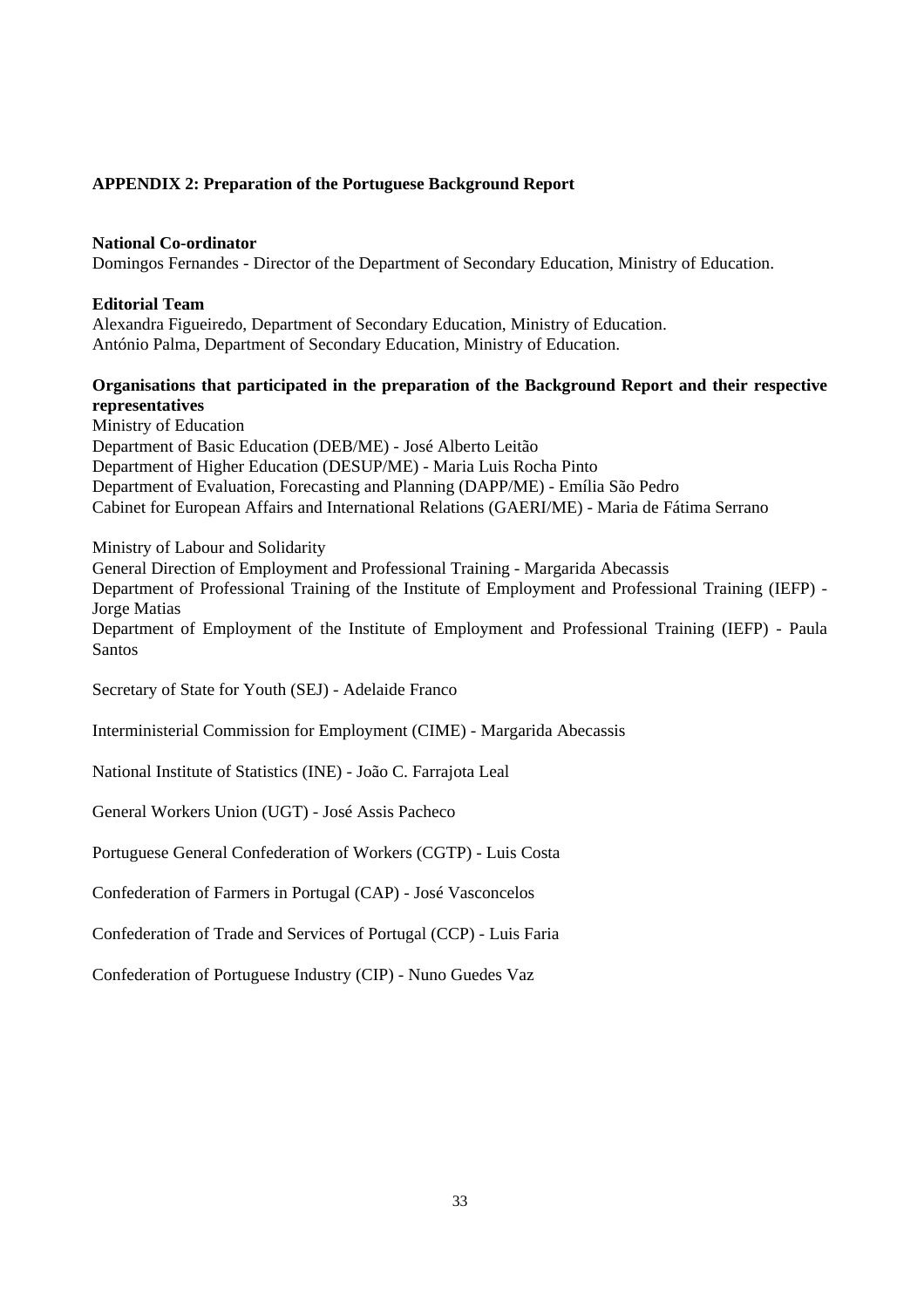## **APPENDIX 2: Preparation of the Portuguese Background Report**

## **National Co-ordinator**

Domingos Fernandes - Director of the Department of Secondary Education, Ministry of Education.

#### **Editorial Team**

Alexandra Figueiredo, Department of Secondary Education, Ministry of Education. António Palma, Department of Secondary Education, Ministry of Education.

## **Organisations that participated in the preparation of the Background Report and their respective representatives**

Ministry of Education Department of Basic Education (DEB/ME) - José Alberto Leitão Department of Higher Education (DESUP/ME) - Maria Luis Rocha Pinto Department of Evaluation, Forecasting and Planning (DAPP/ME) - Emília São Pedro Cabinet for European Affairs and International Relations (GAERI/ME) - Maria de Fátima Serrano

#### Ministry of Labour and Solidarity

General Direction of Employment and Professional Training - Margarida Abecassis

Department of Professional Training of the Institute of Employment and Professional Training (IEFP) - Jorge Matias

Department of Employment of the Institute of Employment and Professional Training (IEFP) - Paula Santos

Secretary of State for Youth (SEJ) - Adelaide Franco

Interministerial Commission for Employment (CIME) - Margarida Abecassis

National Institute of Statistics (INE) - João C. Farrajota Leal

General Workers Union (UGT) - José Assis Pacheco

Portuguese General Confederation of Workers (CGTP) - Luis Costa

Confederation of Farmers in Portugal (CAP) - José Vasconcelos

Confederation of Trade and Services of Portugal (CCP) - Luis Faria

Confederation of Portuguese Industry (CIP) - Nuno Guedes Vaz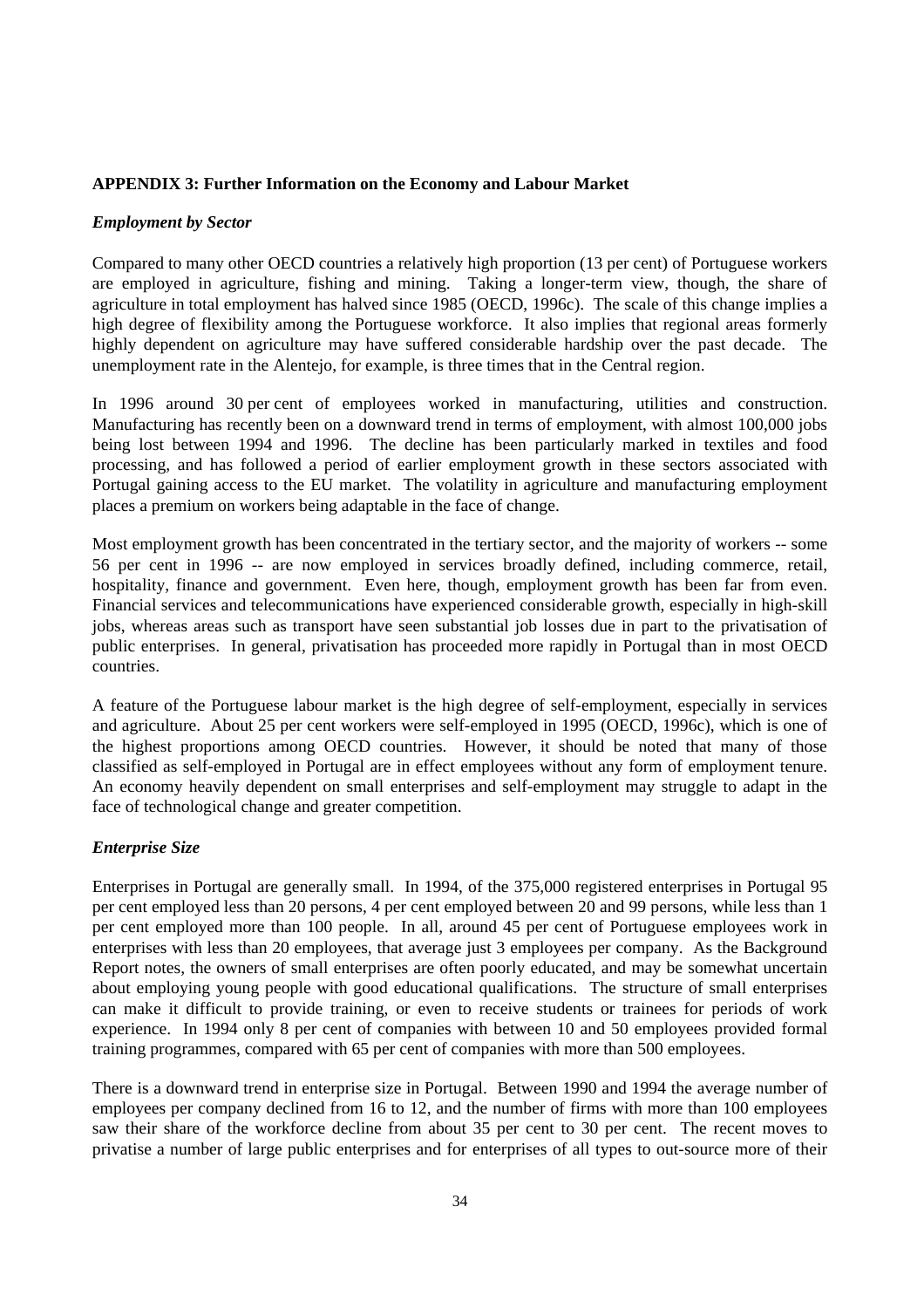## **APPENDIX 3: Further Information on the Economy and Labour Market**

#### *Employment by Sector*

Compared to many other OECD countries a relatively high proportion (13 per cent) of Portuguese workers are employed in agriculture, fishing and mining. Taking a longer-term view, though, the share of agriculture in total employment has halved since 1985 (OECD, 1996c). The scale of this change implies a high degree of flexibility among the Portuguese workforce. It also implies that regional areas formerly highly dependent on agriculture may have suffered considerable hardship over the past decade. The unemployment rate in the Alentejo, for example, is three times that in the Central region.

In 1996 around 30 per cent of employees worked in manufacturing, utilities and construction. Manufacturing has recently been on a downward trend in terms of employment, with almost 100,000 jobs being lost between 1994 and 1996. The decline has been particularly marked in textiles and food processing, and has followed a period of earlier employment growth in these sectors associated with Portugal gaining access to the EU market. The volatility in agriculture and manufacturing employment places a premium on workers being adaptable in the face of change.

Most employment growth has been concentrated in the tertiary sector, and the majority of workers -- some 56 per cent in 1996 -- are now employed in services broadly defined, including commerce, retail, hospitality, finance and government. Even here, though, employment growth has been far from even. Financial services and telecommunications have experienced considerable growth, especially in high-skill jobs, whereas areas such as transport have seen substantial job losses due in part to the privatisation of public enterprises. In general, privatisation has proceeded more rapidly in Portugal than in most OECD countries.

A feature of the Portuguese labour market is the high degree of self-employment, especially in services and agriculture. About 25 per cent workers were self-employed in 1995 (OECD, 1996c), which is one of the highest proportions among OECD countries. However, it should be noted that many of those classified as self-employed in Portugal are in effect employees without any form of employment tenure. An economy heavily dependent on small enterprises and self-employment may struggle to adapt in the face of technological change and greater competition.

## *Enterprise Size*

Enterprises in Portugal are generally small. In 1994, of the 375,000 registered enterprises in Portugal 95 per cent employed less than 20 persons, 4 per cent employed between 20 and 99 persons, while less than 1 per cent employed more than 100 people. In all, around 45 per cent of Portuguese employees work in enterprises with less than 20 employees, that average just 3 employees per company. As the Background Report notes, the owners of small enterprises are often poorly educated, and may be somewhat uncertain about employing young people with good educational qualifications. The structure of small enterprises can make it difficult to provide training, or even to receive students or trainees for periods of work experience. In 1994 only 8 per cent of companies with between 10 and 50 employees provided formal training programmes, compared with 65 per cent of companies with more than 500 employees.

There is a downward trend in enterprise size in Portugal. Between 1990 and 1994 the average number of employees per company declined from 16 to 12, and the number of firms with more than 100 employees saw their share of the workforce decline from about 35 per cent to 30 per cent. The recent moves to privatise a number of large public enterprises and for enterprises of all types to out-source more of their